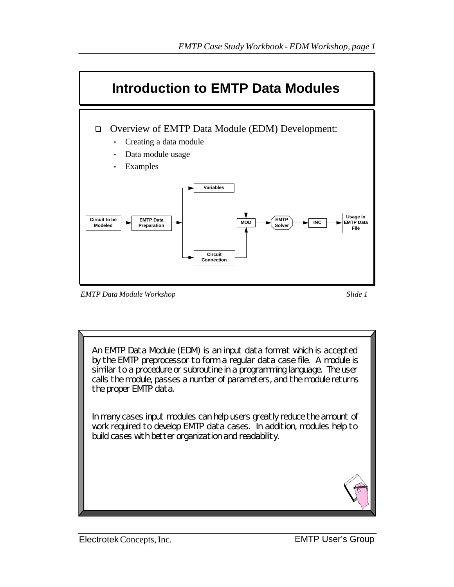

*EMTP Data Module Workshop Slide 1*

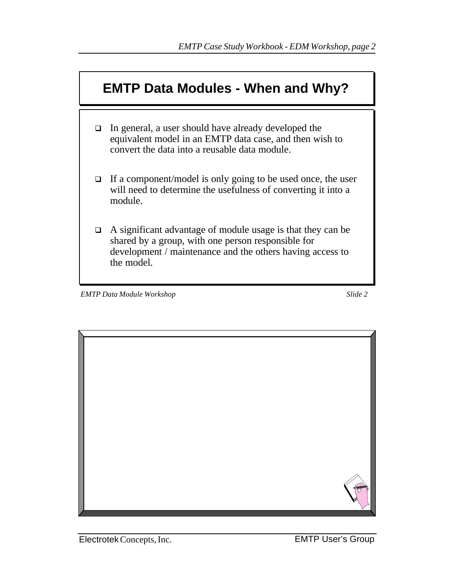

- $\Box$  In general, a user should have already developed the equivalent model in an EMTP data case, and then wish to convert the data into a reusable data module.
- $\Box$  If a component/model is only going to be used once, the user will need to determine the usefulness of converting it into a module.
- $\Box$  A significant advantage of module usage is that they can be shared by a group, with one person responsible for development / maintenance and the others having access to the model.

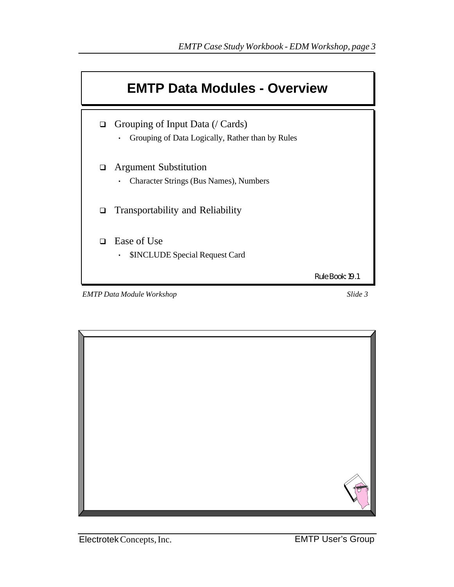

*EMTP Data Module Workshop* Slide 3

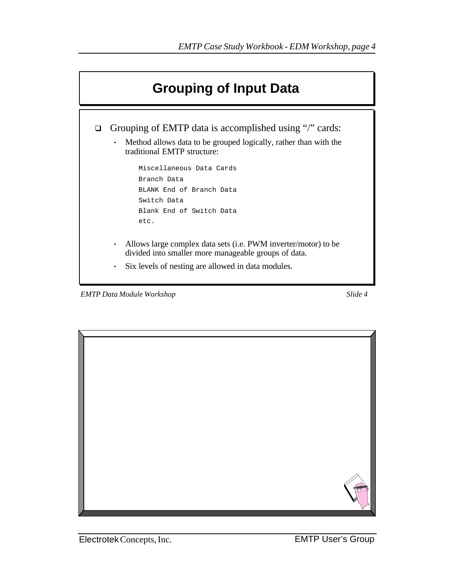

*EMTP Data Module Workshop Slide 4*



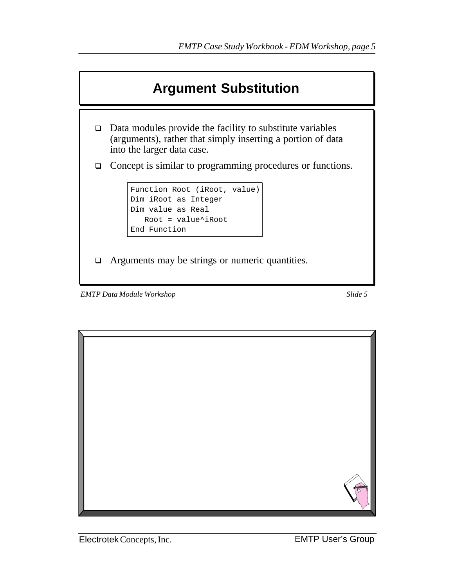

*EMTP Data Module Workshop Slide 5*

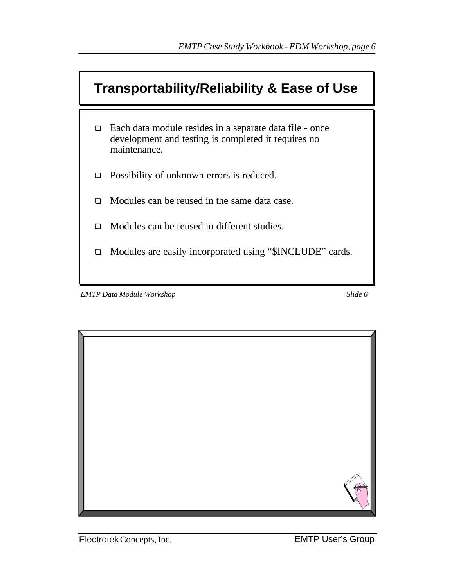

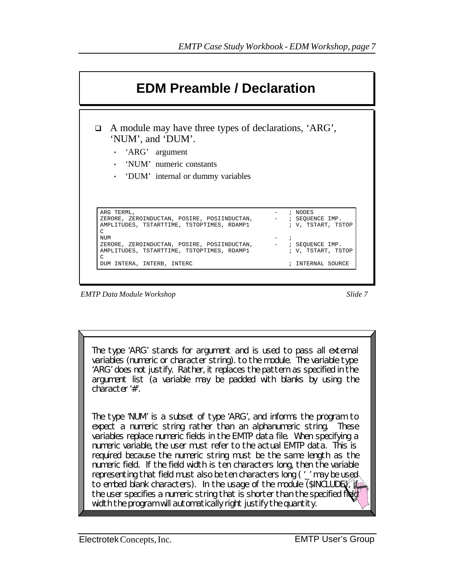

*EMTP Data Module Workshop* Slide 7

The type 'ARG' stands for argument and is used to pass all external variables (numeric or character string). to the module. The variable type 'ARG' does not justify. Rather, it replaces the pattern as specified in the argument list (a variable may be padded with blanks by using the character '#'.

The type 'NUM' is a subset of type 'ARG', and informs the program to expect a numeric string rather than an alphanumeric string. These variables replace numeric fields in the EMTP data file. When specifying a numeric variable, the user must refer to the actual EMTP data. This is required because the numeric string must be the same length as the numeric field. If the field width is ten characters long, then the variable representing that field must also be ten characters long ( '\_' may be used to embed blank characters). In the usage of the module (\$INCLUDE), i the user specifies a numeric string that is shorter than the specified file width the program will automatically right justify the quantity.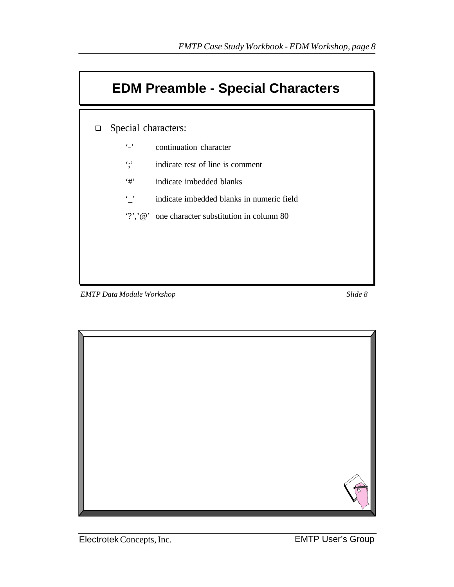

*EMTP Data Module Workshop Slide 8*



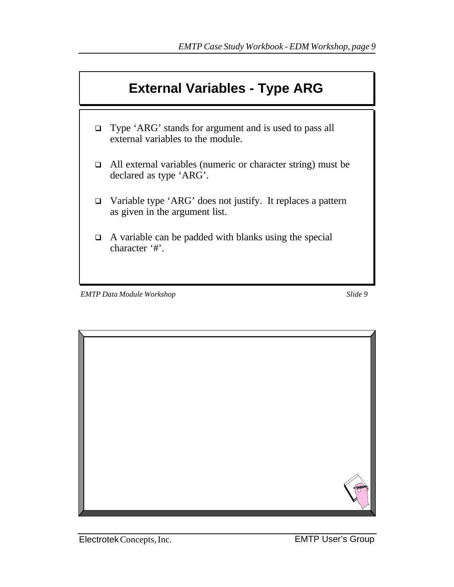

*EMTP Data Module Workshop* Slide 9

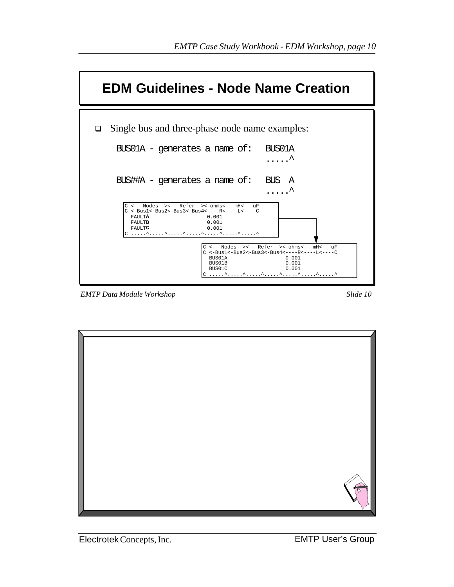| <b>EDM Guidelines - Node Name Creation</b>                                                                                                                                                                                                                                                                                            |
|---------------------------------------------------------------------------------------------------------------------------------------------------------------------------------------------------------------------------------------------------------------------------------------------------------------------------------------|
| Single bus and three-phase node name examples:<br>❏<br>$BUS01A - \theta$ - qenerates a name of:<br>BUS01A                                                                                                                                                                                                                             |
| $BUS\#HA$ - generates a name of:<br>BUS A                                                                                                                                                                                                                                                                                             |
| C <---Nodes--><---Refer--><-ohms<---mH<---uF<br>$C$ <-Busl<-Bus2<-Bus3<-Bus4<----R<----L<----C<br>FAULTA<br>0.001<br>0.001<br>FAULTB<br>FAIILTC<br>0.001<br>C <---Nodes--><---Refer--><-ohms<---mH<---uF<br>$C \le -Bus1 \le -Bus2 \le -Bus3 \le -Bus4 \le - - - - R \le - - - - L \le - - - C$<br>BUS01A<br>0.001<br>BUS01B<br>0.001 |
| 0.001<br>BUS01C                                                                                                                                                                                                                                                                                                                       |

*EMTP Data Module Workshop Slide 10*

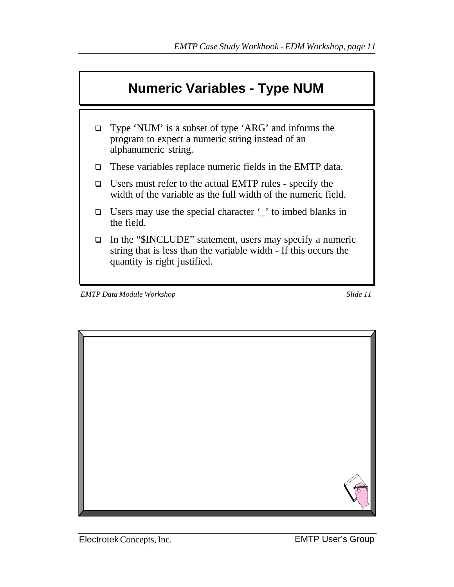

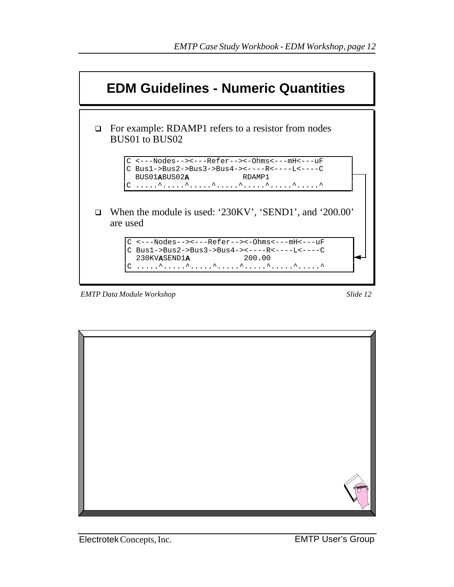

*EMTP Data Module Workshop Slide 12*



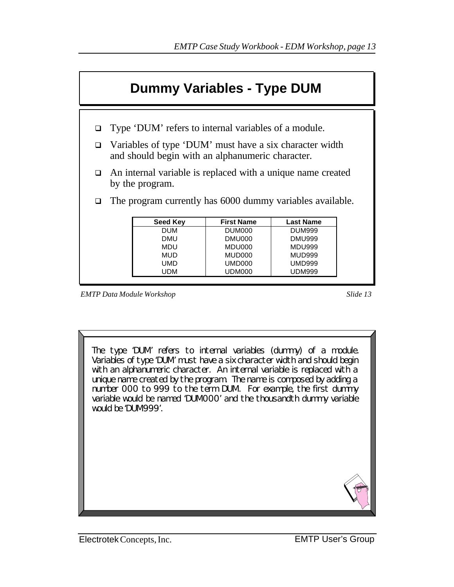

- $\Box$  Type 'DUM' refers to internal variables of a module.
- q Variables of type 'DUM' must have a six character width and should begin with an alphanumeric character.
- $\Box$  An internal variable is replaced with a unique name created by the program.
- $\Box$  The program currently has 6000 dummy variables available.

| <b>Seed Key</b> | <b>First Name</b>  | <b>Last Name</b> |
|-----------------|--------------------|------------------|
| DUM             | DUM <sub>000</sub> | <b>DUM999</b>    |
| DMU             | DMU000             | <b>DMU999</b>    |
| MDU             | MDU000             | <b>MDU999</b>    |
| <b>MUD</b>      | MUD000             | <b>MUD999</b>    |
| UMD             | UMD000             | <b>UMD999</b>    |
| UDM             | UDM000             | <b>UDM999</b>    |

The type 'DUM' refers to internal variables (dummy) of a module. Variables of type 'DUM' must have a six character width and should begin with an alphanumeric character. An internal variable is replaced with a unique name created by the program. The name is composed by adding a number 000 to 999 to the term DUM. For example, the first dummy variable would be named 'DUM000' and the thousandth dummy variable would be 'DUM999'.

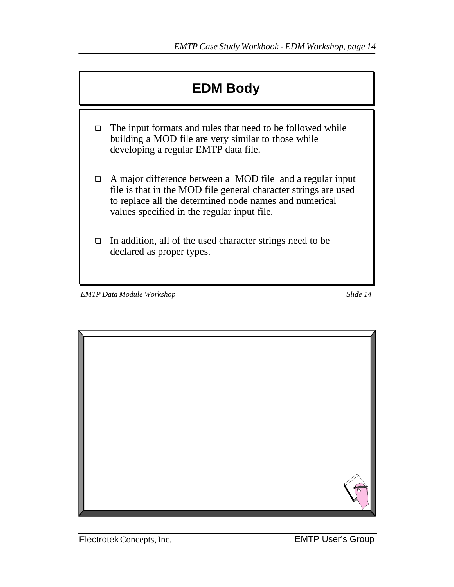

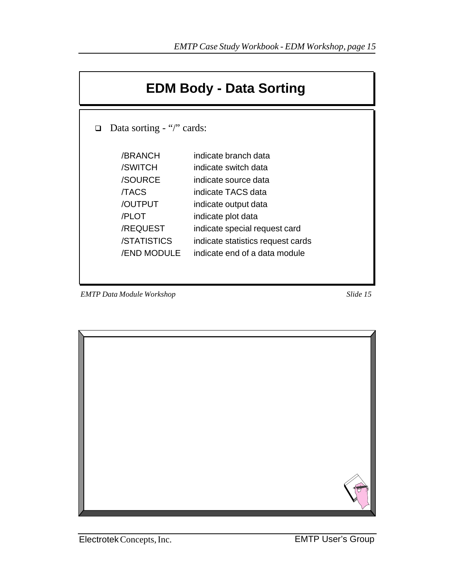|   | <b>EDM Body - Data Sorting</b>                                                                                    |                                                                                                                                                                                                                                                 |  |  |  |  |  |  |
|---|-------------------------------------------------------------------------------------------------------------------|-------------------------------------------------------------------------------------------------------------------------------------------------------------------------------------------------------------------------------------------------|--|--|--|--|--|--|
| □ | Data sorting - "/" cards:                                                                                         |                                                                                                                                                                                                                                                 |  |  |  |  |  |  |
|   | /BRANCH<br>/SWITCH<br>/SOURCE<br><b>TACS</b><br>/OUTPUT<br>/PLOT<br>/REQUEST<br>/STATISTICS<br><b>/END MODULE</b> | indicate branch data<br>indicate switch data<br>indicate source data<br>indicate TACS data<br>indicate output data<br>indicate plot data<br>indicate special request card<br>indicate statistics request cards<br>indicate end of a data module |  |  |  |  |  |  |

*EMTP Data Module Workshop Slide 15*

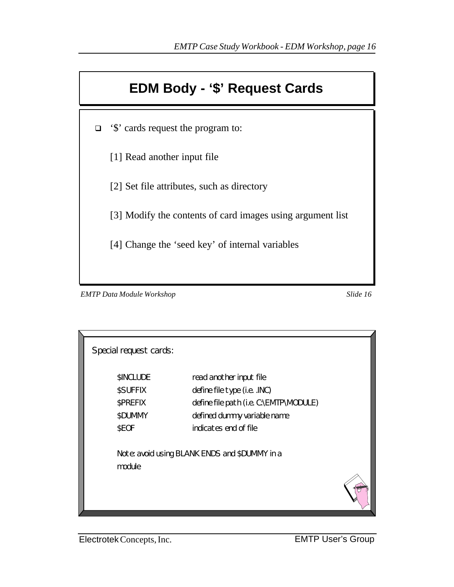### **EDM Body - '\$' Request Cards**

□ '\$' cards request the program to:

[1] Read another input file

[2] Set file attributes, such as directory

[3] Modify the contents of card images using argument list

[4] Change the 'seed key' of internal variables

*EMTP Data Module Workshop Slide 16*

| Special request cards:                                |                                                                                                                                                           |  |
|-------------------------------------------------------|-----------------------------------------------------------------------------------------------------------------------------------------------------------|--|
| \$INCLUDE<br>\$SUFFIX<br>\$PREFIX<br>\$DUMMY<br>\$EOF | read another input file<br>define file type (i.e. .INC)<br>define file path (i.e. C:\EMTP\MODULE)<br>defined dummy variable name<br>indicates end of file |  |
| module                                                | Note: avoid using BLANK ENDS and \$DUMMY in a                                                                                                             |  |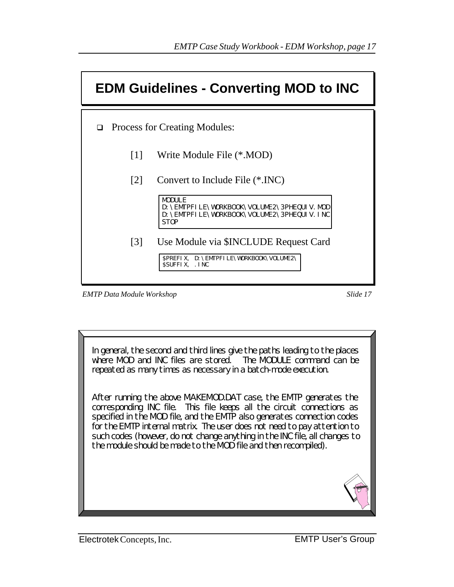|                   | <b>EDM Guidelines - Converting MOD to INC</b>                                                                                |
|-------------------|------------------------------------------------------------------------------------------------------------------------------|
|                   | $\Box$ Process for Creating Modules:                                                                                         |
| $\lceil 1 \rceil$ | Write Module File (*.MOD)                                                                                                    |
| $\lceil 2 \rceil$ | Convert to Include File (*.INC)                                                                                              |
|                   | <b>MODULE</b><br>D: \EMTPFI LE\WORKBOOK\VOLUME2\3PHEQUI V. MOD<br>D: \EMTPFILE\WORKBOOK\VOLUME2\3PHEQUIV. INC<br><b>STOP</b> |
| $\lceil 3 \rceil$ | Use Module via \$INCLUDE Request Card<br><b>SPREFIX, D: \EMTPFILE\WORKBOOK\VOLUME2\</b>                                      |
|                   | SSUFFIX. INC                                                                                                                 |

*EMTP Data Module Workshop* Slide 17

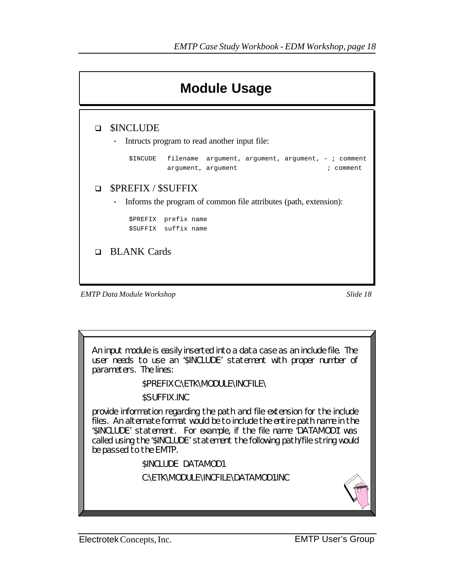|        | <b>Module Usage</b>                                                                                                                                 |
|--------|-----------------------------------------------------------------------------------------------------------------------------------------------------|
| n      | <b>SINCLUDE</b><br>Intructs program to read another input file:<br>٠                                                                                |
|        | \$INCUDE<br>filename $argument, argument, argument, -$ ; comment<br>argument, argument<br>; comment                                                 |
| $\Box$ | <b>\$PREFIX / \$SUFFIX</b><br>Informs the program of common file attributes (path, extension):<br>٠<br>\$PREFIX prefix name<br>\$SUFFIX suffix name |
|        | <b>Q</b> BLANK Cards                                                                                                                                |
|        | 1 1 1 1 1<br>$\sim$ $\sim$ $\sim$                                                                                                                   |

*EMTP Data Module Workshop Slide 18*

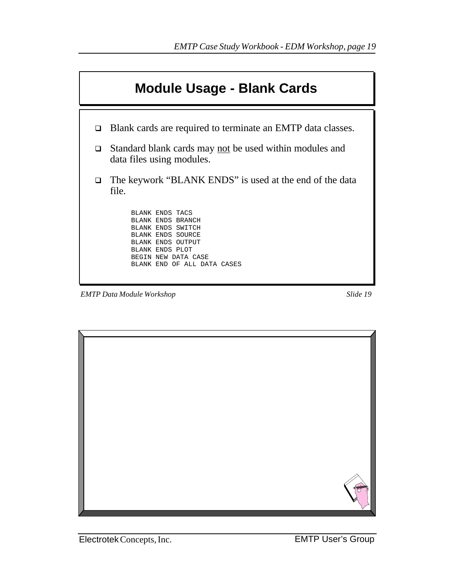

*EMTP Data Module Workshop Slide 19*

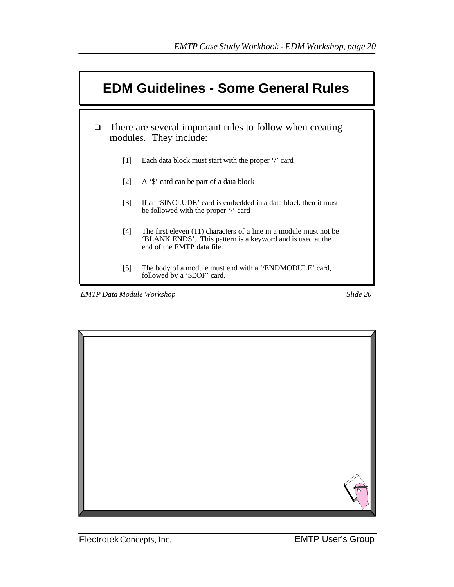

*EMTP Data Module Workshop Slide 20*

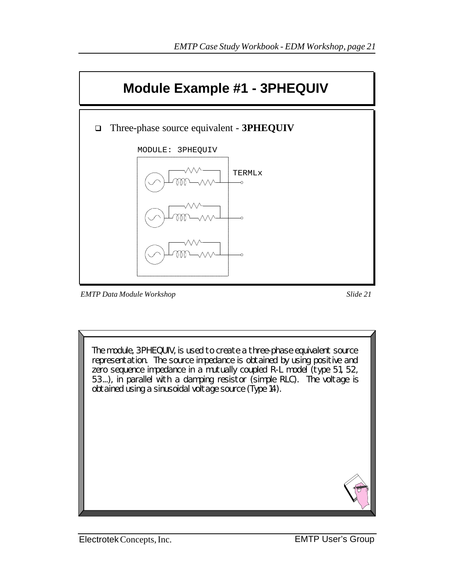

*EMTP Data Module Workshop Slide 21*

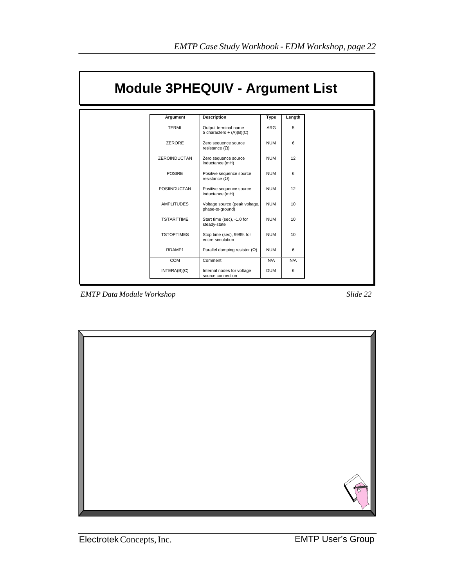|                     | <b>Module 3PHEQUIV - Argument List</b>             |            |                 |  |
|---------------------|----------------------------------------------------|------------|-----------------|--|
| Argument            | <b>Description</b>                                 | Type       | Length          |  |
| <b>TERML</b>        | Output terminal name<br>5 characters + $(A)(B)(C)$ | ARG        | 5               |  |
| ZERORE              | Zero sequence source<br>resistance $(\Omega)$      | <b>NUM</b> | 6               |  |
| <b>ZEROINDUCTAN</b> | Zero sequence source<br>inductance (mH)            | <b>NUM</b> | 12              |  |
| <b>POSIRE</b>       | Positive sequence source<br>resistance $(\Omega)$  | <b>NUM</b> | 6               |  |
| <b>POSIINDUCTAN</b> | Positive sequence source<br>inductance (mH)        | <b>NUM</b> | 12              |  |
| <b>AMPLITUDES</b>   | Voltage source (peak voltage,<br>phase-to-ground)  | <b>NUM</b> | 10 <sup>1</sup> |  |
| <b>TSTARTTIME</b>   | Start time (sec), -1.0 for<br>steady-state         | <b>NUM</b> | 10 <sup>1</sup> |  |
| <b>TSTOPTIMES</b>   | Stop time (sec), 9999. for<br>entire simulation    | <b>NUM</b> | 10 <sup>1</sup> |  |
| RDAMP1              | Parallel damping resistor $(\Omega)$               | <b>NUM</b> | 6               |  |
| <b>COM</b>          | Comment                                            | N/A        | N/A             |  |
| INTERA(B)(C)        | Internal nodes for voltage<br>source connection    | <b>DUM</b> | 6               |  |

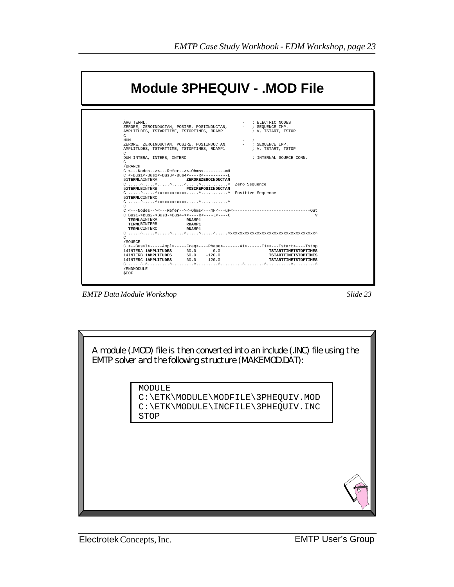

*EMTP Data Module Workshop Slide 23*

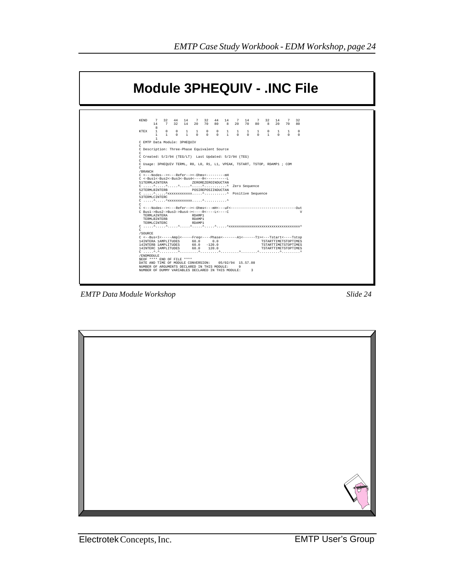|                                                       | <b>Module 3PHEQUIV - .INC File</b>                                                                                                         |
|-------------------------------------------------------|--------------------------------------------------------------------------------------------------------------------------------------------|
| KEND                                                  | 7 32 44 14 7 32 44 14 7 14                                                                                                                 |
| 14                                                    | 7 32                                                                                                                                       |
| $\mathbf{a}$                                          | 7 32 14                                                                                                                                    |
| KTEX                                                  | 7 32 14 20 70 80 8 20 70 80 8 20 70 80                                                                                                     |
| $\sim$ 1                                              | 0 0 1 1 0 0 1 1 1 1                                                                                                                        |
| $\Omega$                                              | $\Omega$                                                                                                                                   |
| $\mathbf{1}$                                          | $0\quad 1$                                                                                                                                 |
| $\mathbf{1}$                                          | $\overline{1}$                                                                                                                             |
| $\mathbf{1}$                                          | $0 \quad 0 \quad 0 \quad 1$                                                                                                                |
| C EMTP Data Module: 3PHEQUIV                          | $\sim$ 0                                                                                                                                   |
| $\mathcal{C}$                                         | $1 -$                                                                                                                                      |
| C Description: Three-Phase Equivalent Source          | $\cap$                                                                                                                                     |
| C Created: 5/2/94 (TEG/LT) Last Updated: 5/2/94 (TEG) | $\Omega$                                                                                                                                   |
| C                                                     | $\cap$                                                                                                                                     |
| $\mathcal{C}$                                         | $\Omega$                                                                                                                                   |
| /BRANCH                                               | $\Omega$                                                                                                                                   |
| C <---Nodes--><---Refer--><-0hms<---------mH          | C Usage: 3PHEOUIV TERML, RO, LO, R1, L1, VPEAK, TSTART, TSTOP, RDAMP1 ; COM                                                                |
|                                                       | ZEROREZEROINDUCTAN                                                                                                                         |
| 51TERMLAINTERA                                        |                                                                                                                                            |
| 52TERMLBINTERB POSIREPOSIINDUCTAN                     |                                                                                                                                            |
| 53TERMLCINTERC                                        |                                                                                                                                            |
|                                                       | v                                                                                                                                          |
| C Bus1->Bus2->Bus3->Bus4-><----R<----L<----C          | RDAMP1                                                                                                                                     |
| TERMLAINTERA                                          | RDAMP1                                                                                                                                     |
| TERMLBINTERB                                          | RDAMP1                                                                                                                                     |
| TERMLCINTERC                                          | $C_1, \ldots, C_n, \ldots, C_n, \ldots, C_n, \ldots, C_n, \ldots, C_n, \ldots, C_n$                                                        |
| $\mathcal{C}$                                         | C <--Bus <i<-----ampl<-----freq<----phase<------a1<------t1>&lt;---Tstart&lt;----Tstop</i<-----ampl<-----freq<----phase<------a1<------t1> |
| /SOURCE                                               | TSTARTTIMETSTOPTIMES                                                                                                                       |
| 14INTERA 1AMPLITUDES 60.0 0.0                         | $60.0 -120.0$                                                                                                                              |
| 14INTERB 1AMPLITUDES                                  | TSTARTTIMETSTOPTIMES                                                                                                                       |
| 14INTERC 1AMPLITUDES                                  | 60.0 120.0                                                                                                                                 |
| /ENDMODULE                                            | TSTARTTIMETSTOPTIMES                                                                                                                       |
| SEOF **** END OF FILE ****                            |                                                                                                                                            |
| DATE AND TIME OF MODULE CONVERSION:                   | 05/02/94 15.57.08                                                                                                                          |
| NUMBER OF ARGUMENTS DECLARED IN THIS MODULE:          | $\circ$                                                                                                                                    |
| NUMBER OF DUMMY VARIABLES DECLARED IN THIS MODULE:    | $\overline{3}$                                                                                                                             |

*EMTP Data Module Workshop Slide 24*

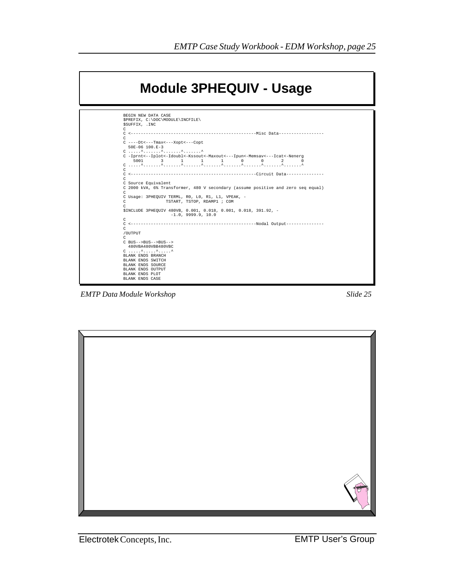

*EMTP Data Module Workshop Slide 25*

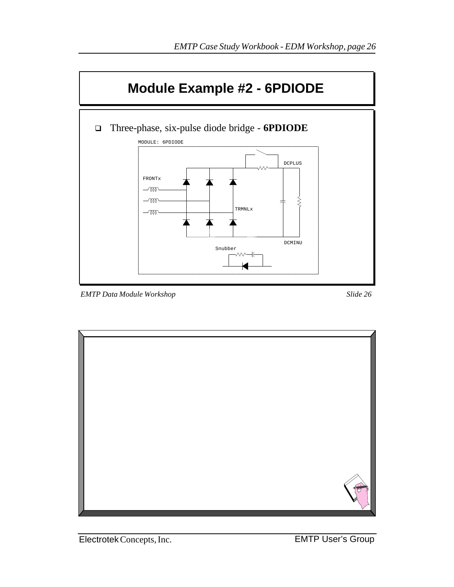

*EMTP Data Module Workshop Slide 26*

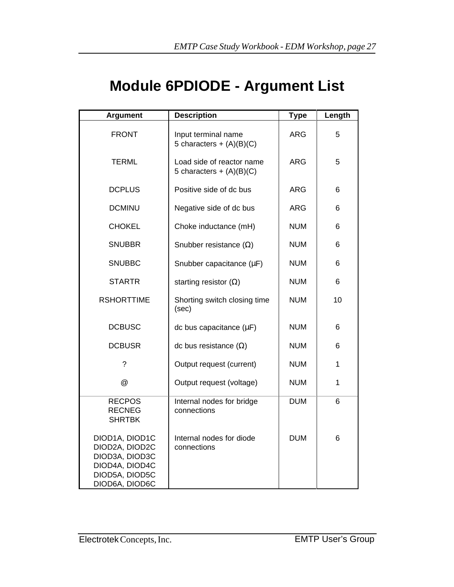## **Module 6PDIODE - Argument List**

| <b>Argument</b>                                                                                          | <b>Description</b>                                      | <b>Type</b> | Length |
|----------------------------------------------------------------------------------------------------------|---------------------------------------------------------|-------------|--------|
| <b>FRONT</b>                                                                                             | Input terminal name<br>5 characters + $(A)(B)(C)$       | <b>ARG</b>  | 5      |
| <b>TERML</b>                                                                                             | Load side of reactor name<br>5 characters + $(A)(B)(C)$ | 5           |        |
| <b>DCPLUS</b>                                                                                            | Positive side of dc bus                                 | <b>ARG</b>  | 6      |
| <b>DCMINU</b>                                                                                            | Negative side of dc bus                                 | <b>ARG</b>  | 6      |
| <b>CHOKEL</b>                                                                                            | Choke inductance (mH)                                   | <b>NUM</b>  | 6      |
| <b>SNUBBR</b>                                                                                            | Snubber resistance $(\Omega)$                           | <b>NUM</b>  | 6      |
| <b>SNUBBC</b>                                                                                            | Snubber capacitance $(\mu F)$                           | <b>NUM</b>  | 6      |
| <b>STARTR</b>                                                                                            | starting resistor $(\Omega)$                            | <b>NUM</b>  | 6      |
| <b>RSHORTTIME</b>                                                                                        | Shorting switch closing time<br>(sec)                   | <b>NUM</b>  | 10     |
| <b>DCBUSC</b>                                                                                            | dc bus capacitance $(\mu F)$                            | <b>NUM</b>  | 6      |
| <b>DCBUSR</b>                                                                                            | dc bus resistance $(\Omega)$                            | <b>NUM</b>  | 6      |
| ?                                                                                                        | Output request (current)                                | <b>NUM</b>  | 1      |
| @                                                                                                        | Output request (voltage)                                | <b>NUM</b>  | 1      |
| <b>RECPOS</b><br><b>RECNEG</b><br><b>SHRTBK</b>                                                          | Internal nodes for bridge<br>connections                | <b>DUM</b>  | 6      |
| DIOD1A, DIOD1C<br>DIOD2A, DIOD2C<br>DIOD3A, DIOD3C<br>DIOD4A, DIOD4C<br>DIOD5A, DIOD5C<br>DIOD6A, DIOD6C | Internal nodes for diode<br>connections                 | <b>DUM</b>  | 6      |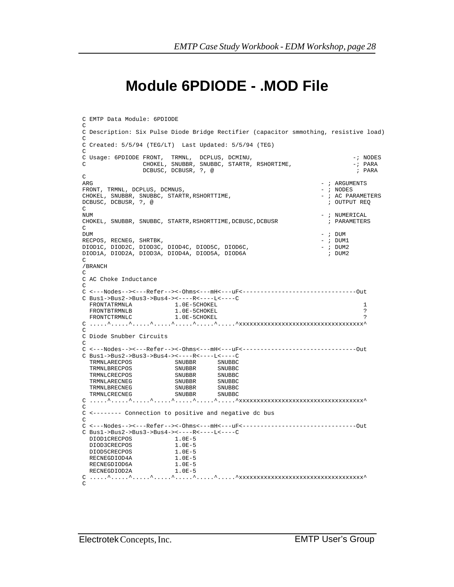#### **Module 6PDIODE - .MOD File**

```
EMTP Data Module Workshop Slide 28
C <---Nodes--><---Refer--><-Ohms<---mH<---uF<--------------------------------Out
C EMTP Data Module: 6PDIODE
\GammaC Description: Six Pulse Diode Bridge Rectifier (capacitor smmothing, resistive load)
\overline{C}C Created: 5/5/94 (TEG/LT) Last Updated: 5/5/94 (TEG)
\mathcal{C}C Usage: 6PDIODE FRONT, TRMNL, DCPLUS, DCMINU, -7 ANDES
C CHOKEL, SNUBBR, SNUBBC, STARTR, RSHORTIME, -; PARA 
                  DCBUSC, DCBUSR, ?, @
C<br>ARG
                                                                        - ; ARGUMENTS
FRONT, TRMNL, DCPLUS, DCMNUS, \begin{array}{ccc} 0.7 & \text{FINING} \\ 0.7 & \text{FINDES} \end{array} . The choice of the subset of the subset of the subset of the subset of the subset of the subset of the subset of the subset of the subset of the subse
CHOKEL, SNUBBR, SNUBBC, STARTR,RSHORTTIME, - ; AC PARAMETERS
DCBUSC, DCBUSR, ?, @ ; OUTPUT REQ
C<br>NUM
                                                                        - ; NUMERICAL
CHOKEL, SNUBBR, SNUBBC, STARTR,RSHORTTIME,DCBUSC,DCBUSR ; PARAMETERS
\capDUM - ; DUMRECPOS, RECNEG, SHRTBK, - ; DUM1
DIOD1C, DIOD2C, DIOD3C, DIOD4C, DIOD5C, DIOD6C, - - ; DUM2
DIOD1A, DIOD2A, DIOD3A, DIOD4A, DIOD5A, DIOD6A ; DUM2
C
/BRANCH
\GammaC AC Choke Inductance
C
C Bus1->Bus2->Bus3->Bus4-><-----R<-----L<----C<br>FRONTATRMNLA 1.0E-5CHOKEL
FRONTATRMNLA 1.0E-5CHOKEL 1.1.1 and 1.0E-5CHOKEL 1.1 and 1.0E-5CHOKEL 1.1 and 1.1 and 1.1 and 1.1 and 1.1 and 1.1 and 1.1 and 1.1 and 1.1 and 1.1 and 1.1 and 1.1 and 1.1 and 1.1 and 1.1 and 1.1 and 1.1 and 1.1 and 1.1 and 
FRONTBTRMNLB 1.0E-5CHOKEL ?
FRONTCTRMNLC 1.0E-5CHOKEL ?
C_1,\ldots,\hat{C}_1,\ldots,\hat{C}_1,\ldots,\hat{C}_1,\ldots,\hat{C}_1,\ldots,\hat{C}_N,\ldots,\hat{C}_Nxxxxxxxxxxxxxxxxxxxxxxxxxxxxxxxxxxx
\GammaC Diode Snubber Circuits 
\mathcal{C}C <---Nodes--><---Refer--><-Ohms<---mH<---uF<--------------------------------Out
C Bus1->Bus2->Bus3->Bus4-><----R<----L<----C 
   TRMNLARECPOS SNUBBR SNUBBC
   TRMNLBRECPOS SNUBBR SNUBBC
  TRMNLCRECPOS SNUBBR SNUBBR SNUBBR SNUBBR
   TRMNLARECNEG SNUBBR SNUBBC
 TRMNLBRECNEG SNUBBR SNUBBC
TRMNLCRECNEG SNUBBR SNUBBC
C_1, \ldots, \hat{C}_1, \ldots, \hat{C}_2, \ldots, \hat{C}_1, \ldots, \hat{C}_2, \ldots, \hat{C}_n, \ldots, \hat{C}_nxxxxxxxxxxxxxxxxxxxxxxxxxxxxxxxxx
\overline{C}C <-------- Connection to positive and negative dc bus
\GammaC <---Nodes--><---Refer--><-Ohms<---mH<---uF<--------------------------------Out
C Bus1->Bus2->Bus3->Bus4-><----R<----L<----C
 DIOD1CRECPOS 1.0E-5 
 DIOD3CRECPOS 1.0E-5
 DIOD5CRECPOS 1.0E-5<br>RECNEGDIOD4A 1.0E-5<br>RECNEGDIOD6A 1.0E-5
 RECNEGDIOD4A
 RECNEGDIOD6A
 RECNEGDIOD2A 1.0E-5
C_1, \ldots, \hat{C}_1, \ldots, \hat{C}_2, \ldots, \hat{C}_1, \ldots, \hat{C}_2, \ldots, \hat{C}_n, \ldots, \hat{C}_nxxxxxxxxxxxxxxxxxxxxxxxxxxxxxxxxx
\mathcal{C}
```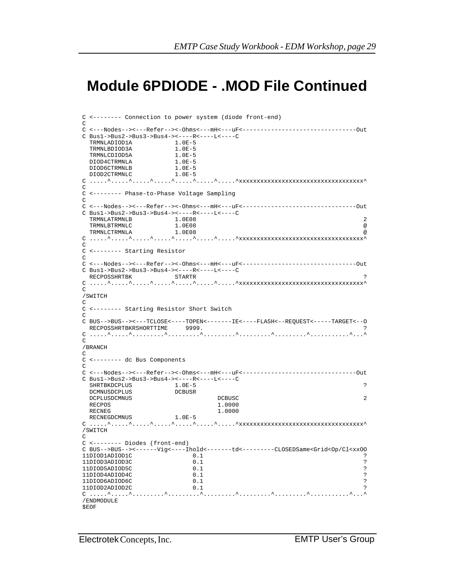### **Module 6PDIODE - .MOD File Continued**

```
EMTP Data Module Workshop Slide 29
C <-------- Connection to power system (diode front-end)
C
C <---Nodes--><---Refer--><-Ohms<---mH<---uF<--------------------------------Out
C Bus1->Bus2->Bus3->Bus4-><----R<----L<----C
TRMNLADIOD1A 1.0E-5
TRMNLBDIOD3A 1.0E-5
TRMNLCDIOD5A 1.0E-5
 TRMNLCDIOD5A 1.0E-5<br>DIOD4CTRMNLA 1.0E-5
 DIOD6CTRMNLB 1.0E-5<br>DIOD2CTRMNLC 1.0E-5
 DIOD2CTRMNLC
C .....^.....^.....^.....^.....^.....^.....^xxxxxxxxxxxxxxxxxxxxxxxxxxxxxxxxxxx^
\GammaC <-------- Phase-to-Phase Voltage Sampling
\mathcal{C}C <---Nodes--><---Refer--><-Ohms<---mH<---uF<--------------------------------Out
C Bus1->Bus2->Bus3->Bus4-><----R<----L<----C
TRMNLATRMNLB 1.0E08 2
 TRMNLBTRMNLC 1.0E08 @
 TRMNLCTRMNLA 1.0E08 @
C_1, \ldots, 1, \ldots, 1, \ldots, 1, \ldots, 1, \ldots, 1, \ldots, 1, \ldots, 1, \ldots, 1, \ldots, 1, \ldots, 1, \ldots, 1, \ldots, 1, \ldots, 1, \ldots, 1, \ldots, 1, \ldots, 1, \ldots, 1, \ldots, 1, \ldots, 1, \ldots, 1, \ldots, 1, \ldots, 1, \ldots, 1, \ldots, 1, \ldots, 1, \ldots, 1, \ldots, 1, \ldots, 1, \ldots, 1, \ldots, 1, \ldots, 1\GammaC <-------- Starting Resistor
C
C <---Nodes--><---Refer--><-Ohms<---mH<---uF<--------------------------------Out
C Bus1->Bus2->Bus3->Bus4-><----R<----L<----C
  RECPOSSHRTBK STARTR ?
C .....^.....^.....^.....^.....^.....^.....^xxxxxxxxxxxxxxxxxxxxxxxxxxxxxxxxxxx^
\overline{C}/SWITCH
\rm CC <-------- Starting Resistor Short Switch
C
C BUS-->BUS--><---TCLOSE<----TOPEN<-------IE<----FLASH<--REQUEST<-----TARGET<--O
RECPOSSHRTBKRSHORTTIME 9999.<br>C.....^.....^.........^........^
 C .....^.....^.........^.........^.........^.........^.........^...........^...^
\mathcal{C}/BRANCH
\GammaC <-------- dc Bus Components
\GammaC <---Nodes--><---Refer--><-Ohms<---mH<---uF<--------------------------------Out
C Bus1->Bus2->Bus3->Bus4-><----R<----L<----C
 SHRTBKDCPLUS 1.0E-5 ?<br>DCMNUSDCPLUS DCBUSR DCBUSR
 DCMNUSDCPLUS
  DCPLUSDCMNUS DCBUSC 2
 RECPOS 1.0000<br>RECNEG 1.0000
RECNEG 1.0000
RECNEGDCMNUS 1.0E-5
C \ldots.^\ldots.^\ldots.^.....^.....^.....^\ldots.^\ldots.\ldotsxxxxxxxxxxxxxxxxxxxxxxxxxxxxxxxx
/SWITCH
\GammaC <-------- Diodes (front-end)
C BUS-->BUS--><------Vig<----Ihold<-------td<---------CLOSEDSame<Grid<Op/Cl<xxOO
11DIOD1ADIOD1C 0.1 ?
11DIOD3ADIOD3C 0.1 ?<br>11DIOD5ADIOD5C 0.1 ?
11D IOD5ADIOD5C 11D IOD4ADIOD4C 0.111DIOD4ADIOD4C 0.1<br>11DIOD6ADIOD6C 0.1 ?
11DIOD6ADIOD6C 0.1<br>11DIOD2ADIOD2C 0.1
11DIOD2ADIOD2C 0.1 ?
C .....^.....^.........^.........^.........^.........^.........^...........^...^
/ENDMODULE
$EOF
```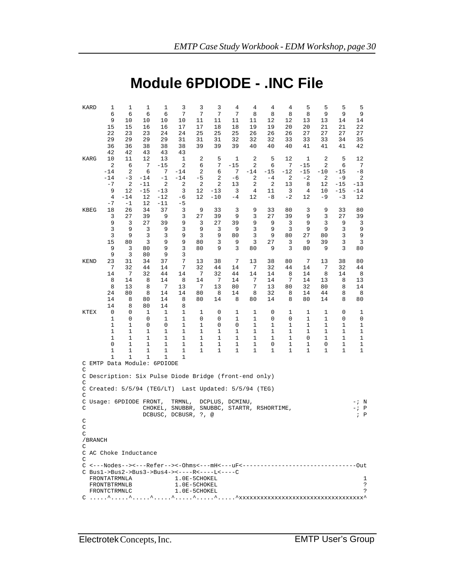## **Module 6PDIODE - .INC File**

| KARD                                | 1<br>6                       | $\mathbf 1$<br>6  | $\mathbf 1$<br>6  | 1<br>6         | 3<br>7                                                                                                                                                                                                                                                                                                                                                                | 3<br>7    | 3<br>7                     | 4<br>7    | 4<br>8           | $\,4$<br>8  | $\overline{4}$<br>8 | 5<br>8        | 5<br>9     | 5<br>9        | 5<br>9                                 |
|-------------------------------------|------------------------------|-------------------|-------------------|----------------|-----------------------------------------------------------------------------------------------------------------------------------------------------------------------------------------------------------------------------------------------------------------------------------------------------------------------------------------------------------------------|-----------|----------------------------|-----------|------------------|-------------|---------------------|---------------|------------|---------------|----------------------------------------|
|                                     | 9                            | 10                | 10                | 10             | 10                                                                                                                                                                                                                                                                                                                                                                    | 11        | 11                         | 11        | 11               | 12          | 12                  | 13            | 13         | 14            | 14                                     |
|                                     | 15<br>22                     | 15<br>23          | 16<br>23          | 16<br>24       | 17<br>24                                                                                                                                                                                                                                                                                                                                                              | 17<br>25  | 18<br>25                   | 18<br>25  | 19<br>26         | 19<br>26    | 20<br>26            | 20<br>27      | 21<br>27   | 21<br>27      | 22<br>27                               |
|                                     | 29                           | 29                | 29                | 29             | 31                                                                                                                                                                                                                                                                                                                                                                    | 31        | 31                         | 32        | 32               | 32          | 33                  | 33            | 33         | 34            | 35                                     |
|                                     | 36                           | 36                | 38                | 38             | 38                                                                                                                                                                                                                                                                                                                                                                    | 39        | 39                         | 39        | 40               | 40          | 40                  | 41            | 41         | 41            | 42                                     |
| KARG                                | 42<br>10                     | 42<br>11          | 43<br>12          | 43<br>13       | 43<br>1                                                                                                                                                                                                                                                                                                                                                               | 2         | 5                          | 1         | 2                | 5           | 12                  | 1             | 2          | 5             | 12                                     |
|                                     | 2                            | 6                 | 7                 | $-15$          | 2                                                                                                                                                                                                                                                                                                                                                                     | 6         | 7                          | $-15$     | 2                | 6           | 7                   | $-15$         | 2          | 6             | 7                                      |
|                                     | $-14$<br>$-14$               | 2<br>$-3$         | 6<br>$-14$        | 7<br>$-1$      | $-14$<br>$-14$                                                                                                                                                                                                                                                                                                                                                        | 2<br>$-5$ | 6<br>2                     | 7<br>$-6$ | $-14$<br>2       | -15<br>$-4$ | $-12$<br>2          | $-15$<br>$-2$ | $-10$<br>2 | $-15$<br>$-9$ | -8<br>2                                |
|                                     | $-7$                         | 2                 | $-11$             | 2              | 2                                                                                                                                                                                                                                                                                                                                                                     | 2         | 2                          | 13        | 2                | 2           | 13                  | 8             | 12         | $-15$         | $-13$                                  |
|                                     | 9                            | 12                | $-15$             | $-13$          | 3                                                                                                                                                                                                                                                                                                                                                                     | 12        | $-13$                      | 3         | 4                | 11          | 3                   | 4             | 10         | $-15$         | $-14$                                  |
|                                     | 4<br>$-7$                    | $-14$<br>$-1$     | 12<br>12          | $-12$<br>$-11$ | -6<br>-5                                                                                                                                                                                                                                                                                                                                                              | 12        | $-10$                      | -4        | 12               | $-8$        | $-2$                | 12            | -9         | $-3$          | 12                                     |
| KBEG                                | 18                           | 26                | 34                | 37             | 3                                                                                                                                                                                                                                                                                                                                                                     | 9         | 33                         | 3         | 9                | 33          | 80                  | 3             | 9          | 33            | 80                                     |
|                                     | 3                            | 27                | 39                | 9              | 3                                                                                                                                                                                                                                                                                                                                                                     | 27        | 39                         | 9         | 3                | 27          | 39                  | 9             | 3          | 27            | 39                                     |
|                                     | 9<br>3                       | 3<br>9            | 27<br>3           | 39<br>9        | 9<br>3                                                                                                                                                                                                                                                                                                                                                                | 3<br>9    | 27<br>3                    | 39<br>9   | 9<br>3           | 9<br>9      | 3<br>3              | 9<br>9        | 3<br>9     | 9<br>3        | 3<br>9                                 |
|                                     | 3                            | 9                 | 3                 | 3              | 9                                                                                                                                                                                                                                                                                                                                                                     | 3         | 9                          | 80        | 3                | 9           | 80                  | 27            | 80         | 3             | 9                                      |
|                                     | 15                           | 80                | 3                 | 9              | 9                                                                                                                                                                                                                                                                                                                                                                     | 80        | 3<br>9                     | 9         | 3                | 27          | 3                   | 9             | 39         | 3             | 3                                      |
|                                     | 9<br>9                       | 3<br>3            | 80<br>80          | 9<br>9         | 3<br>3                                                                                                                                                                                                                                                                                                                                                                | 80        |                            | 3         | 80               | 9           | 3                   | 80            | 9          | 3             | 80                                     |
| <b>KEND</b>                         | 23                           | 31                | 34                | 37             | 7                                                                                                                                                                                                                                                                                                                                                                     | 13        | 38                         | 7         | 13               | 38          | 80                  | 7             | 13         | 38            | 80                                     |
|                                     | 7                            | 32                | 44                | 14             | 7                                                                                                                                                                                                                                                                                                                                                                     | 32        | 44                         | 14        | 7                | 32          | 44                  | 14            | 7          | 32            | 44                                     |
|                                     | 14<br>8                      | 7<br>14           | 32<br>8           | 44<br>14       | 14<br>8                                                                                                                                                                                                                                                                                                                                                               | 7<br>14   | 32<br>7                    | 44<br>14  | 14<br>7          | 14<br>14    | 8<br>7              | 14<br>14      | 8<br>13    | 14<br>8       | 8<br>13                                |
|                                     | 8                            | 13                | 8                 | 7              | 13                                                                                                                                                                                                                                                                                                                                                                    | 7         | 13                         | 80        | 7                | 13          | 80                  | 32            | 80         | 8             | 14                                     |
|                                     | 24<br>14                     | 80<br>8           | 8<br>80           | 14             | 14                                                                                                                                                                                                                                                                                                                                                                    | 80<br>80  | 8                          | 14        | 8                | 32<br>14    | 8                   | 14            | 44<br>14   | 8<br>8        | 8                                      |
|                                     | 14                           | 8                 | 80                | 14<br>14       | 8<br>8                                                                                                                                                                                                                                                                                                                                                                |           | 14                         | 8         | 80               |             | 8                   | 80            |            |               | 80                                     |
| KTEX                                | 0                            | 0                 | 1                 | 1              | 1                                                                                                                                                                                                                                                                                                                                                                     | 1         | 0                          | 1         | 1                | 0           | 1                   | 1             | 1          | 0             | 1                                      |
|                                     | 1<br>1                       | 0<br>1            | 0<br>0            | 1<br>0         | 1<br>1                                                                                                                                                                                                                                                                                                                                                                | 0<br>1    | 0<br>0                     | 1<br>0    | 1<br>$\mathbf 1$ | 0<br>1      | 0                   | 1<br>1        | 1<br>1     | 0<br>1        | 0<br>1                                 |
|                                     | 1                            | 1                 | 1                 | 1              | 1                                                                                                                                                                                                                                                                                                                                                                     | 1         | 1                          | 1         | 1                | 1           | 1<br>1              | 1             | 1          | 1             | 1                                      |
|                                     | 1                            | 1                 | 1                 | 1              | 1                                                                                                                                                                                                                                                                                                                                                                     | 1         | 1                          | 1         | 1                | 1           | 1                   | 0             | 1          | 1             | 1                                      |
|                                     | 0<br>1                       | 1<br>$\mathbf{1}$ | 1<br>$\mathbf{1}$ | 1<br>1         | 1<br>1                                                                                                                                                                                                                                                                                                                                                                | 1<br>1    | 1<br>1                     | 1<br>1    | 1<br>$\mathbf 1$ | 0<br>1      | 1<br>1              | 1<br>1        | 0<br>1     | 1<br>1        | 1<br>1                                 |
|                                     | 1                            | $\mathbf{1}$      | $\mathbf{1}$      | 1              | $\mathbf 1$                                                                                                                                                                                                                                                                                                                                                           |           |                            |           |                  |             |                     |               |            |               |                                        |
| C EMTP Data Module: 6PDIODE         |                              |                   |                   |                |                                                                                                                                                                                                                                                                                                                                                                       |           |                            |           |                  |             |                     |               |            |               |                                        |
| C                                   |                              |                   |                   |                | C Description: Six Pulse Diode Bridge (front-end only)                                                                                                                                                                                                                                                                                                                |           |                            |           |                  |             |                     |               |            |               |                                        |
| C                                   |                              |                   |                   |                |                                                                                                                                                                                                                                                                                                                                                                       |           |                            |           |                  |             |                     |               |            |               |                                        |
| $C$ Created: $5/5/94$ (TEG/LT)<br>C |                              |                   |                   |                |                                                                                                                                                                                                                                                                                                                                                                       |           | Last Updated: 5/5/94 (TEG) |           |                  |             |                     |               |            |               |                                        |
| C Usage: 6PDIODE FRONT,             |                              |                   |                   |                | TRMNL,                                                                                                                                                                                                                                                                                                                                                                |           | DCPLUS, DCMINU,            |           |                  |             |                     |               |            |               | - ;<br>N                               |
| С                                   |                              |                   |                   |                | CHOKEL, SNUBBR, SNUBBC, STARTR, RSHORTIME,<br>DCBUSC, DCBUSR, ?,                                                                                                                                                                                                                                                                                                      |           | @                          |           |                  |             |                     |               |            |               | P<br>- ;<br>$\mathbf{P}$<br>$\ddot{i}$ |
| C                                   |                              |                   |                   |                |                                                                                                                                                                                                                                                                                                                                                                       |           |                            |           |                  |             |                     |               |            |               |                                        |
| C                                   |                              |                   |                   |                |                                                                                                                                                                                                                                                                                                                                                                       |           |                            |           |                  |             |                     |               |            |               |                                        |
| C<br>/BRANCH                        |                              |                   |                   |                |                                                                                                                                                                                                                                                                                                                                                                       |           |                            |           |                  |             |                     |               |            |               |                                        |
| С                                   |                              |                   |                   |                |                                                                                                                                                                                                                                                                                                                                                                       |           |                            |           |                  |             |                     |               |            |               |                                        |
| C AC Choke Inductance               |                              |                   |                   |                |                                                                                                                                                                                                                                                                                                                                                                       |           |                            |           |                  |             |                     |               |            |               |                                        |
| C                                   |                              |                   |                   |                | C <---Nodes--><---Refer--><-0hms<---mH<---uF<--------------                                                                                                                                                                                                                                                                                                           |           |                            |           |                  |             |                     |               |            |               | -Out                                   |
|                                     |                              |                   |                   |                | C Bus1->Bus2->Bus3->Bus4-><----R<----L<----C                                                                                                                                                                                                                                                                                                                          |           |                            |           |                  |             |                     |               |            |               |                                        |
|                                     | FRONTATRMNLA                 |                   |                   |                | 1.0E-5CHOKEL                                                                                                                                                                                                                                                                                                                                                          |           |                            |           |                  |             |                     |               |            |               | 1                                      |
|                                     | FRONTBTRMNLB<br>FRONTCTRMNLC |                   |                   |                | 1.0E-5CHOKEL<br>1.0E-5CHOKEL                                                                                                                                                                                                                                                                                                                                          |           |                            |           |                  |             |                     |               |            |               | ?<br>S.                                |
|                                     |                              |                   |                   |                | $C_1, \ldots, \hat{C}_1, \ldots, \hat{C}_2, \ldots, \hat{C}_1, \ldots, \hat{C}_2, \ldots, \hat{C}_n, \ldots, \hat{C}_n, \hat{C}_n, \hat{C}_n, \hat{C}_n, \hat{C}_n, \hat{C}_n, \hat{C}_n, \hat{C}_n, \hat{C}_n, \hat{C}_n, \hat{C}_n, \hat{C}_n, \hat{C}_n, \hat{C}_n, \hat{C}_n, \hat{C}_n, \hat{C}_n, \hat{C}_n, \hat{C}_n, \hat{C}_n, \hat{C}_n, \hat{C}_n, \hat{$ |           |                            |           |                  |             |                     |               |            |               |                                        |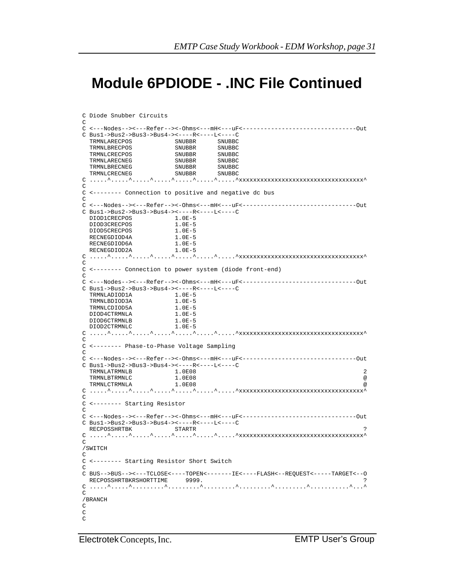# **Module 6PDIODE - .INC File Continued**

```
EMTP Data Module Workshop Slide 31
 TRMNLADIOD1A 1.0E-5 
C Diode Snubber Circuits 
\GammaC <---Nodes--><---Refer--><-Ohms<---mH<---uF<--------------------------------Out
C Bus1->Bus2->Bus3->Bus4-><----R<----L<----C 
 TRMNLARECPOS SNUBBR SNUBBC 
 TRMNLBRECPOS SNUBBR SNUBBC 
   TRMNLCRECPOS SNUBBR SNUBBC 
 TRMNLARECNEG SNUBBR SNUBBC 
 TRMNLBRECNEG SNUBBR SNUBBC
 TRMNLCRECNEG SNUBBR SNUBBC 
C_1,\ldots,\hat{C}_1,\ldots,\hat{C}_1,\ldots,\hat{C}_1,\ldots,\hat{C}_1,\ldots,\hat{C}_N,\ldots,\hat{C}_Nxxxxxxxxxxxxxxxxxxxxxxxxxxxxxxxxxx
\mathcal{C}C <-------- Connection to positive and negative dc bus 
C 
C <---Nodes--><---Refer--><-Ohms<---mH<---uF<--------------------------------Out
CBus1->Bus2->Bus3->Bus4-><-----R<-----L<----C<br>DIOD1CRECPOS 1.0E-5
  DIOD1CRECPOS 1.0E-5<br>DIOD3CRECPOS 1.0E-5
  DIOD3CRECPOS 1.0E-5<br>DIOD5CRECPOS 1.0E-5<br>RECNEGDIOD4A 1.0E-5
  DIOD5CRECPOS
  RECNEGDIOD4A 1.0E-5<br>RECNEGDIOD6A 1.0E-5
  RECNEGDIOD6A 1.0E-5<br>RECNEGDIOD2A 1.0E-5
  RECNEGDIOD2A
C_1, \ldots, \hat{C}_1, \ldots, \hat{C}_1, \ldots, \hat{C}_1, \ldots, \hat{C}_1, \ldots, \hat{C}_1, \ldots, \hat{C}_Nxxxxxxxxxxxxxxxxxxxxxxxxxxxxxxxxx
\mathcal{C}C <-------- Connection to power system (diode front-end) 
\mathcal{C}C <---Nodes--><---Refer--><-Ohms<---mH<---uF<--------------------------------Out
C Bus1->Bus2->Bus3->Bus4-><----R<----L<----C 
  TRMNLBDIOD3A 1.0E-5<br>TRMNLCDIOD5A 1.0E-5
  TRMNLCDIOD5A 1.0E-5<br>DIOD4CTRMNLA 1.0E-5<br>DIOD6CTRMNLE
 DIOD4CTRMNLA 1.0E-5<br>DIOD6CTRMNLB 1.0E-5
  DIOD6CTRMNLB 1.0E-5<br>DIOD2CTRMNLC 1.0E-5
  DIOD2CTRMNLC
C_1, \ldots, \hat{C}_1, \ldots, \hat{C}_1, \ldots, \hat{C}_1, \ldots, \hat{C}_1, \ldots, \hat{C}_1, \ldots, \hat{C}_Nxxxxxxxxxxxxxxxxxxxxxxxxxxxxxxxxx
\GammaC <-------- Phase-to-Phase Voltage Sampling 
\mathcal{C}C <---Nodes--><---Refer--><-Ohms<---mH<---uF<--------------------------------Out
C Bus1->Bus2->Bus3->Bus4-><----R<----L<----C 
  TRMNLATRMNLB 1.0E08 2<br>TRMNLBTRMNLC 1.0E08 2
   TRMNLBTRMNLC 1.0E08 @
   TRMNLCTRMNLA 1.0E08 @
C_1, \ldots, \hat{C}_1, \ldots, \hat{C}_1, \ldots, \hat{C}_1, \ldots, \hat{C}_1, \ldots, \hat{C}_N, \ldots, \hat{C}_Nxxxxxxxxxxxxxxxxxxxxxxxxxxxxxxxxx
C 
C <-------- Starting Resistor 
\GammaC <---Nodes--><---Refer--><-Ohms<---mH<---uF<--------------------------------Out
C Bus1->Bus2->Bus3->Bus4-><----R<----L<----C 
  RECPOSSHRTBK STARTR STARTR
C_1,\ldots,\hat{C}_1,\ldots,\hat{C}_1,\ldots,\hat{C}_1,\ldots,\hat{C}_1,\ldots,\hat{C}_2,\ldots,\hat{C}_Nxxxxxxxxxxxxxxxxxxxxxxxxxxxxxxxxxxx
C 
/SWITCH 
\mathcal{C}C <-------- Starting Resistor Short Switch 
\overline{C}C BUS-->BUS--><---TCLOSE<----TOPEN<-------IE<----FLASH<--REQUEST<-----TARGET<--O
  RECPOSSHRTBKRSHORTTIME 9999.
C .....^.....^.........^.........^.........^.........^.........^...........^...^
C 
/BRANCH 
\mathsf C\mathsf CC
```
Electrotek Concepts, Inc.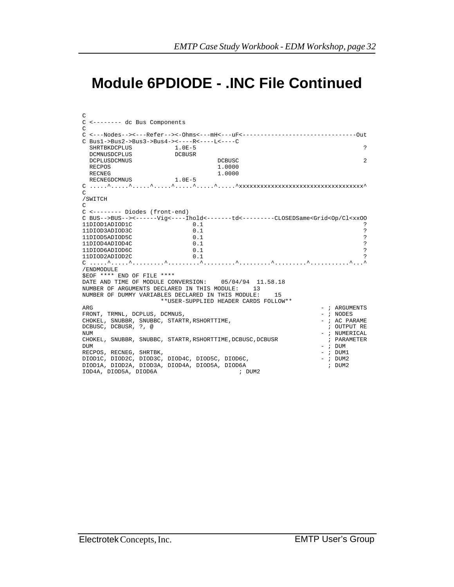# **Module 6PDIODE - .INC File Continued**

```
EMTP Data Module Workshop Slide 32
NUMBER OF DUMMY VARIABLES DECLARED IN THIS MODULE: 15 
C 
C <-------- dc Bus Components 
C 
C <---Nodes--><---Refer--><-Ohms<---mH<---uF<--------------------------------Out
C Bus1->Bus2->Bus3->Bus4-><----R<----L<----C 
SHRTBKDCPLUS 1.0E-5 ?
DCMNUSDCPLUS DCBUSR
  DCPLUSDCMNUS DCBUSC 2
 RECPOS 1.0000<br>RECNEG 1.0000 1.0000
RECNEG 1.0000
RECNEGDCMNUS 1.0E-5
C .....^.....^.....^.....^.....^.....^.....^xxxxxxxxxxxxxxxxxxxxxxxxxxxxxxxxxxx^
\Gamma/SWITCH 
C 
C <-------- Diodes (front-end) 
\verb|C BUS-->BUS-->-<----Vig<----Ihold~---+td<-----<-CLOSEDSame<Grid<Op/Cl<xx0011DDOD1ADIOD1C</math>\begin{array}{ccccccccc} 11\textrm{DIOD1ADIOD1C} & & & & 0.1 & & & & & \textbf{?} \\ 11\textrm{IIOD3ADIOD3C} & & & & & 0.1 & & & \textbf{?} \\ \end{array}11DIOD3ADIOD3C 0.1<br>11DIOD5ADIOD5C 0.1
11DIOD5ADIOD5C 0.1 ?
\begin{array}{cccccc} 11\textrm{DIOD4ADIOD4C} & & & 0.1 & & & \cr 11\textrm{DIOD6ADIOD6C} & & & & 0.1 & & \cr & & & & 0.1 & & \cr & & & & & & 2 \cr \end{array}11D IOD6AD IOD6C \hspace{1.5cm} 0.1 \\ 11D IOD2AD IOD2C \hspace{1.5cm} 0.111DIOD2ADIOD2C 0.1 ?
C .....^.....^.........^.........^.........^.........^.........^...........^...^
/ENDMODULE 
$EOF **** END OF FILE **** 
DATE AND TIME OF MODULE CONVERSION: 05/04/94 11.58.18
NUMBER OF ARGUMENTS DECLARED IN THIS MODULE: 13 
                      **USER-SUPPLIED HEADER CARDS FOLLOW** 
\overline{A}RGUMENTS - ; \overline{A}RGUMENTS
FRONT, TRMNL, DCPLUS, DCMNUS, \begin{array}{ccc} 0.7 & 0.7 \\ - & 0.7 \\ - & 0.7 \end{array} (HOKEL, SNUBBR, SNUBBC, STARTR, RSHORTTIME,
CHOKEL, SNUBBR, SNUBBC, STARTR,RSHORTTIME, DCBUSC, DCBUSR, ?, @
DCBUSC, DCBUSR, ?, @
NUMERICAL - ; NUMERICAL -CHOKEL, SNUBBR, SNUBBC, STARTR, RSHORTTIME, DCBUSC, DCBUSR \qquad ; PARAMETER
DUM - ; DUM 
RECPOS, RECNEG, SHRTBK,<br>DIOD1C, DIOD2C, DIOD3C, DIOD4C, DIOD5C, DIOD6C, National Article 2012, 2014
DIOD1C, DIOD2C, DIOD3C, DIOD4C, DIOD5C, DIOD6C, and the computation of the computation of the computation of t<br>DIOD1A, DIOD2A, DIOD3A, DIOD4A, DIOD5A, DIOD6A
DIOD1A, DIOD2A, DIOD3A, DIOD4A, DIOD5A, DIOD6A ; DUM2 
IOD4A, DIOD5A, DIOD6A
```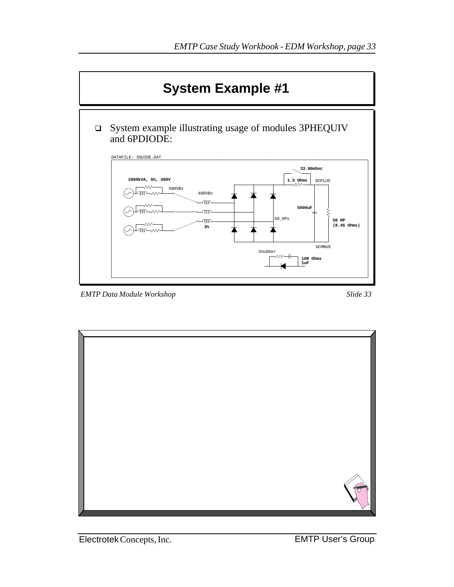

*EMTP Data Module Workshop Slide 33*

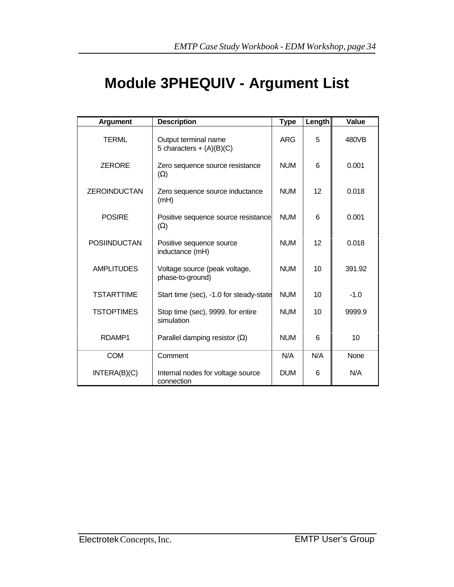# **Module 3PHEQUIV - Argument List**

| <b>Argument</b>     | <b>Description</b>                                 | <b>Type</b> | Length | Value  |
|---------------------|----------------------------------------------------|-------------|--------|--------|
| TERML               | Output terminal name<br>5 characters + $(A)(B)(C)$ | <b>ARG</b>  | 5      | 480VB  |
| <b>ZERORE</b>       | Zero sequence source resistance<br>$(\Omega)$      | <b>NUM</b>  | 6      | 0.001  |
| <b>ZEROINDUCTAN</b> | Zero sequence source inductance<br>(mH)            | <b>NUM</b>  | 12     | 0.018  |
| <b>POSIRE</b>       | Positive sequence source resistance<br>$(\Omega)$  | <b>NUM</b>  | 6      | 0.001  |
| <b>POSIINDUCTAN</b> | Positive sequence source<br>inductance (mH)        | <b>NUM</b>  | 12     | 0.018  |
| <b>AMPLITUDES</b>   | Voltage source (peak voltage,<br>phase-to-ground)  | <b>NUM</b>  | 10     | 391.92 |
| <b>TSTARTTIME</b>   | Start time (sec), -1.0 for steady-state            | <b>NUM</b>  | 10     | $-1.0$ |
| <b>TSTOPTIMES</b>   | Stop time (sec), 9999. for entire<br>simulation    | <b>NUM</b>  | 10     | 9999.9 |
| RDAMP1              | Parallel damping resistor $(\Omega)$               | <b>NUM</b>  | 6      | 10     |
| <b>COM</b>          | Comment                                            | N/A         | N/A    | None   |
| INTERA(B)(C)        | Internal nodes for voltage source<br>connection    | <b>DUM</b>  | 6      | N/A    |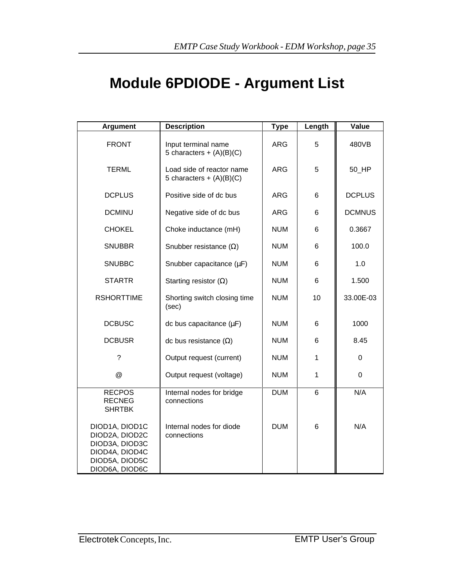# **Module 6PDIODE - Argument List**

| <b>Argument</b>                                                                                          | <b>Description</b>                                      | <b>Type</b> | Length | <b>Value</b>  |
|----------------------------------------------------------------------------------------------------------|---------------------------------------------------------|-------------|--------|---------------|
| <b>FRONT</b>                                                                                             | Input terminal name<br>5 characters + $(A)(B)(C)$       | <b>ARG</b>  | 5      | 480VB         |
| <b>TERML</b>                                                                                             | Load side of reactor name<br>5 characters + $(A)(B)(C)$ | <b>ARG</b>  | 5      | 50_HP         |
| <b>DCPLUS</b>                                                                                            | Positive side of dc bus                                 | <b>ARG</b>  | 6      | <b>DCPLUS</b> |
| <b>DCMINU</b>                                                                                            | Negative side of dc bus                                 | <b>ARG</b>  | 6      | <b>DCMNUS</b> |
| <b>CHOKEL</b>                                                                                            | Choke inductance (mH)                                   | <b>NUM</b>  | 6      | 0.3667        |
| <b>SNUBBR</b>                                                                                            | Snubber resistance $(\Omega)$                           | <b>NUM</b>  | 6      | 100.0         |
| <b>SNUBBC</b>                                                                                            | Snubber capacitance (µF)                                | <b>NUM</b>  | 6      | 1.0           |
| <b>STARTR</b>                                                                                            | Starting resistor $(\Omega)$                            | <b>NUM</b>  | 6      | 1.500         |
| <b>RSHORTTIME</b>                                                                                        | Shorting switch closing time<br>(sec)                   | <b>NUM</b>  | 10     | 33.00E-03     |
| <b>DCBUSC</b>                                                                                            | dc bus capacitance $(\mu F)$                            | <b>NUM</b>  | 6      | 1000          |
| <b>DCBUSR</b>                                                                                            | dc bus resistance $(\Omega)$                            | <b>NUM</b>  | 6      | 8.45          |
| $\overline{\phantom{a}}$                                                                                 | Output request (current)                                | <b>NUM</b>  | 1      | 0             |
| @                                                                                                        | Output request (voltage)                                | <b>NUM</b>  | 1      | $\mathbf 0$   |
| <b>RECPOS</b><br><b>RECNEG</b><br><b>SHRTBK</b>                                                          | Internal nodes for bridge<br>connections                | <b>DUM</b>  | 6      | N/A           |
| DIOD1A, DIOD1C<br>DIOD2A, DIOD2C<br>DIOD3A, DIOD3C<br>DIOD4A, DIOD4C<br>DIOD5A, DIOD5C<br>DIOD6A, DIOD6C | Internal nodes for diode<br>connections                 | <b>DUM</b>  | 6      | N/A           |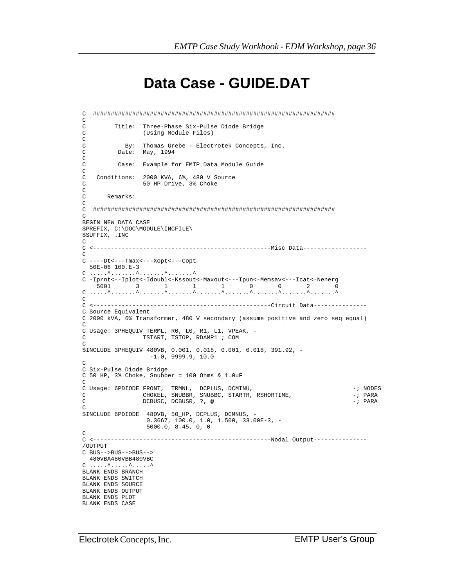### **Data Case - GUIDE.DAT**

```
EMTP Data Module Workshop Slide 36
C .....^.......^.......^.......^.......^.......^.......^.......^.......^
C ####################################################################
_{\rm C}^{\rm C}C Title: Three-Phase Six-Pulse Diode Bridge
                 (Using Module Files)
C
C By: Thomas Grebe - Electrotek Concepts, Inc.
C Date: May, 1994
C<br>C
         C Case: Example for EMTP Data Module Guide
\mathcal{C}C Conditions: 2000 KVA, 6%, 480 V Source<br>C 50 HP Drive, 3% Choke
                  50 HP Drive, 3% Choke
\frac{C}{C}C Remarks:
\frac{C}{C}C ####################################################################
\mathcal{C}BEGIN NEW DATA CASE
$PREFIX, C:\DOC\MODULE\INCFILE\
$SUFFIX, .INC
\GammaC <--------------------------------------------------Misc Data------------------
C
C ----Dt<---Tmax<---Xopt<---Copt
   50E-06 100.E-3
C ......^.......^........^.........^
C -Iprnt<--Iplot<-Idoubl<-Kssout<-Maxout<---Ipun<-Memsav<---Icat<-Nenerg
           \begin{array}{ccccccccccccccccc}\n & 3 & & 1 & & 1 & & 1 & & 0 & & 0 & & 2 & & 0\n\end{array}\overline{C}C <--------------------------------------------------Circuit Data---------------
C Source Equivalent
C 2000 kVA, 6% Transformer, 480 V secondary (assume positive and zero seq equal)
C
C Usage: 3PHEQUIV TERML, R0, L0, R1, L1, VPEAK, -
C TSTART, TSTOP, RDAMP1 ; COM
C
$INCLUDE 3PHEQUIV 480VB, 0.001, 0.018, 0.001, 0.018, 391.92, -
                    -1.0, 9999.9, 10.0
C
C Six-Pulse Diode Bridge
C 50 HP, 3% Choke, Snubber = 100 Ohms & 1.0uF
\GammaC Usage: 6PDIODE FRONT, TRMNL, DCPLUS, DCMINU, -; NODES
C CHOKEL, SNUBBR, SNUBBC, STARTR, RSHORTIME, THE START CHOREL, START CHOREL, START CHOREL, PARA
                 DCBUSC, DCBUSR, ?, @
\Gamma$INCLUDE 6PDIODE 480VB, 50_HP, DCPLUS, DCMNUS, -
                   0.3667, 100.0, 1.0, 1.500, 33.00E-3, -
                    5000.0, 8.45, 0, 0
\mathcal{C}C <--------------------------------------------------Nodal Output---------------
/OUTPUT
C BUS-->BUS-->BUS--> 480VBA480VBB480VBC
C ......^......^......^
BLANK ENDS BRANCH
BLANK ENDS SWITCH
BLANK ENDS SOURCE
BLANK ENDS OUTPUT
BLANK ENDS PLOT
BLANK ENDS CASE
```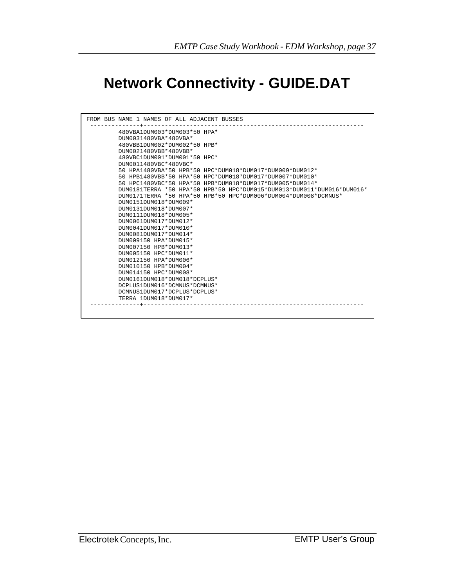# **Network Connectivity - GUIDE.DAT**

```
EMTP Data Module Workshop Slide 37
DCMNUS1DUM017*DCPLUS*DCPLUS*
FROM BUS NAME 1 NAMES OF ALL ADJACENT BUSSES
 --------------+--------------------------------------------------------------
          480VBA1DUM003*DUM003*50 HPA*
          DUM0031480VBA*480VBA*
          480VBB1DUM002*DUM002*50 HPB*
          DUM0021480VBB*480VBB*
          480VBC1DUM001*DUM001*50 HPC*
          DUM0011480VBC*480VBC*
          50 HPA1480VBA*50 HPB*50 HPC*DUM018*DUM017*DUM009*DUM012*
          50 HPB1480VBB*50 HPA*50 HPC*DUM018*DUM017*DUM007*DUM010*
          50 HPC1480VBC*50 HPA*50 HPB*DUM018*DUM017*DUM005*DUM014*
          DUM0181TERRA *50 HPA*50 HPB*50 HPC*DUM015*DUM013*DUM011*DUM016*DUM016*
          DUM0171TERRA *50 HPA*50 HPB*50 HPC*DUM006*DUM004*DUM008*DCMNUS*
          DUM0151DUM018*DUM009*
          DUM0131DUM018*DUM007*
          DUM0111DUM018*DUM005*
          DUM0061DUM017*DUM012*
          DUM0041DUM017*DUM010*
          DUM0081DUM017*DUM014*
          DUM009150 HPA*DUM015*
          DUM007150 HPB*DUM013*
          DUM005150 HPC*DUM011*
          DUM012150 HPA*DUM006*
          DUM010150 HPB*DUM004*
          DUM014150 HPC*DUM008*
          DUM0161DUM018*DUM018*DCPLUS*
          DCPLUS1DUM016*DCMNUS*DCMNUS*
          TERRA 1DUM018*DUM017*
       --------------+--------------------------------------------------------------
```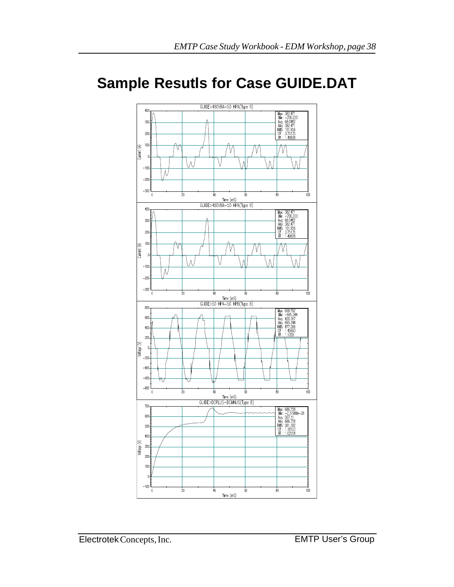# **Sample Resutls for Case GUIDE.DAT**

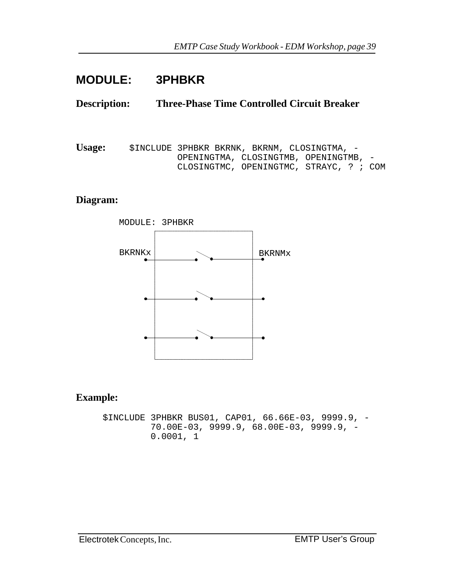## **BLANK SLIDE MODULE: 3PHBKR**

#### **Description: Three-Phase Time Controlled Circuit Breaker**

**Usage:** \$INCLUDE 3PHBKR BKRNK, BKRNM, CLOSINGTMA, - OPENINGTMA, CLOSINGTMB, OPENINGTMB, - CLOSINGTMC, OPENINGTMC, STRAYC, ? ; COM

#### **Diagram:**



#### **Example:**

\$INCLUDE 3PHBKR BUS01, CAP01, 66.66E-03, 9999.9, - 70.00E-03, 9999.9, 68.00E-03, 9999.9, - 0.0001, 1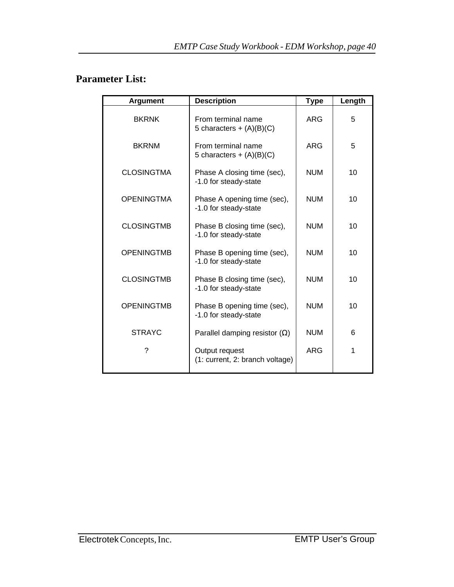### **Parameter List:**

| <b>Argument</b>   | <b>Description</b>                                   | <b>Type</b> | Length |
|-------------------|------------------------------------------------------|-------------|--------|
| <b>BKRNK</b>      | From terminal name<br>5 characters + $(A)(B)(C)$     | <b>ARG</b>  | 5      |
| <b>BKRNM</b>      | From terminal name<br>5 characters + $(A)(B)(C)$     | <b>ARG</b>  | 5      |
| <b>CLOSINGTMA</b> | Phase A closing time (sec),<br>-1.0 for steady-state | <b>NUM</b>  | 10     |
| <b>OPENINGTMA</b> | Phase A opening time (sec),<br>-1.0 for steady-state | <b>NUM</b>  | 10     |
| <b>CLOSINGTMB</b> | Phase B closing time (sec),<br>-1.0 for steady-state | <b>NUM</b>  | 10     |
| <b>OPENINGTMB</b> | Phase B opening time (sec),<br>-1.0 for steady-state | <b>NUM</b>  | 10     |
| <b>CLOSINGTMB</b> | Phase B closing time (sec),<br>-1.0 for steady-state | <b>NUM</b>  | 10     |
| <b>OPENINGTMB</b> | Phase B opening time (sec),<br>-1.0 for steady-state | <b>NUM</b>  | 10     |
| <b>STRAYC</b>     | Parallel damping resistor $(\Omega)$                 | <b>NUM</b>  | 6      |
| ?                 | Output request<br>(1: current, 2: branch voltage)    | <b>ARG</b>  | 1      |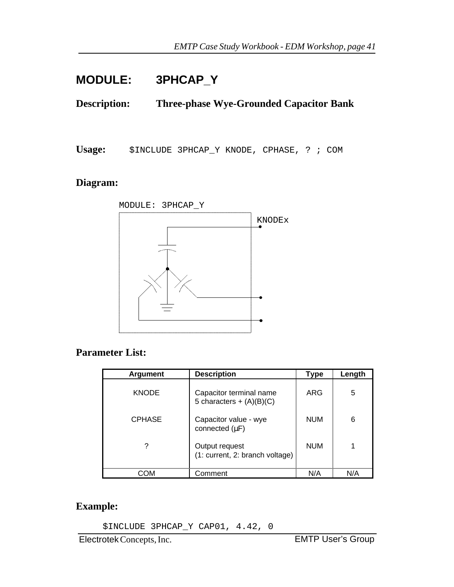## **BLANK SLIDE MODULE: 3PHCAP\_Y**

**Description: Three-phase Wye-Grounded Capacitor Bank**

**Usage:** \$INCLUDE 3PHCAP\_Y KNODE, CPHASE, ? ; COM

#### **Diagram:**



#### **Parameter List:**

| <b>Argument</b> | <b>Description</b>                                    | <b>Type</b> | Length |
|-----------------|-------------------------------------------------------|-------------|--------|
| <b>KNODE</b>    | Capacitor terminal name<br>5 characters + $(A)(B)(C)$ | ARG         | 5      |
| <b>CPHASE</b>   | Capacitor value - wye<br>connected $(\mu F)$          | <b>NUM</b>  | 6      |
| ?               | Output request<br>(1: current, 2: branch voltage)     | <b>NUM</b>  | 1      |
| COM             | Comment                                               | N/A         | N/A    |

#### **Example:**

\$INCLUDE 3PHCAP\_Y CAP01, 4.42, 0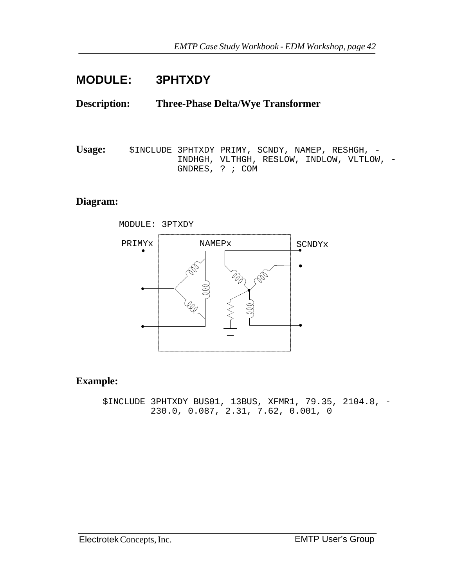### **BLANK SLIDE MODULE: 3PHTXDY**

#### **Description: Three-Phase Delta/Wye Transformer**

Usage: \$INCLUDE 3PHTXDY PRIMY, SCNDY, NAMEP, RESHGH, - INDHGH, VLTHGH, RESLOW, INDLOW, VLTLOW, - GNDRES, ? ; COM

#### **Diagram:**



#### **Example:**

\$INCLUDE 3PHTXDY BUS01, 13BUS, XFMR1, 79.35, 2104.8, - 230.0, 0.087, 2.31, 7.62, 0.001, 0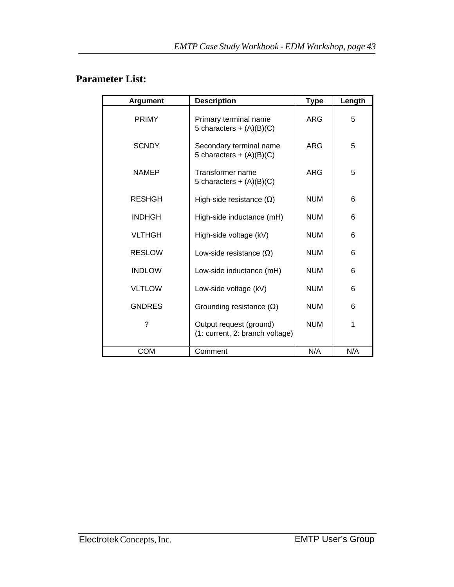### **Parameter List:**

| <b>Argument</b> | <b>Description</b>                                         | <b>Type</b> | Length |
|-----------------|------------------------------------------------------------|-------------|--------|
| <b>PRIMY</b>    | Primary terminal name<br>5 characters + $(A)(B)(C)$        | <b>ARG</b>  | 5      |
| <b>SCNDY</b>    | Secondary terminal name<br>5 characters + $(A)(B)(C)$      | <b>ARG</b>  | 5      |
| <b>NAMEP</b>    | Transformer name<br>5 characters + $(A)(B)(C)$             | <b>ARG</b>  | 5      |
| <b>RESHGH</b>   | High-side resistance $(\Omega)$                            | <b>NUM</b>  | 6      |
| <b>INDHGH</b>   | High-side inductance (mH)                                  | <b>NUM</b>  | 6      |
| <b>VLTHGH</b>   | High-side voltage (kV)                                     | <b>NUM</b>  | 6      |
| <b>RESLOW</b>   | Low-side resistance $(\Omega)$                             | <b>NUM</b>  | 6      |
| <b>INDLOW</b>   | Low-side inductance (mH)                                   | <b>NUM</b>  | 6      |
| <b>VLTLOW</b>   | Low-side voltage (kV)                                      | <b>NUM</b>  | 6      |
| <b>GNDRES</b>   | Grounding resistance $(\Omega)$                            | <b>NUM</b>  | 6      |
| ?               | Output request (ground)<br>(1: current, 2: branch voltage) | <b>NUM</b>  | 1      |
| <b>COM</b>      | Comment                                                    | N/A         | N/A    |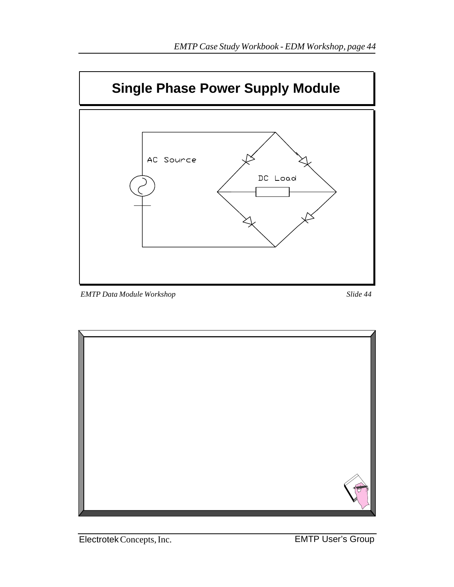

*EMTP Data Module Workshop Slide 44*

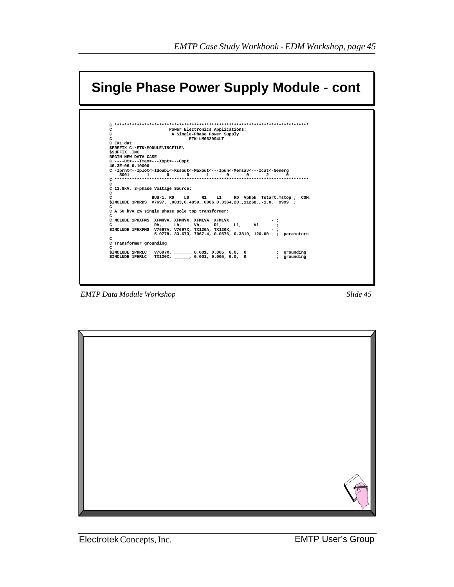| Single Phase Power Supply Module - cont                                                                                                                                                                                               |  |  |  |  |
|---------------------------------------------------------------------------------------------------------------------------------------------------------------------------------------------------------------------------------------|--|--|--|--|
| ************************************<br>Power Electronics Applications:<br>c<br>C.<br>A Single-Phase Power Supply                                                                                                                     |  |  |  |  |
| C<br>ETK-LM062994LT                                                                                                                                                                                                                   |  |  |  |  |
| C EX1.dat                                                                                                                                                                                                                             |  |  |  |  |
| \$PREFIX C:\ETK\MODULE\INCFILE\                                                                                                                                                                                                       |  |  |  |  |
| <b>SSUFFIX . INC</b>                                                                                                                                                                                                                  |  |  |  |  |
| BEGIN NEW DATA CASE<br>C ----Dt<---Tmax<---Xopt<---Copt                                                                                                                                                                               |  |  |  |  |
| 46.3E-06 0.10000                                                                                                                                                                                                                      |  |  |  |  |
| C -Iprnt<--Iplot<-Idoubl<-Kssout<-Maxout<---Ipun<-Memsav<---Icat<-Nenerg<br>$1 \quad \cdots$<br>$\Omega$<br>$\Omega$<br>$\Omega$<br>$\Omega$<br>$\overline{2}$<br>5001<br>$\mathbf{1}$<br>C<br>C 13.8kV, 3-phase Voltage Source:<br>c |  |  |  |  |
| BUS-1, R0 L0 R1 L1 RD Vphpk Tstart, Tstop; COM.<br>C<br>\$INCLUDE 3PHRDS V7697, .0033,0.4959,.0066,0.3364,20.,11268.,-1.0, 9999 ;<br>c                                                                                                |  |  |  |  |
| C A 50 kVA 2% single phase pole top transformer:<br>c                                                                                                                                                                                 |  |  |  |  |
| C NCLUDE 1PHXFMS XFMHVA, XFMHVX, XFMLVA, XFMLVX                                                                                                                                                                                       |  |  |  |  |
| Vh, Rl, Ll, Vl<br>Lh.<br>c<br>Rh,                                                                                                                                                                                                     |  |  |  |  |
| 5.0778, 33.673, 7967.4, 0.0576, 0.3819, 120.00 ; parameters                                                                                                                                                                           |  |  |  |  |
| C                                                                                                                                                                                                                                     |  |  |  |  |
| C Transformer grounding<br>C                                                                                                                                                                                                          |  |  |  |  |
| \$INCLUDE 1PHRLC TX120X, , 0.001, 0.005, 0.0, 0<br>; arounding                                                                                                                                                                        |  |  |  |  |
|                                                                                                                                                                                                                                       |  |  |  |  |

**EMTP** Data Module Workshop

Slide 45

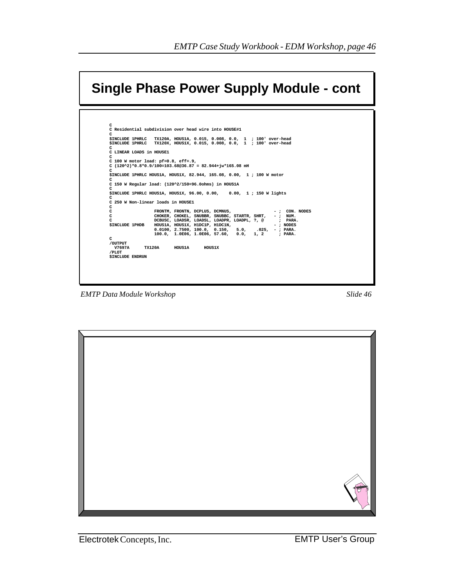

**EMTP Data Module Workshop** 

Slide 46

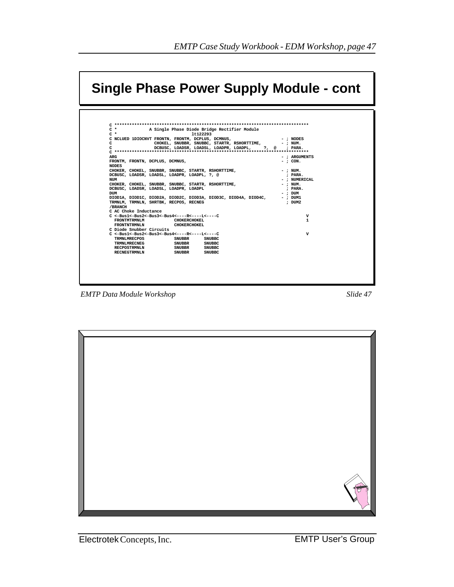| $C^*$<br>A Single Phase Diode Bridge Rectifier Module                         |                           |
|-------------------------------------------------------------------------------|---------------------------|
| $C^*$<br>1t122293<br>C NCLUED 1DIOCNVT FRONTN, FRONTM, DCPLUS, DCMNUS,        | $-$ ; NODES               |
| CHOKEL, SNUBBR, SNUBBC, STARTR, RSHORTTIME,<br>C.                             | $-$ ; NUM.                |
| C.<br>DCBUSC, LOADSR, LOADSL, LOADPR, LOADPL, ?, @ ; PARA.                    |                           |
|                                                                               |                           |
| <b>ARG</b>                                                                    | $-$ ; ARGUMENTS           |
| FRONTM, FRONTN, DCPLUS, DCMNUS,<br><b>NODES</b>                               | $-$ : CON.                |
| CHOKER, CHOKEL, SNUBBR, SNUBBC, STARTR, RSHORTTIME,                           | $-$ ; NUM.                |
| DCBUSC, LOADSR, LOADSL, LOADPR, LOADPL, ?, @                                  | : PARA.                   |
| NUM                                                                           | - : NUMERICAL             |
| CHOKER, CHOKEL, SNUBBR, SNUBBC, STARTR, RSHORTTIME,                           | $-$ ; NUM.                |
| DCBUSC, LOADSR, LOADSL, LOADPR, LOADPL                                        | : PARA.                   |
| <b>DUM</b><br>DIOD1A, DIOD1C, DIOD2A, DIOD2C, DIOD3A, DIOD3C, DIOD4A, DIOD4C, | $-$ ; DUM<br>$-$ ; $DUM1$ |
| TRMNLM, TRMNLN, SHRTBK, RECPOS, RECNEG                                        | : DUM2                    |
| /BRANCH                                                                       |                           |
| C AC Choke Inductance                                                         |                           |
| $C < -Bus1 < -Bus2 < -Bus3 < -Bus4 < - - - -R < - - - L < - - -C$             | v                         |
| <b>FRONTMTRMNLM</b><br><b>CHOKERCHOKEL</b>                                    | $\mathbf{1}$              |
| FRONTNTRMNLN<br><b>CHOKERCHOKEL</b><br>C Diode Snubber Circuits               |                           |
| $C < -Bus1 < -Bus2 < -Bus3 < -Bus4 < - - - -R < - - - L < - - -C$             | v                         |
| TRMNLMRECPOS<br>SNUBBR<br><b>SNUBBC</b>                                       |                           |
| TRMNLMRECNEG<br><b>SNUBBR</b><br><b>SNUBBC</b>                                |                           |
| <b>SNUBBR</b><br><b>RECPOSTRMNLN</b><br><b>SNUBBC</b>                         |                           |
| RECNEGTRMNLN<br>SNUBBR<br><b>SNUBBC</b>                                       |                           |
|                                                                               |                           |

*EMTP Data Module Workshop Slide 47*

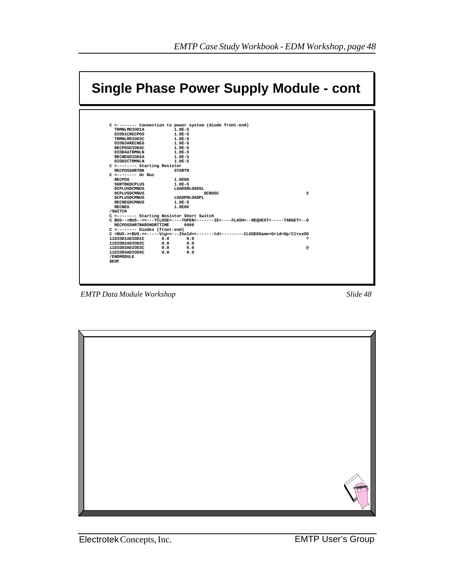|                                                                          |     |                      | Single Phase Power Supply Module - cont                                                                                            |
|--------------------------------------------------------------------------|-----|----------------------|------------------------------------------------------------------------------------------------------------------------------------|
|                                                                          |     |                      |                                                                                                                                    |
| C <-------- Connection to power system (diode front-end)                 |     |                      |                                                                                                                                    |
| TRMNLMDIOD1A                                                             |     | $1.0E-5$             |                                                                                                                                    |
| DIOD1CRECPOS                                                             |     | $1.0E-5$             |                                                                                                                                    |
| TRMNLMDIOD3C                                                             |     | $1.0E-5$             |                                                                                                                                    |
| DIOD3ARECNEG                                                             |     | $1.0E-5$             |                                                                                                                                    |
| RECPOSDIOD4C                                                             |     | $1.0E-5$             |                                                                                                                                    |
| DIOD4ATRMNLN<br>RECNEGDIOD2A                                             |     | $1.0E-5$<br>$1.0E-5$ |                                                                                                                                    |
| DIOD2CTRMNLN                                                             |     | $1.0E-5$             |                                                                                                                                    |
| C <-------- Starting Resistor                                            |     |                      |                                                                                                                                    |
| <b>RECPOSSHRTBK</b>                                                      |     | <b>STARTR</b>        |                                                                                                                                    |
| $C \leftarrow \leftarrow \leftarrow \leftarrow \leftarrow \text{dc}$ Bus |     |                      |                                                                                                                                    |
| <b>RECPOS</b>                                                            |     | 1.0E06               |                                                                                                                                    |
| <b>SHRTBKDCPLUS</b>                                                      |     | $1.0E-5$             |                                                                                                                                    |
| <b>DCPLUSDCMNUS</b>                                                      |     | LOADSRLOADSL         |                                                                                                                                    |
| <b>DCPLUSDCMNUS</b>                                                      |     | DCBUSC               | $\overline{a}$                                                                                                                     |
| <b>DCPLUSDCMNUS</b>                                                      |     | LOADPRLOADPL         |                                                                                                                                    |
| <b>RECNEGDCMNUS</b>                                                      |     | $1.0E-5$             |                                                                                                                                    |
| <b>RECNEG</b>                                                            |     | 1.0E06               |                                                                                                                                    |
| /SWITCH                                                                  |     |                      |                                                                                                                                    |
| C <-------- Starting Resistor Short Switch                               |     |                      | C BUS-->BUS--><---TCLOSE<----TOPEN<-------IE<----FLASH<--REOUEST<----TARGET<--0                                                    |
| <b>RECPOSSHRTBKRSHORTTIME</b>                                            |     | 9999                 |                                                                                                                                    |
| C <-------- Diodes (front-end)                                           |     |                      |                                                                                                                                    |
|                                                                          |     |                      | C <bus-><bus->&lt;-----Vig&gt;&lt;---Ihold&gt;&lt;-----td&lt;--------CLOSEDSame<grid<op cl<xxoo<="" th=""></grid<op></bus-></bus-> |
| 11DIOD1ADIOD1C                                                           | 0.0 | 0.0                  | S.                                                                                                                                 |
| 11DIOD2ADIOD2C                                                           | 0.0 | 0.0                  |                                                                                                                                    |
| 11DIOD3ADIOD3C                                                           | 0.0 | 0.0                  | @                                                                                                                                  |
| 11DIOD4ADIOD4C<br>/ENDMODULE                                             | 0.0 | 0.0                  |                                                                                                                                    |
| <b>SEOF</b>                                                              |     |                      |                                                                                                                                    |
|                                                                          |     |                      |                                                                                                                                    |
|                                                                          |     |                      |                                                                                                                                    |
|                                                                          |     |                      |                                                                                                                                    |

**EMTP** Data Module Workshop

Slide 48

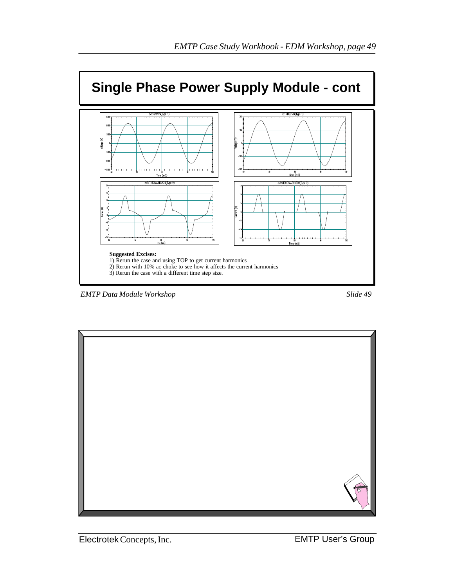

*EMTP Data Module Workshop Slide 49*



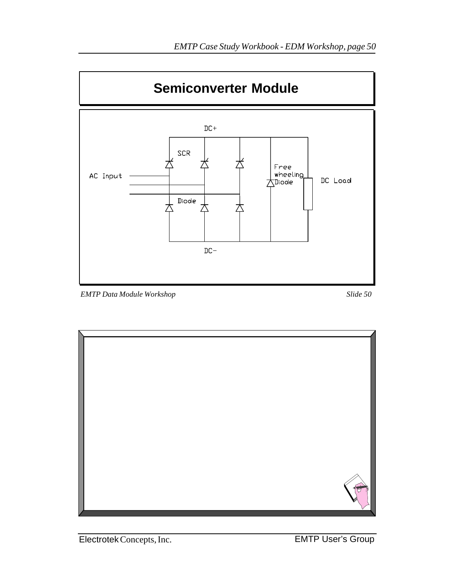

*EMTP Data Module Workshop Slide 50*

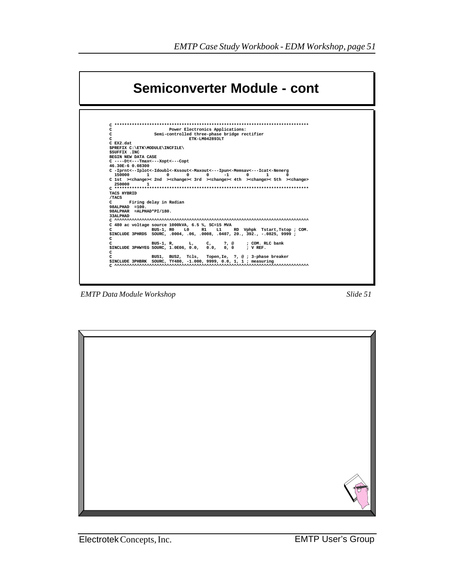

**EMTP Data Module Workshop** 

Slide 51

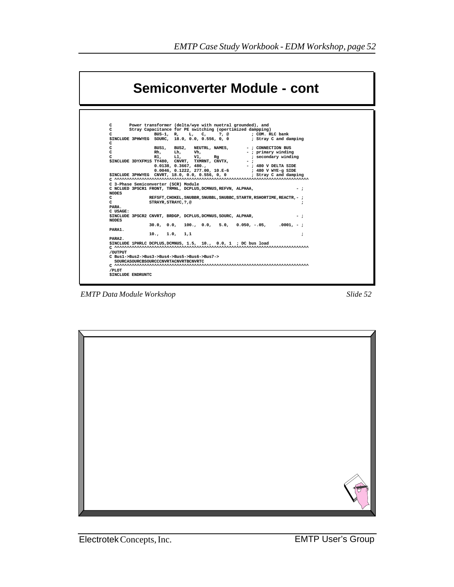|                                               | Semiconverter Module - cont                                                                                                                                                                                                                                                                                                                                                                         |  |  |  |  |
|-----------------------------------------------|-----------------------------------------------------------------------------------------------------------------------------------------------------------------------------------------------------------------------------------------------------------------------------------------------------------------------------------------------------------------------------------------------------|--|--|--|--|
| C.<br>C.<br>C<br>c<br>C.<br>c<br>C            | Power transformer (delta/wye with nuetral grounded), and<br>Stray Capacitance for PE switching (opertimized dampping)<br>BUS-1, R, L, C, ?, @<br>: COM. RLC bank<br>; Stray C and damping<br>\$INCLUDE 3PHWYEG SOURC, 18.0, 0.0, 0.556, 0, 0<br>NEUTRL, NAMES,<br>- : CONNECTION BUS<br>BUS1.<br>BUS2,<br>Vh,<br>Rh.<br>Lh.<br>-; primary winding<br>Ll,<br>Rl.<br>Vl,<br>; secondary winding<br>Ra |  |  |  |  |
| <b>NODES</b>                                  | \$INCLUDE 3DYXFM1S TY480, CNVRT, TXMRNT, CNVTX,<br>$-$ :<br>0.0138, 0.3667, 480.<br>-; 480 V DELTA SIDE<br>$0.0046, 0.1222, 277.00, 10.E-6$<br>; 480 V WYE-g SIDE<br>\$INCLUDE 3PHWYEG CNVRT, 18.0, 0.0, 0.556, 0, 0<br>; Stray C and damping<br>C 3-Phase Semiconverter (SCR) Module<br>C NCLUED 3PSCR1 FRONT, TRMNL, DCPLUS, DCMNUS, REFVN, ALPHAA,<br>$-$ :                                      |  |  |  |  |
| C<br>C<br>PARA.<br>C USAGE:                   | REFSFT, CHOKEL, SNUBBR, SNUBBL, SNUBBC, STARTR, RSHORTIME, REACTR, - ;<br>STRAYR, STRAYC, ?, @<br>;                                                                                                                                                                                                                                                                                                 |  |  |  |  |
| <b>NODES</b>                                  | \$INCLUDE 3PSCR2 CNVRT, BRDGP, DCPLUS, DCMNUS, SOURC, ALPHAR,<br>$-$ :<br>$30.0, 0.0, 100., 0.0, 5.0, 0.050, -.05, .0001, -;$                                                                                                                                                                                                                                                                       |  |  |  |  |
| PARA1.<br>PARA2.                              | 10., 1.0, 1.1<br>$\ddot{\phantom{0}}$<br>\$INCLUDE 1PHRLC DCPLUS, DCMNUS, 1.5, 10., 0.0, 1; DC bus load                                                                                                                                                                                                                                                                                             |  |  |  |  |
| /OUTPUT<br>/PLOT<br><b>\$INCLUDE ENDRUNTC</b> | C Bus1->Bus2->Bus3->Bus4->Bus5->Bus6->Bus7-><br>SOURCASOURCBSOURCCCNVRTACNVRTBCNVRTC                                                                                                                                                                                                                                                                                                                |  |  |  |  |

*EMTP Data Module Workshop Slide 52*

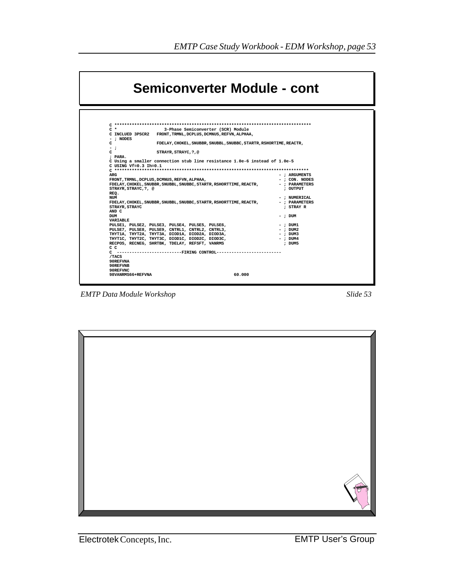| Semiconverter Module - cont                                                                                                                                                                                                                                                                                                                                                                                                                                                                                                                                                                                                                                                                                               |                                                                                                                                              |  |  |  |
|---------------------------------------------------------------------------------------------------------------------------------------------------------------------------------------------------------------------------------------------------------------------------------------------------------------------------------------------------------------------------------------------------------------------------------------------------------------------------------------------------------------------------------------------------------------------------------------------------------------------------------------------------------------------------------------------------------------------------|----------------------------------------------------------------------------------------------------------------------------------------------|--|--|--|
| $C^*$<br>3-Phase Semiconverter (SCR) Module<br>C INCLUED 3PSCR2<br>FRONT, TRMNL, DCPLUS, DCMNUS, REFVN, ALPHAA,<br>$-$ ; NODES<br>FDELAY, CHOKEL, SNUBBR, SNUBBL, SNUBBC, STARTR, RSHORTIME, REACTR,<br>- :<br>STRAYR, STRAYC, ?, @<br>: PARA.<br>C Using a smaller connection stub line resistance 1.0e-6 instead of 1.0e-5<br>C USING $Vf=0.3$ Ih=0.1<br>ARG<br>FRONT, TRMNL, DCPLUS, DCMNUS, REFVN, ALPHAA,<br>FDELAY, CHOKEL, SNUBBR, SNUBBL, SNUBBC, STARTR, RSHORTTIME, REACTR,<br>STRAYR, STRAYC, ?, @<br>REQ.<br><b>NUM</b><br>FDELAY, CHOKEL, SNUBBR, SNUBBL, SNUBBC, STARTR, RSHORTTIME, REACTR,<br>STRAYR, STRAYC<br>AND C<br><b>DUM</b><br><b>VARTABLE</b><br>PULSE1, PULSE2, PULSE3, PULSE4, PULSE5, PULSE6, | - : ARGUMENTS<br>$-$ : CON. NODES<br>$-$ ; PARAMETERS<br>; OUTPUT<br>- : NUMERICAL<br>$-$ ; PARAMETERS<br>: STRAY R<br>$-$ : DUM<br>- : DUM1 |  |  |  |
| PULSE7, PULSE8, PULSE9, CNTRL1, CNTRL2, CNTRL3,<br>THYT1A, THYT2A, THYT3A, DIOD1A, DIOD2A, DIOD3A,<br>THYTIC, THYT2C, THYT3C, DIOD1C, DIOD2C, DIOD3C,<br>RECPOS, RECNEG, SHRTBK, TDELAY, REFSFT, VANRMS<br>c c<br>C -------------------------FIRING CONTROL--------------------------<br>/TACS<br>90REFVNA<br>90REFVNB                                                                                                                                                                                                                                                                                                                                                                                                    | $-$ : DUM2<br>$-$ : DUM3<br>$-$ : DUM4<br>: DUM5                                                                                             |  |  |  |
| 90REFVNC<br>60,000<br>98VANRMS66+REFVNA                                                                                                                                                                                                                                                                                                                                                                                                                                                                                                                                                                                                                                                                                   |                                                                                                                                              |  |  |  |

*EMTP Data Module Workshop Slide 53*

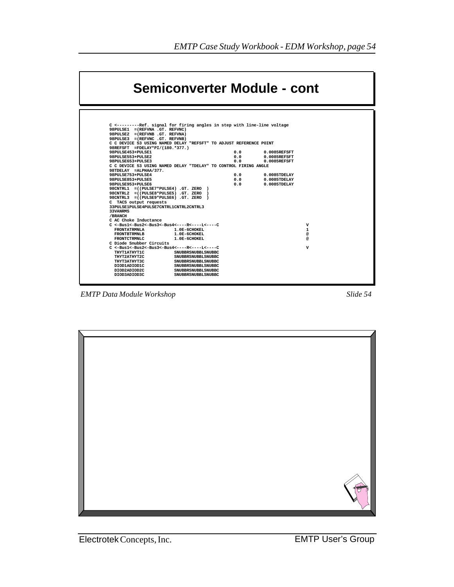

*EMTP Data Module Workshop Slide 54*



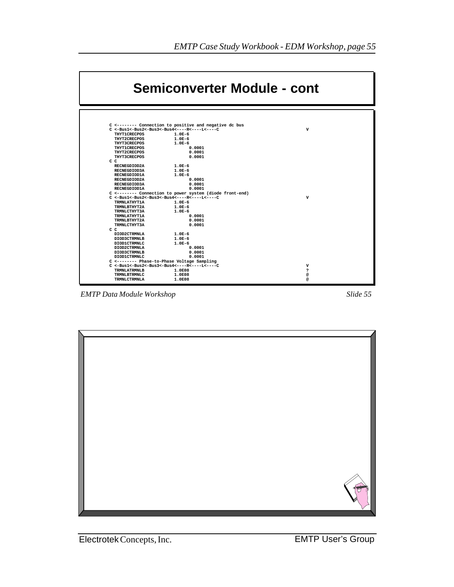

*EMTP Data Module Workshop Slide 55*

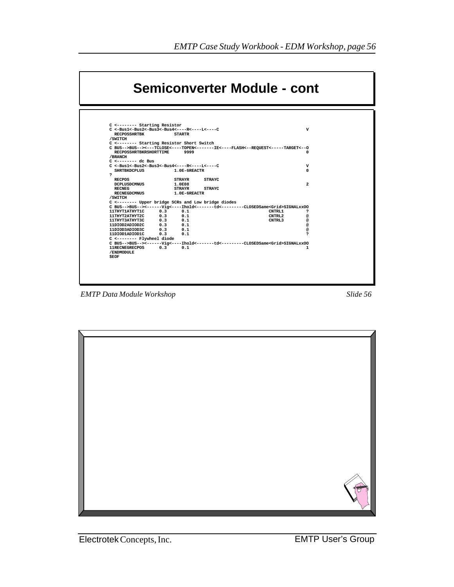|                                                                             | <b>Semiconverter Module - cont</b> |                                                     |                                                                                         |  |
|-----------------------------------------------------------------------------|------------------------------------|-----------------------------------------------------|-----------------------------------------------------------------------------------------|--|
|                                                                             |                                    |                                                     |                                                                                         |  |
| C <-------- Starting Resistor                                               |                                    |                                                     |                                                                                         |  |
| $C \leq -Bus1 \leq -Bus2 \leq -Bus3 \leq -Bus4 \leq - - -R \leq - - - - LC$ |                                    |                                                     | $\mathbf v$                                                                             |  |
| <b>RECPOSSHRTBK</b>                                                         | <b>STARTR</b>                      |                                                     |                                                                                         |  |
| /SWITCH                                                                     |                                    |                                                     |                                                                                         |  |
| C <-------- Starting Resistor Short Switch                                  |                                    |                                                     |                                                                                         |  |
|                                                                             |                                    |                                                     | C BUS-->BUS--><---TCLOSE<----TOPEN<-------IE<----FLASH<--REOUEST<----TARGET<--0         |  |
| <b>RECPOSSHRTBKRSHORTTIME</b>                                               |                                    | 9999                                                | $\Omega$                                                                                |  |
| /BRANCH                                                                     |                                    |                                                     |                                                                                         |  |
| $C$ <-------- dc Bus                                                        |                                    |                                                     |                                                                                         |  |
| $C < -Bus1 < -Bus2 < -Bus3 < -Bus4 < - - - -R < - - - L < - - -C$           |                                    |                                                     | v                                                                                       |  |
| <b>SHRTBKDCPLUS</b>                                                         |                                    | 1.0E-6REACTR                                        | $\Omega$                                                                                |  |
| ,<br><b>RECPOS</b>                                                          |                                    | <b>STRAYC</b>                                       |                                                                                         |  |
|                                                                             | <b>STRAYR</b>                      |                                                     | $\mathbf{2}$                                                                            |  |
| <b>DCPLUSDCMNUS</b><br><b>RECNEG</b>                                        | 1.0E08<br><b>STRAYR</b>            | <b>STRAYC</b>                                       |                                                                                         |  |
| <b>RECNEGDCMNUS</b>                                                         |                                    | $1.0E-6REACTR$                                      |                                                                                         |  |
| /SWITCH                                                                     |                                    |                                                     |                                                                                         |  |
|                                                                             |                                    | C <-------- Upper bridge SCRs and Low bridge diodes |                                                                                         |  |
|                                                                             |                                    |                                                     | C BUS-->BUS--><------Vig<----Ihold<-------td<--------CLOSEDSame <grid>SIGNALxxOO</grid> |  |
| 11THYT1ATHYT1C                                                              | 0.3<br>0.1                         |                                                     | <b>CNTRL1</b><br><sup>2</sup>                                                           |  |
| 11THYT2ATHYT2C                                                              | 0.3<br>0.1                         |                                                     | CNTRL2<br>@                                                                             |  |
| 11THYT3ATHYT3C                                                              | 0.1<br>0.3                         |                                                     | CNTRL <sub>3</sub><br>@                                                                 |  |
| 11DIOD2ADIOD2C                                                              | 0.1<br>0.3                         |                                                     | @                                                                                       |  |
| 11DIOD3ADIOD3C                                                              | 0.3<br>0.1                         |                                                     | @                                                                                       |  |
| 11DIOD1ADIOD1C                                                              | 0.1<br>0.3                         |                                                     | ,                                                                                       |  |
| C <-------- Flywheel diode                                                  |                                    |                                                     |                                                                                         |  |
|                                                                             |                                    |                                                     | C_BUS-->BUS--><------Vig<----Thold<-------td<--------CLOSEDSame <grid>SIGNALxxOO</grid> |  |
| 11RECNEGRECPOS                                                              | 0.3<br>0.1                         |                                                     | 1                                                                                       |  |
| /ENDMODULE                                                                  |                                    |                                                     |                                                                                         |  |
| <b>SEOF</b>                                                                 |                                    |                                                     |                                                                                         |  |

*EMTP Data Module Workshop Slide 56*

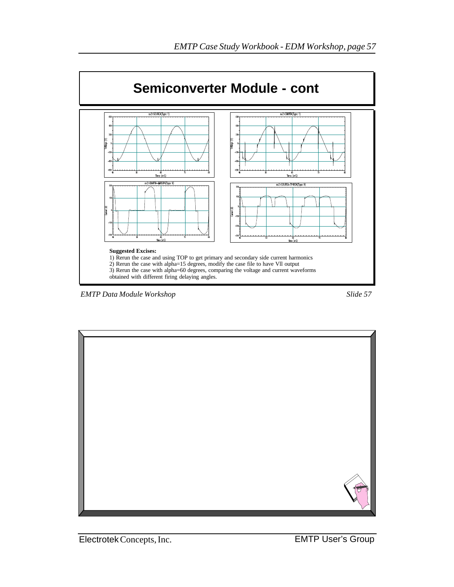



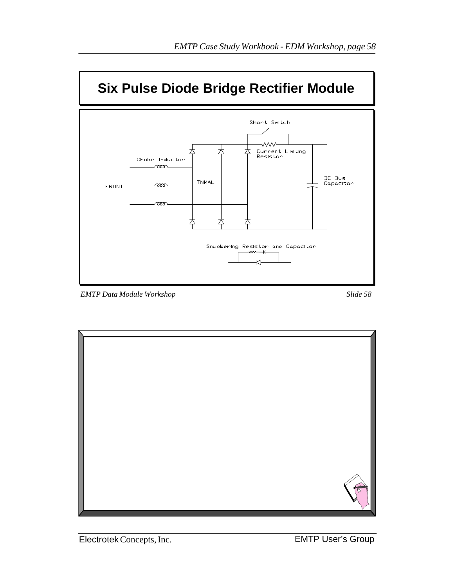

*EMTP Data Module Workshop Slide 58*

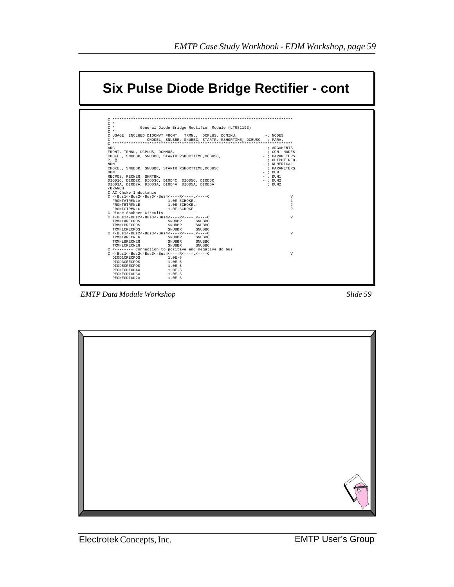

*EMTP Data Module Workshop Slide 59*

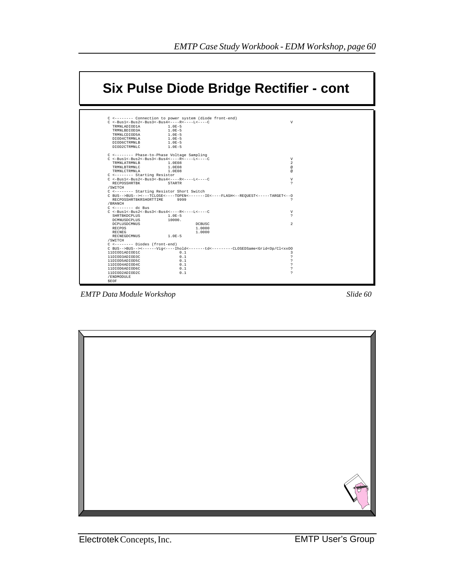|                                               |                                                                                                                 | Six Pulse Diode Bridge Rectifier - cont |
|-----------------------------------------------|-----------------------------------------------------------------------------------------------------------------|-----------------------------------------|
|                                               | C <-------- Connection to power system (diode front-end)                                                        |                                         |
|                                               | $C \leq -Bus1 < -Bus2 < -Bus3 < -Bus4 < - - - -R < - - - L < - - -C$                                            | V                                       |
| TRMNLADIOD1A                                  | $1.0E - 5$                                                                                                      |                                         |
| TRMNLBDIOD3A                                  | $1.0E - 5$                                                                                                      |                                         |
| TRMNLCDIOD5A                                  | $1.0E-5$<br>$1.0E - 5$                                                                                          |                                         |
| DIOD4CTRMNLA<br>DIOD6CTRMNLB                  | $1.0E - 5$                                                                                                      |                                         |
| DIOD2CTRMNLC                                  | $1.0E - 5$                                                                                                      |                                         |
|                                               | C <-------- Phase-to-Phase Voltage Sampling                                                                     |                                         |
|                                               | $C \leq -Bus1 \leq -Bus2 \leq -Bus3 \leq -Bus4 \leq - - -R \leq - - - -L \leq - - - -C$                         | V                                       |
| TRMNLATRMNLB                                  | 1.0E08                                                                                                          | $\mathfrak{D}$                          |
| TRMNLBTRMNLC                                  | 1.0E08                                                                                                          | $\circledR$                             |
| TRMNLCTRMNLA<br>C <-------- Starting Resistor | 1.0E08                                                                                                          | $\circledR$                             |
|                                               | $C \leq -Bus1 \leq -Bus2 \leq -Bus3 \leq -Bus4 \leq - - -R \leq - - - -L \leq - - - -C$                         | V                                       |
| RECPOSSHRTBK                                  | STARTR                                                                                                          | ς                                       |
| /SWITCH                                       |                                                                                                                 |                                         |
|                                               | C <-------- Starting Resistor Short Switch                                                                      |                                         |
|                                               | C BUS-->BUS--><---TCLOSE<----TOPEN<------IE<----FLASH<--REOUEST<----TARGET<--0                                  |                                         |
| RECPOSSHRTBKRSHORTTIME<br>/ RRANCH            | 9999                                                                                                            | ς                                       |
| $C$ <-------- dc Bus                          |                                                                                                                 |                                         |
|                                               | $C \leq -Bus1 < -Bus2 < -Bus3 < -Bus4 < - - - -R < - - - L < - - -C$                                            | V<br>$\hat{ }$                          |
| SHRTBKDCPLUS<br>DCMNUSDCPLUS                  | $1.0E - 5$<br>10000.                                                                                            |                                         |
| <b>DCPLUSDCMNUS</b>                           | <b>DCBUSC</b>                                                                                                   | $\mathfrak{D}$                          |
| <b>RECPOS</b>                                 | 1,0000                                                                                                          |                                         |
| <b>RECNEG</b>                                 | 1,0000                                                                                                          |                                         |
| RECNEGDCMNUS                                  | $1.0E-5$                                                                                                        |                                         |
| /SWITCH                                       |                                                                                                                 |                                         |
| C <-------- Diodes (front-end)                |                                                                                                                 |                                         |
|                                               | C BUS-->BUS--><------Viq<-----Ihold<-------td<--------CLOSEDSame <grid<op cl<xxoo<="" td=""><td></td></grid<op> |                                         |
| 11DIOD1ADIOD1C                                | 0.1                                                                                                             | 3                                       |
| 11DIOD3ADIOD3C<br>11DIOD5ADIOD5C              | 0.1<br>0.1                                                                                                      | ς<br>ς                                  |
| 11DIOD4ADIOD4C                                | 0.1                                                                                                             |                                         |
| 11DIOD6ADIOD6C                                | 0.1                                                                                                             | <sup>2</sup>                            |
| 11DIOD2ADIOD2C                                | 0.1                                                                                                             | ς                                       |
| /ENDMODULE                                    |                                                                                                                 |                                         |
| SEOF                                          |                                                                                                                 |                                         |

*EMTP Data Module Workshop Slide 60*

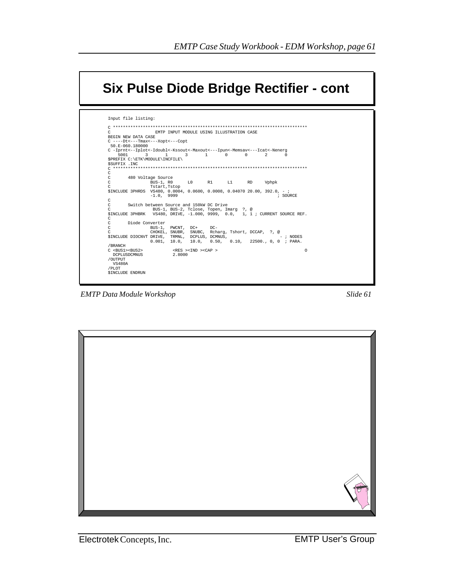

**EMTP Data Module Workshop** 

Slide 61

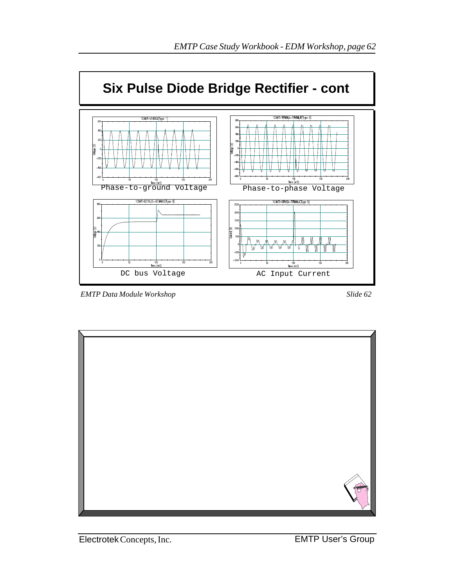

*EMTP Data Module Workshop Slide 62*

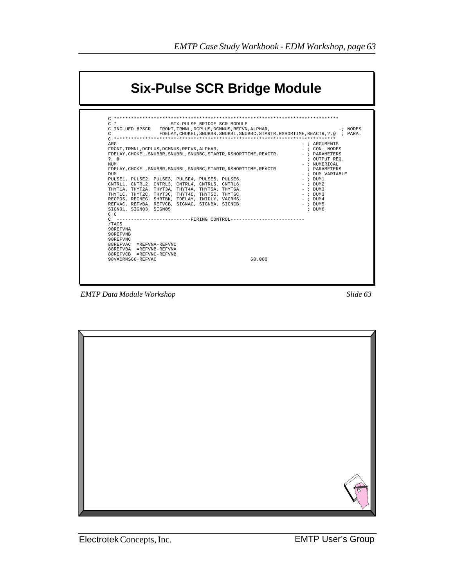

| $C^*$<br>SIX-PULSE BRIDGE SCR MODULE                                                    |                     |
|-----------------------------------------------------------------------------------------|---------------------|
| C INCLUED 6PSCR FRONT, TRMNL, DCPLUS, DCMNUS, REFVN, ALPHAR,                            | -; NODES            |
| $\mathcal{C}$<br>FDELAY.CHOKEL.SNUBBR.SNUBBL.SNUBBC.STARTR.RSHORTIME.REACTR.?.@ ; PARA. |                     |
|                                                                                         |                     |
| ARG                                                                                     | $-$ ; ARGUMENTS     |
| FRONT. TRMNL. DCPLUS. DCMNUS. REFVN. ALPHAR.                                            | $-$ ; CON, NODES    |
| FDELAY, CHOKEL, SNUBBR, SNUBBL, SNUBBC, STARTR, RSHORTTIME, REACTR,                     | - ; PARAMETERS      |
| $?$ . @                                                                                 | ; OUTPUT REO.       |
| <b>NTIM</b>                                                                             | $-$ ; NUMERICAL     |
| FDELAY, CHOKEL, SNUBBR, SNUBBL, SNUBBC, STARTR, RSHORTTIME, REACTR                      | ; PARAMETERS        |
| <b>DIM</b>                                                                              | $-$ ; DIIM VARTABLE |
| PULSE1, PULSE2, PULSE3, PULSE4, PULSE5, PULSE6,                                         | $-$ ; DIJM1         |
| CNTRL1, CNTRL2, CNTRL3, CNTRL4, CNTRL5, CNTRL6,                                         | $-$ ; DIJM2         |
| THYTIA, THYT2A, THYT3A, THYT4A, THYT5A, THYT6A,                                         | $-$ ; DIJM3         |
| THYTIC, THYT2C, THYT3C, THYT4C, THYT5C, THYT6C,                                         | $-$ ; DIJM3         |
| RECPOS, RECNEG, SHRTBK, TDELAY, INIDLY, VACRMS,                                         | $-$ ; DIJM4         |
| REFVAC, REFVBA, REFVCB, SIGNAC, SIGNBA, SIGNCB,                                         | $-$ ; DIJM5         |
| SIGN01, SIGN03, SIGN05                                                                  | ; DIJM6             |
| $C$ $C$                                                                                 |                     |
| C -------------------------FIRING CONTROL---------------------------                    |                     |
| /TACS                                                                                   |                     |
| 90REFVNA                                                                                |                     |
| 90REFVNB                                                                                |                     |
| 90REFVNC                                                                                |                     |
| 88REFVAC = REFVNA-REFVNC                                                                |                     |
| 88REFVBA =REFVNB-REFVNA                                                                 |                     |
| 88REFVCB =REFVNC-REFVNB                                                                 |                     |
| 60.000<br>98VACRMS66+REFVAC                                                             |                     |
|                                                                                         |                     |

*EMTP Data Module Workshop Slide 63*

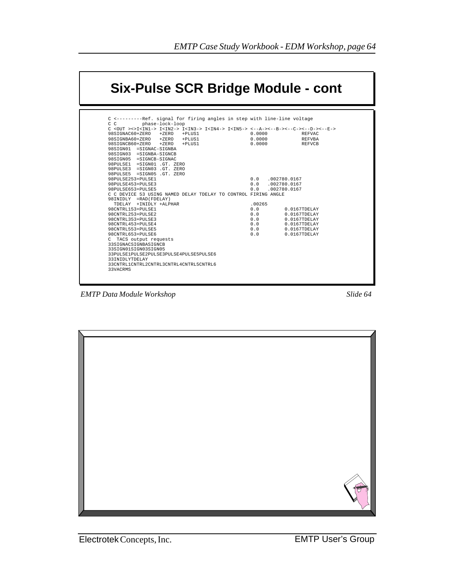## **Six-Pulse SCR Bridge Module - cont**

| $C$ <out>&lt;&gt;I<in1-> I<in2-> I<in3-> I<in4-> I<in5-> &lt;--A-&gt;&lt;--B-&gt;&lt;--C-&gt;&lt;--D-&gt;&lt;--D-&gt;&lt;--E-&gt;</in5-></in4-></in3-></in2-></in1-></out> |        |                        |
|----------------------------------------------------------------------------------------------------------------------------------------------------------------------------|--------|------------------------|
| 98SIGNAC60+ZERO +ZERO +PLUS1                                                                                                                                               | 0.0000 | REFVAC                 |
| 98SIGNBA60+ZERO +ZERO +PLUS1                                                                                                                                               | 0.0000 | <b>REFVBA</b>          |
| 98SIGNCB60+ZERO +ZERO +PLUS1                                                                                                                                               | 0.0000 | REFVCB                 |
| 98STGN01 = STGNAC-STGNBA                                                                                                                                                   |        |                        |
| 98SIGN03 = SIGNBA-SIGNCB                                                                                                                                                   |        |                        |
| 98SIGN05 =SIGNCB-SIGNAC                                                                                                                                                    |        |                        |
| 98PULSE1 = SIGN01 .GT. ZERO                                                                                                                                                |        |                        |
| 98PULSE3 =SIGN03 GT. ZERO                                                                                                                                                  |        |                        |
| 98PULSE5 = SIGN05 .GT. ZERO                                                                                                                                                |        |                        |
| 98PULSE253+PULSE1                                                                                                                                                          |        | $0.0$ . $002780.0167$  |
| 98PULSE453+PULSE3                                                                                                                                                          |        | $0.0$ . $0.02780.0167$ |
| 98PULSE653+PULSE5                                                                                                                                                          |        | $0.0$ . $0.02780.0167$ |
| C C DEVICE 53 USING NAMED DELAY TDELAY TO CONTROL FIRING ANGLE                                                                                                             |        |                        |
| 98INIDLY = RAD (FDELAY)                                                                                                                                                    |        |                        |
| TDELAY +INIDLY +ALPHAR                                                                                                                                                     | .00265 |                        |
| 98CNTRL153+PULSE1                                                                                                                                                          | 0.0    | 0.0167TDFLAY           |
| 98CNTRL253+PULSE2                                                                                                                                                          | 0.0    | 0.0167TDFLAY           |
| 98CNTRL353+PULSE3                                                                                                                                                          | 0.0    | 0.0167TDFLAY           |
| 98CNTRL453+PULSE4                                                                                                                                                          | 0.0    | 0.0167TDFLAY           |
| 98CNTRL553+PULSE5                                                                                                                                                          |        | $0.0$ $0.0167$ TDELAY  |
| 98CNTRL653+PULSE6                                                                                                                                                          | 0.0    | 0.0167TDFLAY           |
| C TACS output requests                                                                                                                                                     |        |                        |
| 33SIGNACSIGNBASIGNCB                                                                                                                                                       |        |                        |
| 33STGN01STGN03STGN05                                                                                                                                                       |        |                        |
| 33PULSE1PULSE2PULSE3PULSE4PULSE5PULSE6                                                                                                                                     |        |                        |
| 33INIDLYTDELAY                                                                                                                                                             |        |                        |
| 33CNTRL1CNTRL2CNTRL3CNTRL4CNTRL5CNTRL6                                                                                                                                     |        |                        |
| 33VACRMS                                                                                                                                                                   |        |                        |

*EMTP Data Module Workshop Slide 64*

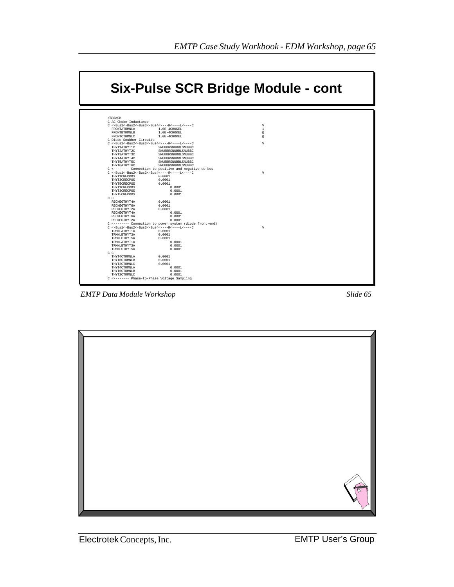

*EMTP Data Module Workshop Slide 65*

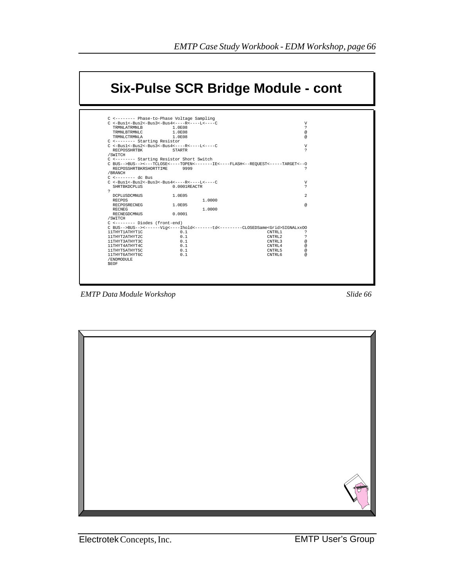|                                                                       |                  |        | Six-Pulse SCR Bridge Module - cont                                                     |                             |
|-----------------------------------------------------------------------|------------------|--------|----------------------------------------------------------------------------------------|-----------------------------|
|                                                                       |                  |        |                                                                                        |                             |
| C <-------- Phase-to-Phase Voltage Sampling                           |                  |        |                                                                                        |                             |
| $C \le -Bus1 < -Bus2 < -Bus3 < -Bus4 < - - - -R < - - - L < - - - C$  |                  |        |                                                                                        | V                           |
| TRMNI, ATRMNI, B                                                      | 1.0E08           |        |                                                                                        | 2                           |
| TRMNLBTRMNLC<br>TRMNLCTRMNLA                                          | 1.0E08<br>1.0E08 |        |                                                                                        | $^{\copyright}$<br>$\omega$ |
| C <-------- Starting Resistor                                         |                  |        |                                                                                        |                             |
| $C \leq -Bus1 < -Bus2 < -Bus3 < -Bus4 < - - - -R < - - - L < - - - C$ |                  |        |                                                                                        | V                           |
| RECPOSSHRTBK                                                          | <b>STARTR</b>    |        |                                                                                        | 2                           |
| /SWITCH                                                               |                  |        |                                                                                        |                             |
| C <------- Starting Resistor Short Switch                             |                  |        |                                                                                        |                             |
|                                                                       |                  |        | C BUS-->BUS--><---TCLOSE<----TOPEN<------IE<----FLASH<--REQUEST<----TARGET<--0         |                             |
| RECPOSSHRTBKRSHORTTIME                                                | 9999             |        |                                                                                        | <sup>2</sup>                |
| /BRANCH                                                               |                  |        |                                                                                        |                             |
| $C$ <-------- dc Bus                                                  |                  |        |                                                                                        |                             |
| $C \leq -Bus1 < -Bus2 < -Bus3 < -Bus4 < - - - -R < - - - L < - - - C$ |                  |        |                                                                                        | V                           |
| SHRTBKDCPLUS                                                          | 0.0001REACTR     |        |                                                                                        | $\mathcal{L}$               |
| $\sim$                                                                | 1.0E05           |        |                                                                                        | $\mathfrak{D}$              |
| DCPLUSDCMNUS<br><b>RECPOS</b>                                         |                  | 1,0000 |                                                                                        |                             |
| RECPOSRECNEG                                                          | 1.0E05           |        |                                                                                        | $\omega$                    |
| RECNEG                                                                |                  | 1.0000 |                                                                                        |                             |
| RECNEGDCMNUS                                                          | 0.0001           |        |                                                                                        |                             |
| /SWITCH                                                               |                  |        |                                                                                        |                             |
| C <------- Diodes (front-end)                                         |                  |        |                                                                                        |                             |
|                                                                       |                  |        | C BUS-->BUS--><------Viq<----Ihold<------td<--------CLOSEDSame <grid>SIGNALxxOO</grid> |                             |
| 11THYT1ATHYT1C                                                        | 0.1              |        | CNTRL1                                                                                 | 2                           |
| 11THYT2ATHYT2C                                                        | 0.1              |        | CNTRL2                                                                                 | <sup>2</sup>                |
| 11THYT3ATHYT3C                                                        | 0.1              |        | CNTRL3                                                                                 | $^{\copyright}$             |
| 11THYT4ATHYT4C                                                        | 0.1              |        | CNTRL4                                                                                 | $\omega$                    |
| 11THYT5ATHYT5C                                                        | 0.1              |        | CNTRL5                                                                                 | $\omega$                    |
| 11THYT6ATHYT6C                                                        | 0.1              |        | CNTRL6                                                                                 | $\omega$                    |
| /ENDMODULE                                                            |                  |        |                                                                                        |                             |
| SEOF                                                                  |                  |        |                                                                                        |                             |
|                                                                       |                  |        |                                                                                        |                             |

*EMTP Data Module Workshop Slide 66*

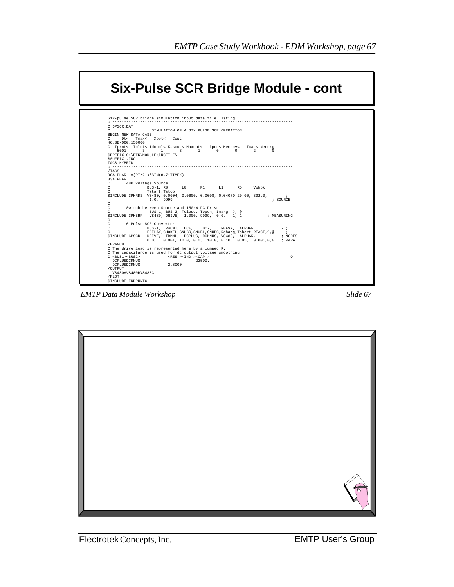

**EMTP Data Module Workshop** 

Slide 67

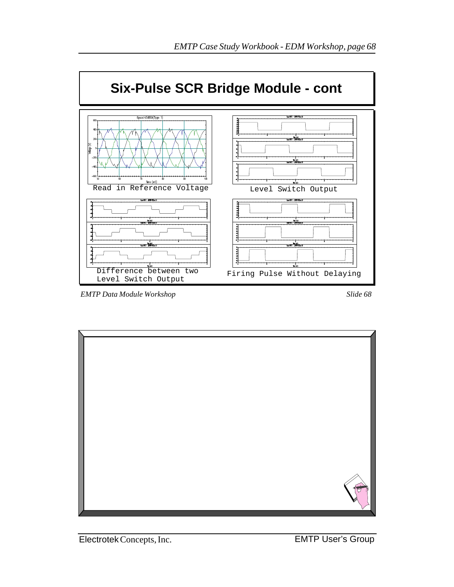

*EMTP Data Module Workshop Slide 68*

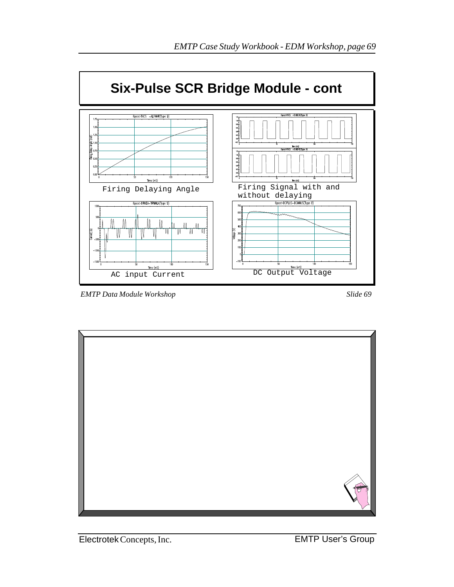

*EMTP Data Module Workshop Slide 69*

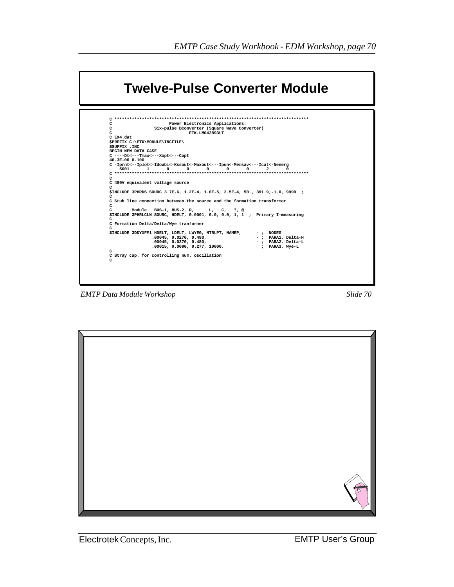

**EMTP Data Module Workshop** 

Slide 70

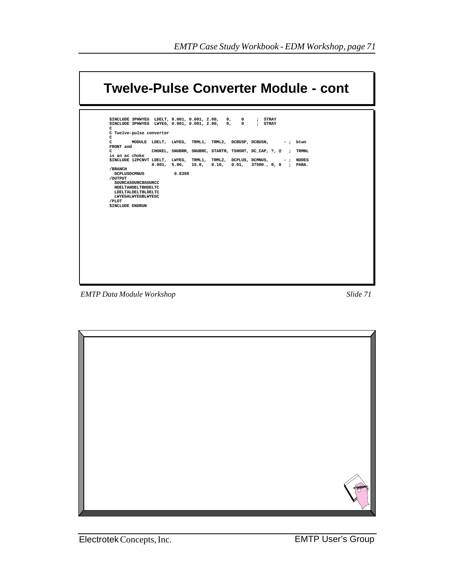| \$INCLUDE 3PHWYEG LDELT, 0.001, 0.001, 2.00, 0,<br>\$INCLUDE 3PHWYEG LWYEG, 0.001, 0.001, 2.00, 0, 0 ; STRAY<br>C<br>C Twelve-pulse converter |                                                                                             |        |  | $\mathbf 0$ | : STRAY                                                    |  |             |
|-----------------------------------------------------------------------------------------------------------------------------------------------|---------------------------------------------------------------------------------------------|--------|--|-------------|------------------------------------------------------------|--|-------------|
| C<br>$\mathbf{C}$                                                                                                                             |                                                                                             |        |  |             | MODULE LDELT, LWYEG, TRML1, TRML2, DCBUSP, DCBUSN, -; btwn |  |             |
| FRONT and                                                                                                                                     |                                                                                             |        |  |             |                                                            |  |             |
| $\mathbf{C}$<br>is an ac choke                                                                                                                |                                                                                             |        |  |             | CHOKEL, SNUBRR, SNUBRC, STARTR, TSHORT, DC CAP, ?, @;      |  | TRMNL       |
| \$INCLUDE 12PCNVT LDELT, LWYEG, TRML1, TRML2, DCPLUS, DCMNUS,                                                                                 |                                                                                             |        |  |             | $0.001, 5.00, 15.0, 0.10, 0.01, 37500., 0, 0;$ PARA.       |  | $-$ ; NODES |
| /BRANCH<br><b>DCPLUSDCMNUS</b><br>/OUTPUT<br>/PLOT<br><b>SINCLUDE ENDRUN</b>                                                                  | SOURCASOURCBSOURCC<br>HDELTAHDELTBHDELTC<br>LDELTALDELTBLDELTC<br><b>LWYEGALWYEGBLWYEGC</b> | 0.8398 |  |             |                                                            |  |             |
|                                                                                                                                               |                                                                                             |        |  |             |                                                            |  |             |

**EMTP** Data Module Workshop



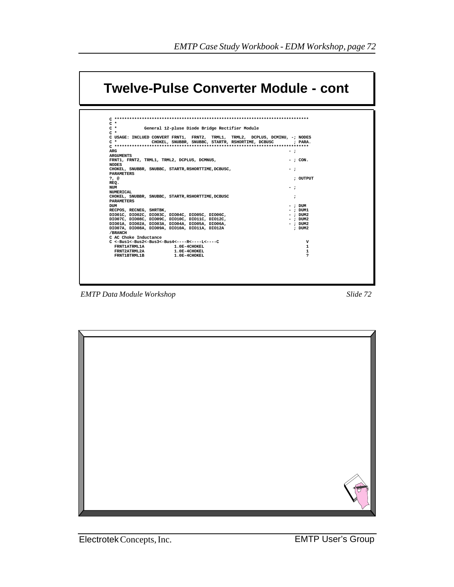

| $C$ *<br>General 12-pluse Diode Bridge Rectifier Module                                                     |                                                                               |
|-------------------------------------------------------------------------------------------------------------|-------------------------------------------------------------------------------|
| $C^*$                                                                                                       |                                                                               |
|                                                                                                             | C USAGE: INCLUED CONVERT FRNT1, FRNT2, TRML1, TRML2, DCPLUS, DCMINU, -; NODES |
| $C$ *                                                                                                       | CHOKEL, SNUBBR, SNUBBC, STARTR, RSHORTIME, DCBUSC<br>: PARA.                  |
| ARG                                                                                                         |                                                                               |
| <b>ARGUMENTS</b>                                                                                            | - :                                                                           |
| FRNT1, FRNT2, TRML1, TRML2, DCPLUS, DCMNUS,                                                                 | $-$ : CON.                                                                    |
| <b>NODES</b>                                                                                                |                                                                               |
| CHOKEL, SNUBBR, SNUBBC, STARTR, RSHORTTIME, DCBUSC,                                                         | - :                                                                           |
| <b>PARAMETERS</b>                                                                                           |                                                                               |
| $?$ , @                                                                                                     | : OUTPUT                                                                      |
| REQ.                                                                                                        |                                                                               |
| NUM                                                                                                         | - :                                                                           |
| <b>NUMERICAL</b>                                                                                            |                                                                               |
| CHOKEL, SNUBBR, SNUBBC, STARTR, RSHORTTIME, DCBUSC                                                          | :                                                                             |
| <b>PARAMETERS</b>                                                                                           |                                                                               |
| <b>DUM</b>                                                                                                  | $-$ ; DUM                                                                     |
| RECPOS, RECNEG, SHRTBK,                                                                                     | $-$ ; $DUM1$                                                                  |
| DIO01C, DIO02C, DIO03C, DIO04C, DIO05C, DIO06C,                                                             | $-$ : DUM2                                                                    |
| DIO07C, DIO08C, DIO09C, DIO10C, DIO11C, DIO12C,                                                             | $-$ : DUM2                                                                    |
| DIO01A, DIO02A, DIO03A, DIO04A, DIO05A, DIO06A,                                                             | $-$ : DUM2                                                                    |
| DIO07A, DIO08A, DIO09A, DIO10A, DIO11A, DIO12A                                                              | : DUM2                                                                        |
| /BRANCH<br>C AC Choke Inductance                                                                            |                                                                               |
|                                                                                                             |                                                                               |
| $C \leq -Bus1 \leq -Bus2 \leq -Bus3 \leq -Bus4 \leq - - -R \leq - - - - LC$<br>FRNT1ATRML1A<br>1.0E-4CHOKEL | v<br>1                                                                        |
| <b>FRNT2ATRML2A</b><br><b>1.0E-4CHOKEL</b>                                                                  | $\mathbf{1}$                                                                  |
| FRNT1BTRML1B<br>1.0E-4CHOKEL                                                                                | ė.                                                                            |
|                                                                                                             |                                                                               |

*EMTP Data Module Workshop Slide 72*

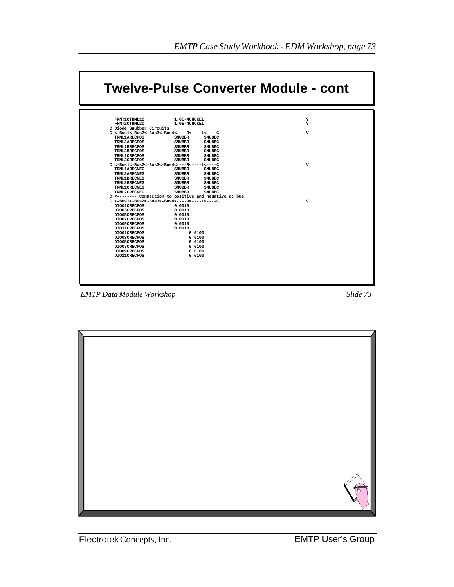

*EMTP Data Module Workshop Slide 73*

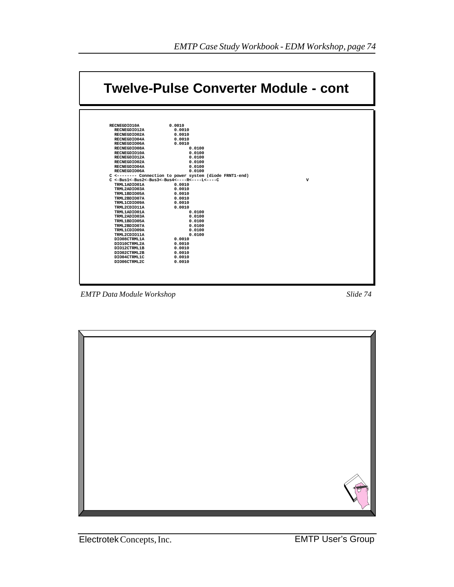

*EMTP Data Module Workshop Slide 74*

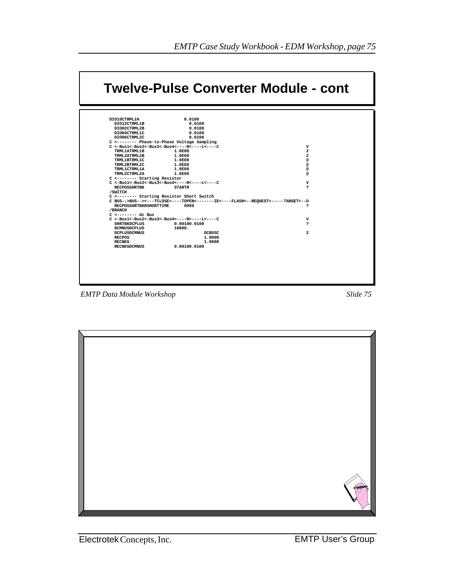| DIO10CTRML2A<br>0.0100<br>DIO12CTRML1B<br>0.0100<br>DIO02CTRML2B<br>0.0100<br>DIO04CTRML1C<br>0.0100<br>0.0100<br>DIO06CTRML2C<br>C <-------- Phase-to-Phase Voltage Sampling<br>$C \leq -Bus1 \leq -Bus2 \leq -Bus3 \leq -Bus4 \leq - - -R \leq - - - - LC$<br>v<br>TRML1ATRML1B<br>$\overline{a}$<br>1.0E08<br>TRML2ATRML2B<br>1.0E08<br>$\overline{a}$<br>TRML1BTRML1C<br>1.0E08<br>@<br>TRML2BTRML2C<br>1.0E08<br>@<br>TRML1CTRML1A<br>1.0E08<br>@<br>TRML2CTRML2A<br>1.0E08<br>@<br>C <-------- Starting Resistor<br>$C \leq -Bus1 \leq -Bus2 \leq -Bus3 \leq -Bus4 \leq - - -R \leq - - - - LC$<br>v<br><b>RECPOSSHRTBK</b><br>s.<br><b>STARTR</b><br>/SWITCH<br>C <-------- Starting Resistor Short Switch<br>C BUS-->BUS--><---TCLOSE<----TOPEN<-------IE<----FLASH<--REOUEST<----TARGET<--0<br>9999<br><b>RECPOSSHRTBKRSHORTTIME</b><br>s.<br>/BRANCH<br>$C \leftarrow \leftarrow \leftarrow \leftarrow \leftarrow \text{dc Bus}$<br>$C \leq -Bus1 \leq -Bus2 \leq -Bus3 \leq -Bus4 \leq - - -R \leq - - - - LC$<br>$\mathbf v$<br><b>SHRTBKDCPLUS</b><br>0.00100.0100<br>,<br><b>DCMNUSDCPLUS</b><br>10000.<br>$\overline{a}$<br><b>DCPLUSDCMNUS</b><br>DCBUSC |               |        |  |
|--------------------------------------------------------------------------------------------------------------------------------------------------------------------------------------------------------------------------------------------------------------------------------------------------------------------------------------------------------------------------------------------------------------------------------------------------------------------------------------------------------------------------------------------------------------------------------------------------------------------------------------------------------------------------------------------------------------------------------------------------------------------------------------------------------------------------------------------------------------------------------------------------------------------------------------------------------------------------------------------------------------------------------------------------------------------------------------------------------------------------------------------------------------------------|---------------|--------|--|
|                                                                                                                                                                                                                                                                                                                                                                                                                                                                                                                                                                                                                                                                                                                                                                                                                                                                                                                                                                                                                                                                                                                                                                          |               |        |  |
|                                                                                                                                                                                                                                                                                                                                                                                                                                                                                                                                                                                                                                                                                                                                                                                                                                                                                                                                                                                                                                                                                                                                                                          |               |        |  |
|                                                                                                                                                                                                                                                                                                                                                                                                                                                                                                                                                                                                                                                                                                                                                                                                                                                                                                                                                                                                                                                                                                                                                                          |               |        |  |
|                                                                                                                                                                                                                                                                                                                                                                                                                                                                                                                                                                                                                                                                                                                                                                                                                                                                                                                                                                                                                                                                                                                                                                          |               |        |  |
|                                                                                                                                                                                                                                                                                                                                                                                                                                                                                                                                                                                                                                                                                                                                                                                                                                                                                                                                                                                                                                                                                                                                                                          |               |        |  |
|                                                                                                                                                                                                                                                                                                                                                                                                                                                                                                                                                                                                                                                                                                                                                                                                                                                                                                                                                                                                                                                                                                                                                                          |               |        |  |
|                                                                                                                                                                                                                                                                                                                                                                                                                                                                                                                                                                                                                                                                                                                                                                                                                                                                                                                                                                                                                                                                                                                                                                          |               |        |  |
|                                                                                                                                                                                                                                                                                                                                                                                                                                                                                                                                                                                                                                                                                                                                                                                                                                                                                                                                                                                                                                                                                                                                                                          |               |        |  |
|                                                                                                                                                                                                                                                                                                                                                                                                                                                                                                                                                                                                                                                                                                                                                                                                                                                                                                                                                                                                                                                                                                                                                                          |               |        |  |
|                                                                                                                                                                                                                                                                                                                                                                                                                                                                                                                                                                                                                                                                                                                                                                                                                                                                                                                                                                                                                                                                                                                                                                          |               |        |  |
|                                                                                                                                                                                                                                                                                                                                                                                                                                                                                                                                                                                                                                                                                                                                                                                                                                                                                                                                                                                                                                                                                                                                                                          |               |        |  |
|                                                                                                                                                                                                                                                                                                                                                                                                                                                                                                                                                                                                                                                                                                                                                                                                                                                                                                                                                                                                                                                                                                                                                                          |               |        |  |
|                                                                                                                                                                                                                                                                                                                                                                                                                                                                                                                                                                                                                                                                                                                                                                                                                                                                                                                                                                                                                                                                                                                                                                          |               |        |  |
|                                                                                                                                                                                                                                                                                                                                                                                                                                                                                                                                                                                                                                                                                                                                                                                                                                                                                                                                                                                                                                                                                                                                                                          |               |        |  |
|                                                                                                                                                                                                                                                                                                                                                                                                                                                                                                                                                                                                                                                                                                                                                                                                                                                                                                                                                                                                                                                                                                                                                                          |               |        |  |
|                                                                                                                                                                                                                                                                                                                                                                                                                                                                                                                                                                                                                                                                                                                                                                                                                                                                                                                                                                                                                                                                                                                                                                          |               |        |  |
|                                                                                                                                                                                                                                                                                                                                                                                                                                                                                                                                                                                                                                                                                                                                                                                                                                                                                                                                                                                                                                                                                                                                                                          |               |        |  |
|                                                                                                                                                                                                                                                                                                                                                                                                                                                                                                                                                                                                                                                                                                                                                                                                                                                                                                                                                                                                                                                                                                                                                                          |               |        |  |
|                                                                                                                                                                                                                                                                                                                                                                                                                                                                                                                                                                                                                                                                                                                                                                                                                                                                                                                                                                                                                                                                                                                                                                          |               |        |  |
|                                                                                                                                                                                                                                                                                                                                                                                                                                                                                                                                                                                                                                                                                                                                                                                                                                                                                                                                                                                                                                                                                                                                                                          |               |        |  |
|                                                                                                                                                                                                                                                                                                                                                                                                                                                                                                                                                                                                                                                                                                                                                                                                                                                                                                                                                                                                                                                                                                                                                                          |               |        |  |
|                                                                                                                                                                                                                                                                                                                                                                                                                                                                                                                                                                                                                                                                                                                                                                                                                                                                                                                                                                                                                                                                                                                                                                          |               |        |  |
|                                                                                                                                                                                                                                                                                                                                                                                                                                                                                                                                                                                                                                                                                                                                                                                                                                                                                                                                                                                                                                                                                                                                                                          |               |        |  |
|                                                                                                                                                                                                                                                                                                                                                                                                                                                                                                                                                                                                                                                                                                                                                                                                                                                                                                                                                                                                                                                                                                                                                                          |               |        |  |
|                                                                                                                                                                                                                                                                                                                                                                                                                                                                                                                                                                                                                                                                                                                                                                                                                                                                                                                                                                                                                                                                                                                                                                          |               |        |  |
|                                                                                                                                                                                                                                                                                                                                                                                                                                                                                                                                                                                                                                                                                                                                                                                                                                                                                                                                                                                                                                                                                                                                                                          | <b>RECPOS</b> | 1,0000 |  |
| <b>RECNEG</b><br>1.0000                                                                                                                                                                                                                                                                                                                                                                                                                                                                                                                                                                                                                                                                                                                                                                                                                                                                                                                                                                                                                                                                                                                                                  |               |        |  |
| 0.00100.0100<br><b>RECNEGDCMNUS</b>                                                                                                                                                                                                                                                                                                                                                                                                                                                                                                                                                                                                                                                                                                                                                                                                                                                                                                                                                                                                                                                                                                                                      |               |        |  |
|                                                                                                                                                                                                                                                                                                                                                                                                                                                                                                                                                                                                                                                                                                                                                                                                                                                                                                                                                                                                                                                                                                                                                                          |               |        |  |

*EMTP Data Module Workshop Slide 75*

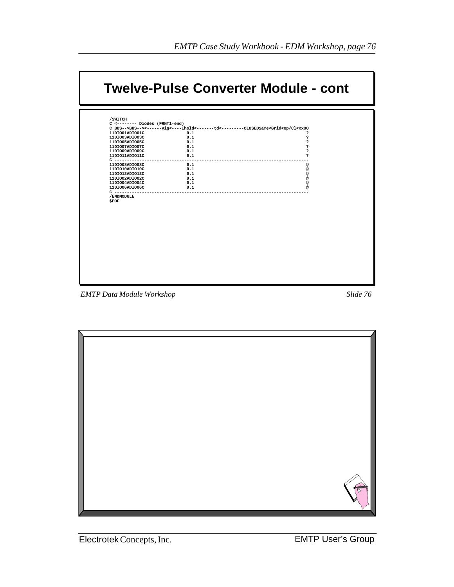| C BUS-->BUS--><------Vig<----Ihold<-------td<--------CLOSEDSame <grid<op cl<xxoo<br="">0.1<br/>11DIO01ADIO01C<br/>2<br/>0.1<br/>ė.<br/>11DIO03ADIO03C<br/>11DIO05ADIO05C<br/>0.1<br/>ė.<br/>11DI007ADI007C<br/>0.1<br/>ė.<br/>11DI009ADI009C<br/>0.1<br/>ė.<br/>0.1<br/>11DIO11ADIO11C<br/>S.<br/><math>C</math> --------------<br/>0.1<br/>11DIO08ADIO08C<br/>@<br/>11DIO10ADIO10C<br/>0.1<br/>@<br/>11DIO12ADIO12C<br/>0.1<br/>@<br/>11DI002ADI002C<br/>0.1<br/>@<br/>0.1<br/>11DIO04ADIO04C<br/>@<br/>11DI006ADI006C<br/>0.1<br/>@<br/><math>C - - - - - - - -</math><br/>/ENDMODULE<br/><b>\$EOF</b></grid<op> | /SWITCH |  |
|--------------------------------------------------------------------------------------------------------------------------------------------------------------------------------------------------------------------------------------------------------------------------------------------------------------------------------------------------------------------------------------------------------------------------------------------------------------------------------------------------------------------------------------------------------------------------------------------------------------------|---------|--|
|                                                                                                                                                                                                                                                                                                                                                                                                                                                                                                                                                                                                                    |         |  |
|                                                                                                                                                                                                                                                                                                                                                                                                                                                                                                                                                                                                                    |         |  |
|                                                                                                                                                                                                                                                                                                                                                                                                                                                                                                                                                                                                                    |         |  |
|                                                                                                                                                                                                                                                                                                                                                                                                                                                                                                                                                                                                                    |         |  |
|                                                                                                                                                                                                                                                                                                                                                                                                                                                                                                                                                                                                                    |         |  |
|                                                                                                                                                                                                                                                                                                                                                                                                                                                                                                                                                                                                                    |         |  |
|                                                                                                                                                                                                                                                                                                                                                                                                                                                                                                                                                                                                                    |         |  |
|                                                                                                                                                                                                                                                                                                                                                                                                                                                                                                                                                                                                                    |         |  |
|                                                                                                                                                                                                                                                                                                                                                                                                                                                                                                                                                                                                                    |         |  |
|                                                                                                                                                                                                                                                                                                                                                                                                                                                                                                                                                                                                                    |         |  |
|                                                                                                                                                                                                                                                                                                                                                                                                                                                                                                                                                                                                                    |         |  |
|                                                                                                                                                                                                                                                                                                                                                                                                                                                                                                                                                                                                                    |         |  |
|                                                                                                                                                                                                                                                                                                                                                                                                                                                                                                                                                                                                                    |         |  |
|                                                                                                                                                                                                                                                                                                                                                                                                                                                                                                                                                                                                                    |         |  |
|                                                                                                                                                                                                                                                                                                                                                                                                                                                                                                                                                                                                                    |         |  |
|                                                                                                                                                                                                                                                                                                                                                                                                                                                                                                                                                                                                                    |         |  |

*EMTP Data Module Workshop Slide 76*



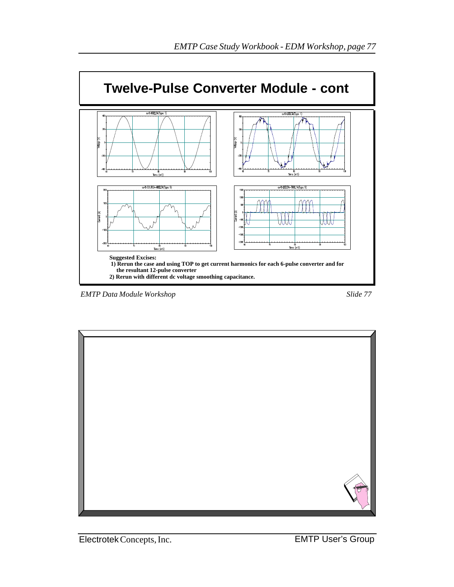

*EMTP Data Module Workshop Slide 77*



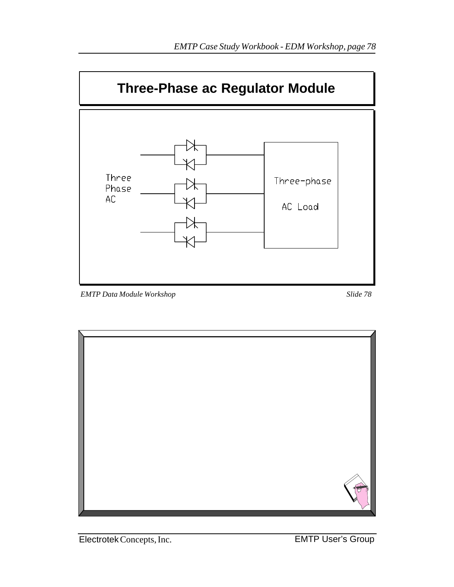

*EMTP Data Module Workshop Slide 78*



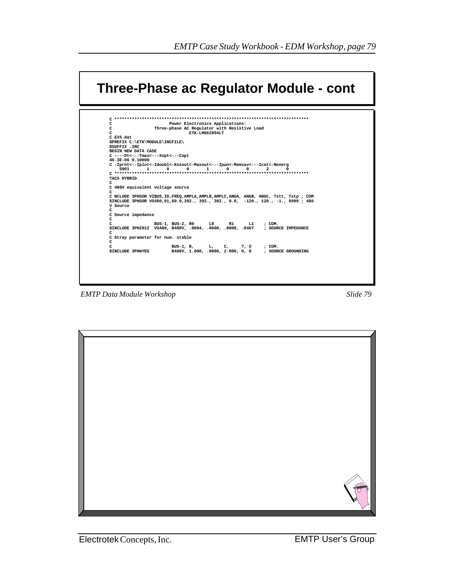| c<br>c<br>Power Electronics Applications:<br>c<br>Three-phase AC Regulator with Resistive Load<br>C<br>ETK-LM062994LT<br>$C$ EX5. dat.<br>\$PREFIX C:\ETK\MODULE\INCFILE\<br>SSUFFIX . INC<br>BEGIN NEW DATA CASE<br>C ----Dt<---Tmax<---Xopt<---Copt<br>46.3E-06 0.10000<br>C -Iprnt<--Iplot<-Idoubl<-Kssout<-Maxout<---Ipun<-Memsav<---Icat<-Nenerg<br>5001<br>$\mathbf{1}$<br>$\Omega$<br>$\Omega$<br>1<br>$\Omega$<br>$\Omega$<br>$\overline{a}$<br>0<br><b>TACS HYBRID</b><br>C<br>C 480V equivalent voltage source<br>C<br>C NCLUDE 3PHSOR VIBUS, ID, FREQ, AMPLA, AMPLB, AMPLC, ANGA, ANGB, ANGC, Tstt, Tstp; COM<br>\$INCLUDE 3PHSOR VS480,01,60.0,392., 392., 392., 0.0, -120., 120., -1., 9999; 480<br>V Source<br>C<br>C Source impedance<br>c<br>c<br>BUS-1, BUS-2, RO<br>L0<br>R1<br>L1 and the set of the set of the set of the set of the set of the set of the set of the set of the set of the set of the set of the set of the set of the set of the set of the set of the set of the set of the set of the se<br>: COM.<br>\$INCLUDE 3PHZ012 VS480, B480V, .0004, .0600, .0008, .0407 ; SOURCE IMPEDANCE<br>c<br>C Stray parameter for num. stable<br>c<br>C<br>BUS-1, R, L, C,<br>: COM.<br>?, @<br>B480V, 1.000, .0000, 2.000, 0, 0 ; SOURCE GROUNDING<br><b>SINCLUDE 3PHWYEG</b> | Three-Phase ac Regulator Module - cont |  |
|--------------------------------------------------------------------------------------------------------------------------------------------------------------------------------------------------------------------------------------------------------------------------------------------------------------------------------------------------------------------------------------------------------------------------------------------------------------------------------------------------------------------------------------------------------------------------------------------------------------------------------------------------------------------------------------------------------------------------------------------------------------------------------------------------------------------------------------------------------------------------------------------------------------------------------------------------------------------------------------------------------------------------------------------------------------------------------------------------------------------------------------------------------------------------------------------------------------------------------------------------------------------------------------------------------|----------------------------------------|--|
|                                                                                                                                                                                                                                                                                                                                                                                                                                                                                                                                                                                                                                                                                                                                                                                                                                                                                                                                                                                                                                                                                                                                                                                                                                                                                                        |                                        |  |
|                                                                                                                                                                                                                                                                                                                                                                                                                                                                                                                                                                                                                                                                                                                                                                                                                                                                                                                                                                                                                                                                                                                                                                                                                                                                                                        |                                        |  |
|                                                                                                                                                                                                                                                                                                                                                                                                                                                                                                                                                                                                                                                                                                                                                                                                                                                                                                                                                                                                                                                                                                                                                                                                                                                                                                        |                                        |  |
|                                                                                                                                                                                                                                                                                                                                                                                                                                                                                                                                                                                                                                                                                                                                                                                                                                                                                                                                                                                                                                                                                                                                                                                                                                                                                                        |                                        |  |
|                                                                                                                                                                                                                                                                                                                                                                                                                                                                                                                                                                                                                                                                                                                                                                                                                                                                                                                                                                                                                                                                                                                                                                                                                                                                                                        |                                        |  |
|                                                                                                                                                                                                                                                                                                                                                                                                                                                                                                                                                                                                                                                                                                                                                                                                                                                                                                                                                                                                                                                                                                                                                                                                                                                                                                        |                                        |  |
|                                                                                                                                                                                                                                                                                                                                                                                                                                                                                                                                                                                                                                                                                                                                                                                                                                                                                                                                                                                                                                                                                                                                                                                                                                                                                                        |                                        |  |
|                                                                                                                                                                                                                                                                                                                                                                                                                                                                                                                                                                                                                                                                                                                                                                                                                                                                                                                                                                                                                                                                                                                                                                                                                                                                                                        |                                        |  |
|                                                                                                                                                                                                                                                                                                                                                                                                                                                                                                                                                                                                                                                                                                                                                                                                                                                                                                                                                                                                                                                                                                                                                                                                                                                                                                        |                                        |  |
|                                                                                                                                                                                                                                                                                                                                                                                                                                                                                                                                                                                                                                                                                                                                                                                                                                                                                                                                                                                                                                                                                                                                                                                                                                                                                                        |                                        |  |
|                                                                                                                                                                                                                                                                                                                                                                                                                                                                                                                                                                                                                                                                                                                                                                                                                                                                                                                                                                                                                                                                                                                                                                                                                                                                                                        |                                        |  |
|                                                                                                                                                                                                                                                                                                                                                                                                                                                                                                                                                                                                                                                                                                                                                                                                                                                                                                                                                                                                                                                                                                                                                                                                                                                                                                        |                                        |  |
|                                                                                                                                                                                                                                                                                                                                                                                                                                                                                                                                                                                                                                                                                                                                                                                                                                                                                                                                                                                                                                                                                                                                                                                                                                                                                                        |                                        |  |
|                                                                                                                                                                                                                                                                                                                                                                                                                                                                                                                                                                                                                                                                                                                                                                                                                                                                                                                                                                                                                                                                                                                                                                                                                                                                                                        |                                        |  |
|                                                                                                                                                                                                                                                                                                                                                                                                                                                                                                                                                                                                                                                                                                                                                                                                                                                                                                                                                                                                                                                                                                                                                                                                                                                                                                        |                                        |  |
|                                                                                                                                                                                                                                                                                                                                                                                                                                                                                                                                                                                                                                                                                                                                                                                                                                                                                                                                                                                                                                                                                                                                                                                                                                                                                                        |                                        |  |
|                                                                                                                                                                                                                                                                                                                                                                                                                                                                                                                                                                                                                                                                                                                                                                                                                                                                                                                                                                                                                                                                                                                                                                                                                                                                                                        |                                        |  |
|                                                                                                                                                                                                                                                                                                                                                                                                                                                                                                                                                                                                                                                                                                                                                                                                                                                                                                                                                                                                                                                                                                                                                                                                                                                                                                        |                                        |  |
|                                                                                                                                                                                                                                                                                                                                                                                                                                                                                                                                                                                                                                                                                                                                                                                                                                                                                                                                                                                                                                                                                                                                                                                                                                                                                                        |                                        |  |
|                                                                                                                                                                                                                                                                                                                                                                                                                                                                                                                                                                                                                                                                                                                                                                                                                                                                                                                                                                                                                                                                                                                                                                                                                                                                                                        |                                        |  |
|                                                                                                                                                                                                                                                                                                                                                                                                                                                                                                                                                                                                                                                                                                                                                                                                                                                                                                                                                                                                                                                                                                                                                                                                                                                                                                        |                                        |  |
|                                                                                                                                                                                                                                                                                                                                                                                                                                                                                                                                                                                                                                                                                                                                                                                                                                                                                                                                                                                                                                                                                                                                                                                                                                                                                                        |                                        |  |
|                                                                                                                                                                                                                                                                                                                                                                                                                                                                                                                                                                                                                                                                                                                                                                                                                                                                                                                                                                                                                                                                                                                                                                                                                                                                                                        |                                        |  |
|                                                                                                                                                                                                                                                                                                                                                                                                                                                                                                                                                                                                                                                                                                                                                                                                                                                                                                                                                                                                                                                                                                                                                                                                                                                                                                        |                                        |  |
|                                                                                                                                                                                                                                                                                                                                                                                                                                                                                                                                                                                                                                                                                                                                                                                                                                                                                                                                                                                                                                                                                                                                                                                                                                                                                                        |                                        |  |
|                                                                                                                                                                                                                                                                                                                                                                                                                                                                                                                                                                                                                                                                                                                                                                                                                                                                                                                                                                                                                                                                                                                                                                                                                                                                                                        |                                        |  |
|                                                                                                                                                                                                                                                                                                                                                                                                                                                                                                                                                                                                                                                                                                                                                                                                                                                                                                                                                                                                                                                                                                                                                                                                                                                                                                        |                                        |  |
|                                                                                                                                                                                                                                                                                                                                                                                                                                                                                                                                                                                                                                                                                                                                                                                                                                                                                                                                                                                                                                                                                                                                                                                                                                                                                                        |                                        |  |
|                                                                                                                                                                                                                                                                                                                                                                                                                                                                                                                                                                                                                                                                                                                                                                                                                                                                                                                                                                                                                                                                                                                                                                                                                                                                                                        |                                        |  |
|                                                                                                                                                                                                                                                                                                                                                                                                                                                                                                                                                                                                                                                                                                                                                                                                                                                                                                                                                                                                                                                                                                                                                                                                                                                                                                        |                                        |  |
|                                                                                                                                                                                                                                                                                                                                                                                                                                                                                                                                                                                                                                                                                                                                                                                                                                                                                                                                                                                                                                                                                                                                                                                                                                                                                                        |                                        |  |
|                                                                                                                                                                                                                                                                                                                                                                                                                                                                                                                                                                                                                                                                                                                                                                                                                                                                                                                                                                                                                                                                                                                                                                                                                                                                                                        |                                        |  |

**EMTP** Data Module Workshop

Slide 79

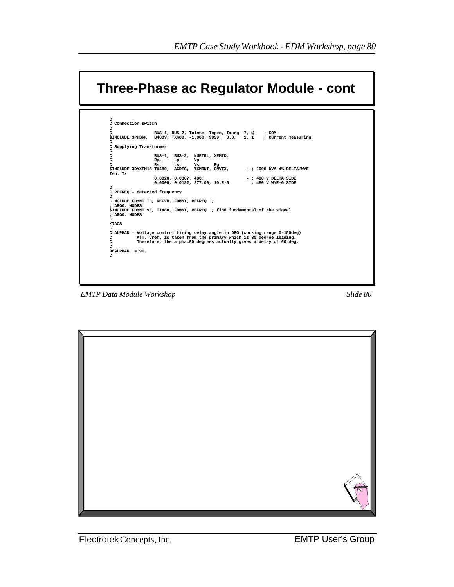| <b>Three-Phase ac Regulator Module - cont</b>                                  |            |                              |                                                                   |                        |                             |  |
|--------------------------------------------------------------------------------|------------|------------------------------|-------------------------------------------------------------------|------------------------|-----------------------------|--|
|                                                                                |            |                              |                                                                   |                        |                             |  |
| C<br>C Connection switch                                                       |            |                              |                                                                   |                        |                             |  |
| c                                                                              |            |                              |                                                                   |                        |                             |  |
| c                                                                              |            |                              | BUS-1, BUS-2, Tclose, Topen, Imarg ?, @ ; COM                     |                        |                             |  |
| \$INCLUDE 3PHBRK B480V, TX480, -1.000, 9999, 0.0, 1, 1 ; Current measuring     |            |                              |                                                                   |                        |                             |  |
| c                                                                              |            |                              |                                                                   |                        |                             |  |
| C Supplying Transformer<br>c                                                   |            |                              |                                                                   |                        |                             |  |
| c                                                                              |            | BUS-1, BUS-2, NUETRL, XFMID, |                                                                   |                        |                             |  |
| c                                                                              | Rp,<br>Lp, | Vp,                          |                                                                   |                        |                             |  |
| c                                                                              | Rs.<br>Ls. | Vs.                          | Rg,                                                               |                        |                             |  |
| \$INCLUDE 3DYXFM1S TX480, ACREG, TXMRNT, CNVTX,                                |            |                              |                                                                   |                        | $-$ ; 1000 kVA 4% DELTA/WYE |  |
| Iso. Tx                                                                        |            |                              |                                                                   |                        |                             |  |
|                                                                                |            | 0.0028, 0.0367, 480.         |                                                                   | $-$ : 480 V DELTA SIDE |                             |  |
|                                                                                |            |                              | $0.0009, 0.0122, 277.00, 10.E-6$                                  | ; 480 V WYE-G SIDE     |                             |  |
| с<br>C REFREQ - detected frequency                                             |            |                              |                                                                   |                        |                             |  |
| C                                                                              |            |                              |                                                                   |                        |                             |  |
| C NCLUDE FDMNT ID, REFVN, FDMNT, REFREQ ;                                      |            |                              |                                                                   |                        |                             |  |
| : ARGO. NODES                                                                  |            |                              |                                                                   |                        |                             |  |
| \$INCLUDE FDMNT 90, TX480, FDMNT, REFREQ ; find fundamental of the signal      |            |                              |                                                                   |                        |                             |  |
| : ARGO. NODES                                                                  |            |                              |                                                                   |                        |                             |  |
| c                                                                              |            |                              |                                                                   |                        |                             |  |
| /TACS<br>c                                                                     |            |                              |                                                                   |                        |                             |  |
| C ALPHAD - Voltage control firing delay angle in DEG. (working range 0-150deg) |            |                              |                                                                   |                        |                             |  |
| C                                                                              |            |                              | ATT. Vref. is taken from the primary which is 30 degree leading.  |                        |                             |  |
| c                                                                              |            |                              | Therefore, the alpha=90 degrees actually gives a delay of 60 deg. |                        |                             |  |
| C                                                                              |            |                              |                                                                   |                        |                             |  |
| $98ALPHAD = 90.$                                                               |            |                              |                                                                   |                        |                             |  |
|                                                                                |            |                              |                                                                   |                        |                             |  |

*EMTP Data Module Workshop Slide 80*

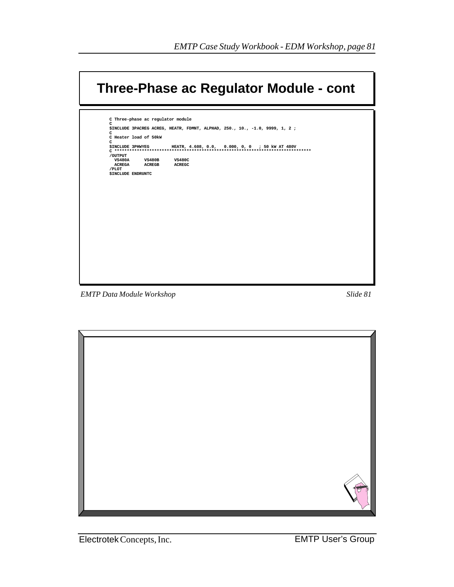

**EMTP** Data Module Workshop



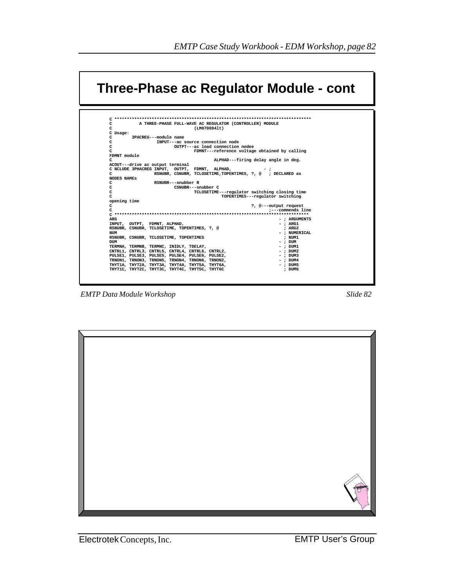| C<br>A THREE-PHASE FULL-WAVE AC REGULATOR (CONTROLLER) MODULE                                                     |                                  |
|-------------------------------------------------------------------------------------------------------------------|----------------------------------|
| C.<br>(LM0706941t)                                                                                                |                                  |
| C Usage:                                                                                                          |                                  |
| c<br>3PACREG---module name                                                                                        |                                  |
| c<br>INPUT---ac source connection node                                                                            |                                  |
| c<br>OUTPT---ac load connection nodee                                                                             |                                  |
| C<br>FDMNT---reference voltage obtained by calling                                                                |                                  |
| FDMNT module                                                                                                      |                                  |
| ALPHAD---firing delay angle in deg.<br>c                                                                          |                                  |
| ACOUT---drive ac output terminal                                                                                  |                                  |
| C NCLUDE 3PHACREG INPUT, OUTPT, FDMNT, ALPHAD,<br>RSNUBR, CSNUBR, TCLOSETIME, TOPENTIMES, ?, @ ; DECLARED as<br>C |                                  |
| <b>NODES NAMES</b>                                                                                                |                                  |
| RSNUBR---snubber R<br>C                                                                                           |                                  |
| C<br>CSNUBR---snubber C                                                                                           |                                  |
| c<br>TCLOSETIME---regulator switching closing time                                                                |                                  |
| C                                                                                                                 | TOPENTIMES---regulator switching |
| opening time                                                                                                      |                                  |
| C                                                                                                                 | ?, @---output request            |
| C                                                                                                                 | :---commends line                |
|                                                                                                                   |                                  |
| <b>ARG</b>                                                                                                        | -; ARGUMENTS                     |
| INPUT, OUTPT, FDMNT, ALPHAD,                                                                                      | $-$ ; $ARG1$                     |
| RSNUBR, CSNUBR, TCLOSETIME, TOPENTIMES, ?, @                                                                      | : ARG2                           |
| NUM                                                                                                               | - : NUMERICAL                    |
| RSNUBR, CSNUBR, TCLOSETIME, TOPENTIMES                                                                            | : NUM1                           |
| <b>DUM</b>                                                                                                        | $-$ : DUM                        |
| TERMNA, TERMNB, TERMNC, INIDLY, TDELAY,                                                                           | - : DUM1                         |
| CNTRL1, CNTRL3, CNTRL5, CNTRL4, CNTRL6, CNTRL2,                                                                   | $-$ : DUM2                       |
| PULSE1, PULSE3, PULSE5, PULSE4, PULSE6, PULSE2,                                                                   | - : DUM3                         |
| TRNON1, TRNON3, TRNON5, TRNON4, TRNON6, TRNON2,                                                                   | $-$ ; $DUM4$                     |
| THYT1A, THYT2A, THYT3A, THYT4A, THYT5A, THYT6A,<br>THYTIC, THYT2C, THYT3C, THYT4C, THYT5C, THYT6C                 | $-$ : DUM5<br>: DUM6             |

**EMTP** Data Module Workshop

Slide 82

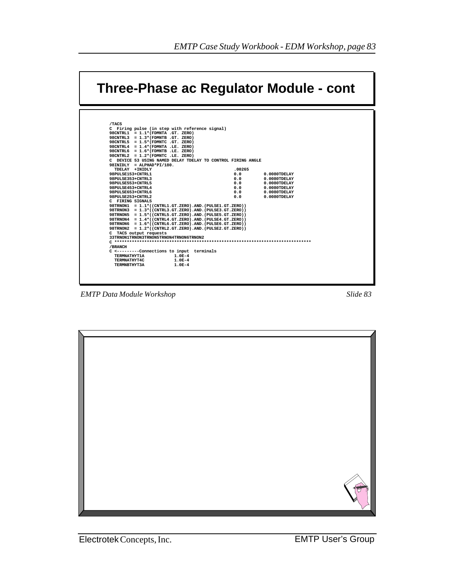

*EMTP Data Module Workshop Slide 83*

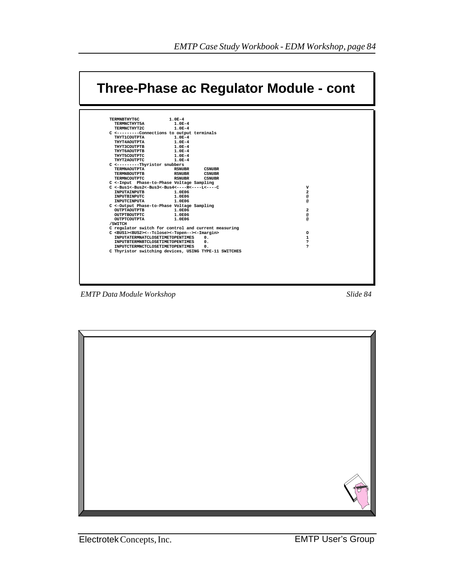

*EMTP Data Module Workshop Slide 84*

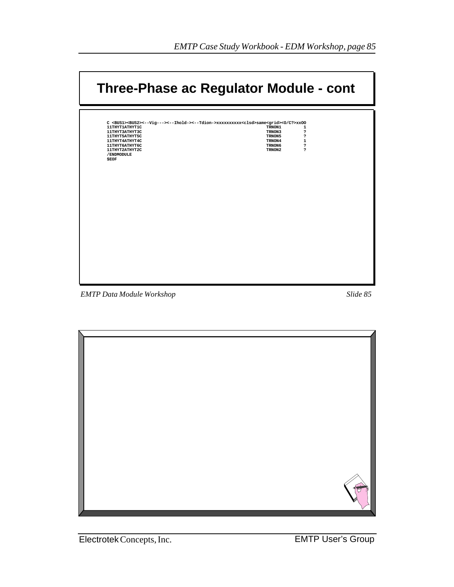| Three-Phase ac Regulator Module - cont                                                                                               |                        |
|--------------------------------------------------------------------------------------------------------------------------------------|------------------------|
|                                                                                                                                      |                        |
| C <bus1><bus2>&lt;--Vig---&gt;&lt;--Ihold-&gt;&lt;--Tdion-&gt;xxxxxxxxxx<clsd>same<grid>&lt;0/C?&gt;xx00</grid></clsd></bus2></bus1> |                        |
| 11THYT1ATHYT1C                                                                                                                       | TRNON1<br>1            |
| 11THYT3ATHYT3C                                                                                                                       | ċ.<br>TRNON3           |
| 11THYT5ATHYT5C                                                                                                                       | TRNON5<br>ċ.           |
| 11THYT4ATHYT4C                                                                                                                       | $\mathbf{1}$<br>TRNON4 |
| 11ТНУТ6АТНУТ6С                                                                                                                       | TRNON6<br>ċ.           |
| 11THYT2ATHYT2C                                                                                                                       | ċ.<br>TRNON2           |
| /ENDMODULE                                                                                                                           |                        |
| <b>SEOF</b>                                                                                                                          |                        |
|                                                                                                                                      |                        |
|                                                                                                                                      |                        |
|                                                                                                                                      |                        |
|                                                                                                                                      |                        |
|                                                                                                                                      |                        |
|                                                                                                                                      |                        |
|                                                                                                                                      |                        |
|                                                                                                                                      |                        |
|                                                                                                                                      |                        |
|                                                                                                                                      |                        |
|                                                                                                                                      |                        |
|                                                                                                                                      |                        |
|                                                                                                                                      |                        |
|                                                                                                                                      |                        |
|                                                                                                                                      |                        |
|                                                                                                                                      |                        |
|                                                                                                                                      |                        |
|                                                                                                                                      |                        |
|                                                                                                                                      |                        |
|                                                                                                                                      |                        |
|                                                                                                                                      |                        |
|                                                                                                                                      |                        |
|                                                                                                                                      |                        |
|                                                                                                                                      |                        |

**EMTP** Data Module Workshop

Slide 85

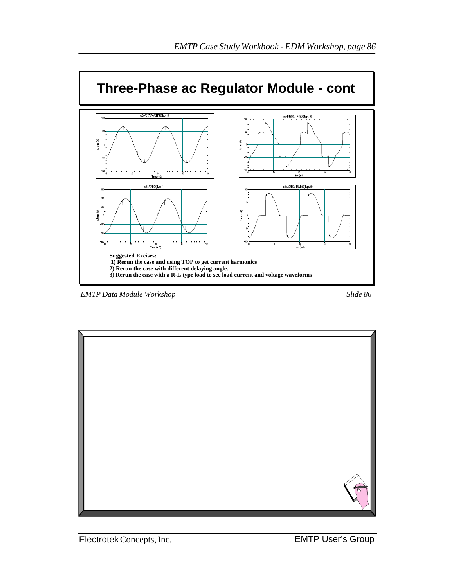

*EMTP Data Module Workshop Slide 86*

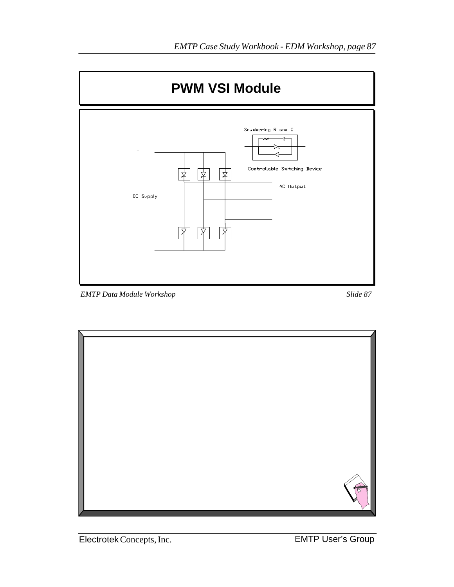

*EMTP Data Module Workshop Slide 87*



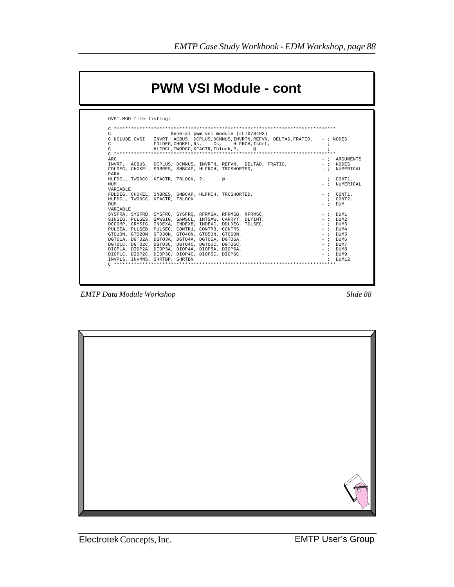|                         |                                                     | <b>PWM VSI Module - cont</b>                                 |                                                                                      |       |                 |
|-------------------------|-----------------------------------------------------|--------------------------------------------------------------|--------------------------------------------------------------------------------------|-------|-----------------|
| GVSI.MOD file listing:  |                                                     |                                                              |                                                                                      |       |                 |
|                         |                                                     |                                                              |                                                                                      |       |                 |
| C                       |                                                     | General pwm vsi module (#LT070493)                           |                                                                                      |       |                 |
|                         |                                                     |                                                              | C NCLUDE GVSI INVRT, ACBUS, DCPLUS, DCMNUS, INVRTN, REFVN, DELTAD, FRATIO, - ; NODES |       |                 |
| C.                      |                                                     | FDLDEG. CHOKEL. Rs. Cs. HLFRCH. Tshrt.                       |                                                                                      | $-$ : |                 |
| $\Gamma$                | HLFDCL.TWODCC.KFACTR.Tblock.?.                      | @                                                            |                                                                                      |       |                 |
|                         |                                                     |                                                              |                                                                                      |       |                 |
| <b>ARG</b>              |                                                     |                                                              |                                                                                      |       | $-$ ; ARGUMENTS |
|                         |                                                     | INVRT. ACBUS. DCPLUS. DCMNUS. INVRTN. REFVN. DELTAD. FRATIO. |                                                                                      |       | $-$ ; NODES     |
|                         | FDLDEG. CHOKEL. SNBRES. SNBCAP. HLFRCH. TRCSHORTED. |                                                              |                                                                                      |       | $-$ ; NUMERICAL |
| PARA.                   |                                                     |                                                              |                                                                                      |       |                 |
|                         | HLFDCL. TWODCC. KFACTR. TBLOCK. ?.                  | $\omega$                                                     |                                                                                      |       | ; CONT1.        |
| <b>NTTM</b><br>VARTABLE |                                                     |                                                              |                                                                                      |       | $-$ ; NUMERICAL |
|                         | FDLDEG, CHOKEL, SNBRES, SNBCAP, HLFRCH, TRCSHORTED, |                                                              |                                                                                      |       | $-$ ; $COMT1$ . |
|                         | HLFDCL, TWODCC, KFACTR, TBLOCK                      |                                                              |                                                                                      |       | ; CONT2.        |
| <b>DIM</b>              |                                                     |                                                              |                                                                                      |       | $-$ ; $\Box$    |
| VARTABLE                |                                                     |                                                              |                                                                                      |       |                 |
|                         |                                                     | SYSFRA, SYSFRB, SYSFRC, SYSFRO, RFRMSA, RFRMSB, RFRMSC,      |                                                                                      |       | $-$ ; $DTIM1$   |
|                         |                                                     | SINSIG, PULSES, SAWSIG, SAWSCL, INTSAW, CARRYT, DLYINT,      |                                                                                      |       | $-$ ; $DTIM2$   |
|                         |                                                     | DCCOMP, CRYSIG, INDEXA, INDEXB, INDEXC, DDLDEG, TDLSEC,      |                                                                                      |       | $-$ ; $DTIM3$   |
|                         | PULSEA, PULSEB, PULSEC, CONTR1, CONTR3, CONTR5,     |                                                              |                                                                                      |       | $-$ ; $DTIMA$   |
|                         | GTO1ON, GTO2ON, GTO3ON, GTO4ON, GTO5ON, GTO6ON,     |                                                              |                                                                                      |       | $-$ ; $DTIM5$   |
|                         | DGTO1A, DGTO2A, DGTO3A, DGTO4A, DGTO5A, DGTO6A,     |                                                              |                                                                                      |       | $-$ ; $DTIM6$   |
|                         | DGTO1C, DGTO2C, DGTO3C, DGTO4C, DGTO5C, DGTO6C,     |                                                              |                                                                                      |       | $-$ ; DUM7      |
|                         | DIOPlA, DIOP2A, DIOP3A, DIOP4A, DIOP5A, DIOP6A,     |                                                              |                                                                                      |       | $-$ ; DUM8      |
|                         | DIOP1C, DIOP2C, DIOP3C, DIOP4C, DIOP5C, DIOP6C,     |                                                              |                                                                                      |       | $-$ ; DUM9      |
|                         | INVPLS, INVMNS, SHRTBP, SHRTBN                      |                                                              |                                                                                      |       | $:$ DIM12       |
|                         |                                                     |                                                              |                                                                                      |       |                 |

*EMTP Data Module Workshop Slide 88*

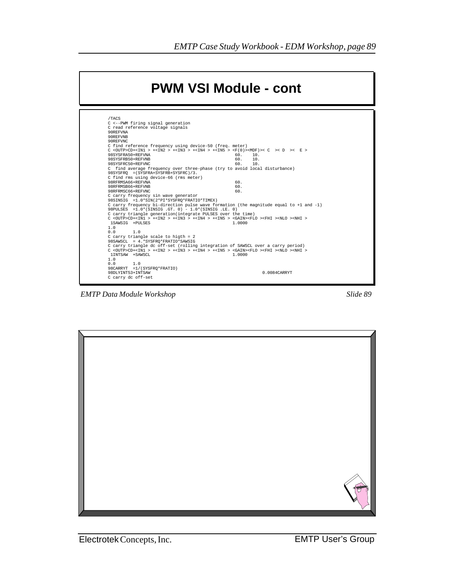

*EMTP Data Module Workshop Slide 89*

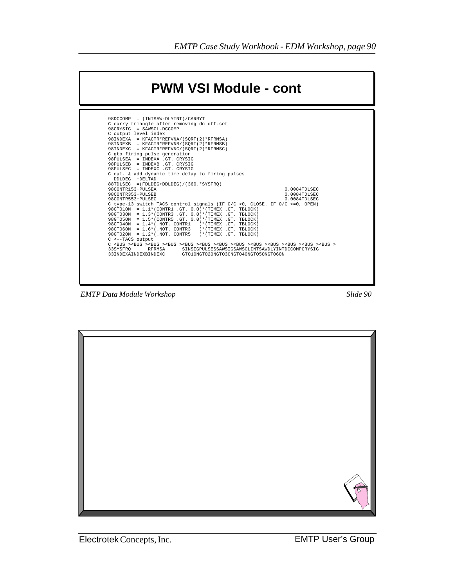

*EMTP Data Module Workshop Slide 90*

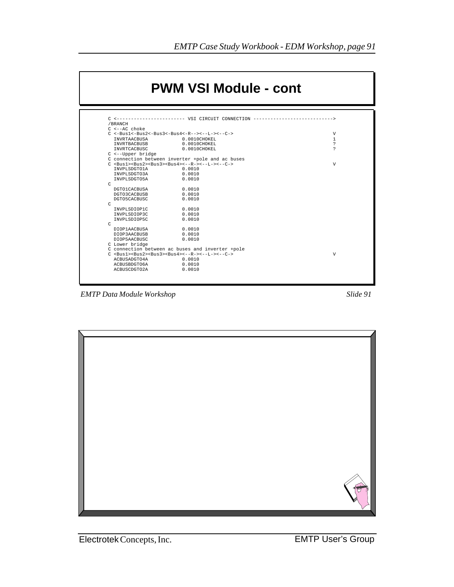

*EMTP Data Module Workshop Slide 91*



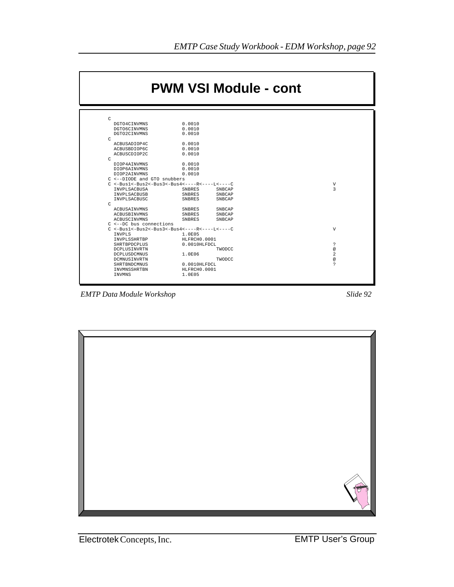

*EMTP Data Module Workshop Slide 92*

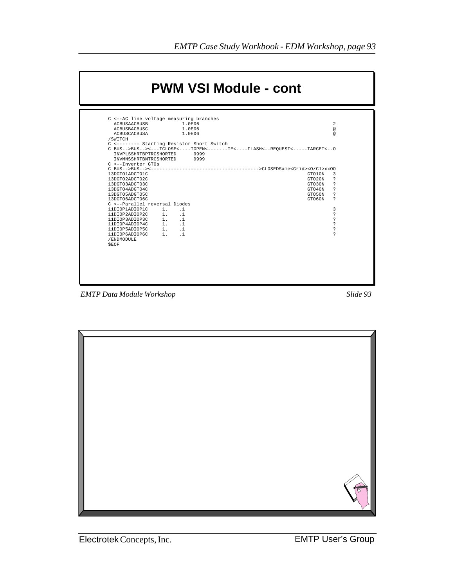

*EMTP Data Module Workshop Slide 93*